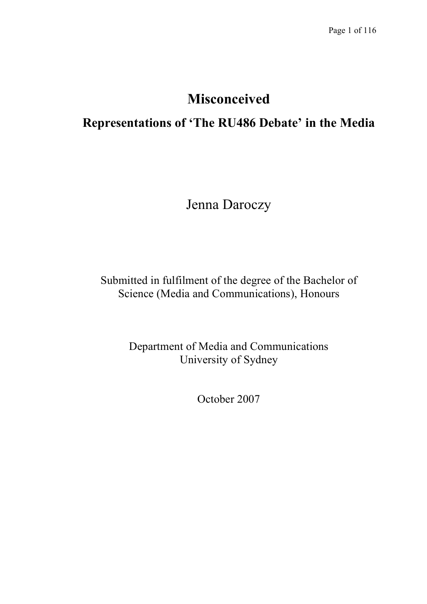# **Misconceived**

# **Representations of 'The RU486 Debate' in the Media**

Jenna Daroczy

Submitted in fulfilment of the degree of the Bachelor of Science (Media and Communications), Honours

> Department of Media and Communications University of Sydney

> > October 2007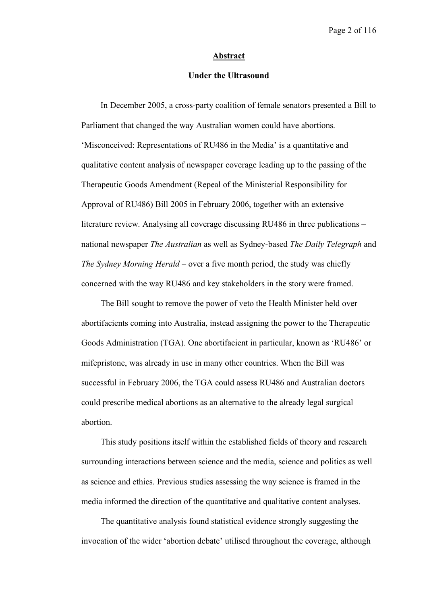#### **Abstract**

## **Under the Ultrasound**

In December 2005, a cross-party coalition of female senators presented a Bill to Parliament that changed the way Australian women could have abortions. 'Misconceived: Representations of RU486 in the Media' is a quantitative and qualitative content analysis of newspaper coverage leading up to the passing of the Therapeutic Goods Amendment (Repeal of the Ministerial Responsibility for Approval of RU486) Bill 2005 in February 2006, together with an extensive literature review. Analysing all coverage discussing RU486 in three publications – national newspaper *The Australian* as well as Sydney-based *The Daily Telegraph* and *The Sydney Morning Herald* – over a five month period, the study was chiefly concerned with the way RU486 and key stakeholders in the story were framed.

The Bill sought to remove the power of veto the Health Minister held over abortifacients coming into Australia, instead assigning the power to the Therapeutic Goods Administration (TGA). One abortifacient in particular, known as 'RU486' or mifepristone, was already in use in many other countries. When the Bill was successful in February 2006, the TGA could assess RU486 and Australian doctors could prescribe medical abortions as an alternative to the already legal surgical abortion.

This study positions itself within the established fields of theory and research surrounding interactions between science and the media, science and politics as well as science and ethics. Previous studies assessing the way science is framed in the media informed the direction of the quantitative and qualitative content analyses.

The quantitative analysis found statistical evidence strongly suggesting the invocation of the wider 'abortion debate' utilised throughout the coverage, although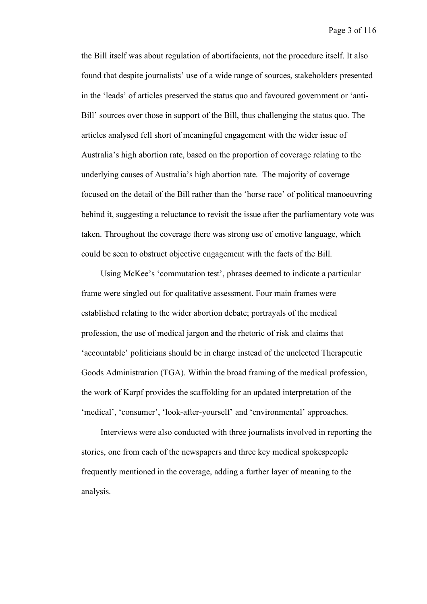the Bill itself was about regulation of abortifacients, not the procedure itself. It also found that despite journalists' use of a wide range of sources, stakeholders presented in the 'leads' of articles preserved the status quo and favoured government or 'anti-Bill' sources over those in support of the Bill, thus challenging the status quo. The articles analysed fell short of meaningful engagement with the wider issue of Australia's high abortion rate, based on the proportion of coverage relating to the underlying causes of Australia's high abortion rate. The majority of coverage focused on the detail of the Bill rather than the 'horse race' of political manoeuvring behind it, suggesting a reluctance to revisit the issue after the parliamentary vote was taken. Throughout the coverage there was strong use of emotive language, which could be seen to obstruct objective engagement with the facts of the Bill.

Using McKee's 'commutation test', phrases deemed to indicate a particular frame were singled out for qualitative assessment. Four main frames were established relating to the wider abortion debate; portrayals of the medical profession, the use of medical jargon and the rhetoric of risk and claims that 'accountable' politicians should be in charge instead of the unelected Therapeutic Goods Administration (TGA). Within the broad framing of the medical profession, the work of Karpf provides the scaffolding for an updated interpretation of the 'medical', 'consumer', 'look-after-yourself' and 'environmental' approaches.

Interviews were also conducted with three journalists involved in reporting the stories, one from each of the newspapers and three key medical spokespeople frequently mentioned in the coverage, adding a further layer of meaning to the analysis.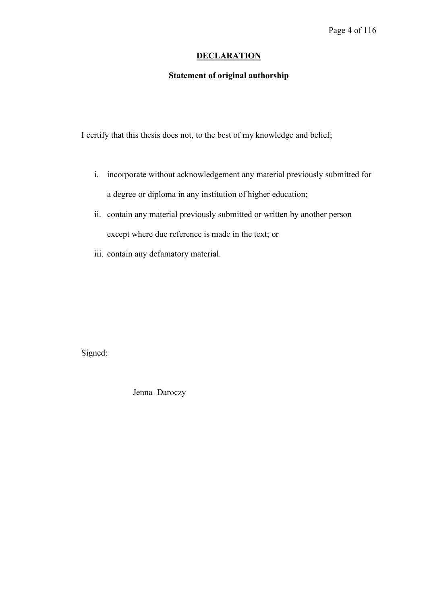## **DECLARATION**

## **Statement of original authorship**

I certify that this thesis does not, to the best of my knowledge and belief;

- i. incorporate without acknowledgement any material previously submitted for a degree or diploma in any institution of higher education;
- ii. contain any material previously submitted or written by another person except where due reference is made in the text; or
- iii. contain any defamatory material.

Signed:

Jenna Daroczy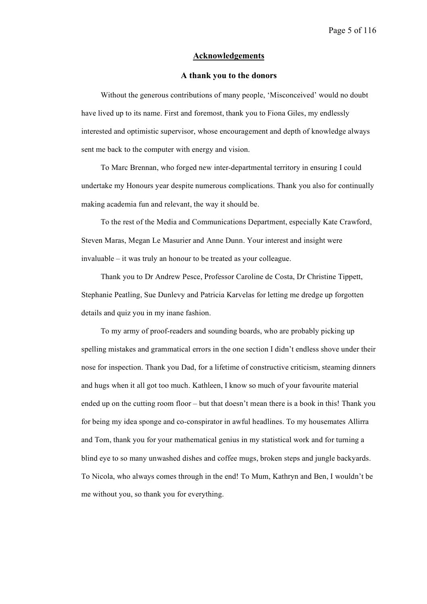#### **Acknowledgements**

#### **A thank you to the donors**

Without the generous contributions of many people, 'Misconceived' would no doubt have lived up to its name. First and foremost, thank you to Fiona Giles, my endlessly interested and optimistic supervisor, whose encouragement and depth of knowledge always sent me back to the computer with energy and vision.

To Marc Brennan, who forged new inter-departmental territory in ensuring I could undertake my Honours year despite numerous complications. Thank you also for continually making academia fun and relevant, the way it should be.

To the rest of the Media and Communications Department, especially Kate Crawford, Steven Maras, Megan Le Masurier and Anne Dunn. Your interest and insight were invaluable – it was truly an honour to be treated as your colleague.

Thank you to Dr Andrew Pesce, Professor Caroline de Costa, Dr Christine Tippett, Stephanie Peatling, Sue Dunlevy and Patricia Karvelas for letting me dredge up forgotten details and quiz you in my inane fashion.

To my army of proof-readers and sounding boards, who are probably picking up spelling mistakes and grammatical errors in the one section I didn't endless shove under their nose for inspection. Thank you Dad, for a lifetime of constructive criticism, steaming dinners and hugs when it all got too much. Kathleen, I know so much of your favourite material ended up on the cutting room floor – but that doesn't mean there is a book in this! Thank you for being my idea sponge and co-conspirator in awful headlines. To my housemates Allirra and Tom, thank you for your mathematical genius in my statistical work and for turning a blind eye to so many unwashed dishes and coffee mugs, broken steps and jungle backyards. To Nicola, who always comes through in the end! To Mum, Kathryn and Ben, I wouldn't be me without you, so thank you for everything.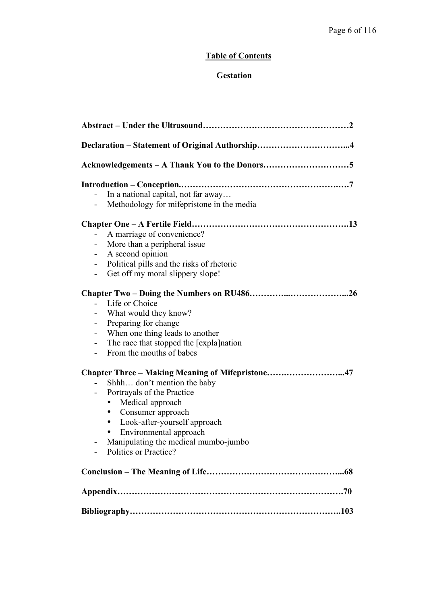## **Table of Contents**

## **Gestation**

| $\qquad \qquad \blacksquare$ | In a national capital, not far away<br>Methodology for mifepristone in the media |
|------------------------------|----------------------------------------------------------------------------------|
|                              |                                                                                  |
| $\qquad \qquad \blacksquare$ | A marriage of convenience?                                                       |
|                              | More than a peripheral issue                                                     |
| ۰                            | A second opinion                                                                 |
| $\overline{\phantom{a}}$     | Political pills and the risks of rhetoric<br>Get off my moral slippery slope!    |
| $\overline{\phantom{0}}$     |                                                                                  |
|                              |                                                                                  |
| $\overline{\phantom{0}}$     | Life or Choice                                                                   |
|                              | What would they know?                                                            |
| $\overline{\phantom{0}}$     | Preparing for change                                                             |
| $\qquad \qquad \blacksquare$ | When one thing leads to another                                                  |
| $\overline{\phantom{0}}$     | The race that stopped the [expla] nation<br>From the mouths of babes             |
|                              |                                                                                  |
|                              | Chapter Three - Making Meaning of Mifepristone47                                 |
|                              | Shhh don't mention the baby                                                      |
|                              | Portrayals of the Practice                                                       |
|                              | Medical approach<br>٠                                                            |
|                              | Consumer approach<br>$\bullet$                                                   |
|                              | Look-after-yourself approach<br>$\bullet$<br>Environmental approach              |
|                              | Manipulating the medical mumbo-jumbo                                             |
|                              | Politics or Practice?                                                            |
|                              |                                                                                  |
|                              |                                                                                  |
|                              |                                                                                  |
|                              |                                                                                  |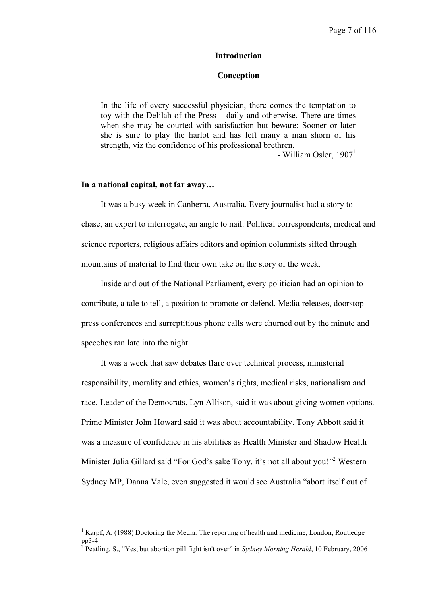### **Introduction**

## **Conception**

In the life of every successful physician, there comes the temptation to toy with the Delilah of the Press – daily and otherwise. There are times when she may be courted with satisfaction but beware: Sooner or later she is sure to play the harlot and has left many a man shorn of his strength, viz the confidence of his professional brethren.

- William Osler,  $1907<sup>1</sup>$ 

## **In a national capital, not far away…**

It was a busy week in Canberra, Australia. Every journalist had a story to chase, an expert to interrogate, an angle to nail. Political correspondents, medical and science reporters, religious affairs editors and opinion columnists sifted through mountains of material to find their own take on the story of the week.

Inside and out of the National Parliament, every politician had an opinion to contribute, a tale to tell, a position to promote or defend. Media releases, doorstop press conferences and surreptitious phone calls were churned out by the minute and speeches ran late into the night.

It was a week that saw debates flare over technical process, ministerial responsibility, morality and ethics, women's rights, medical risks, nationalism and race. Leader of the Democrats, Lyn Allison, said it was about giving women options. Prime Minister John Howard said it was about accountability. Tony Abbott said it was a measure of confidence in his abilities as Health Minister and Shadow Health Minister Julia Gillard said "For God's sake Tony, it's not all about you!"<sup>2</sup> Western Sydney MP, Danna Vale, even suggested it would see Australia "abort itself out of

 <sup>1</sup> Karpf, A, (1988) Doctoring the Media: The reporting of health and medicine, London, Routledge pp3-4 <sup>2</sup> Peatling, S., "Yes, but abortion pill fight isn't over" in *Sydney Morning Herald*, <sup>10</sup> February, <sup>2006</sup>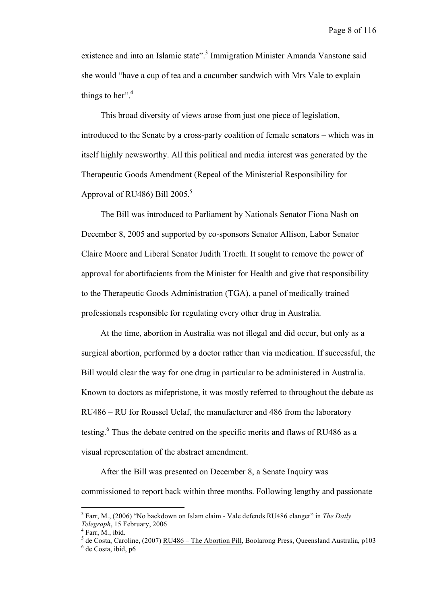existence and into an Islamic state".<sup>3</sup> Immigration Minister Amanda Vanstone said she would "have a cup of tea and a cucumber sandwich with Mrs Vale to explain things to her". $4$ 

This broad diversity of views arose from just one piece of legislation, introduced to the Senate by a cross-party coalition of female senators – which was in itself highly newsworthy. All this political and media interest was generated by the Therapeutic Goods Amendment (Repeal of the Ministerial Responsibility for Approval of RU486) Bill 2005.<sup>5</sup>

The Bill was introduced to Parliament by Nationals Senator Fiona Nash on December 8, 2005 and supported by co-sponsors Senator Allison, Labor Senator Claire Moore and Liberal Senator Judith Troeth. It sought to remove the power of approval for abortifacients from the Minister for Health and give that responsibility to the Therapeutic Goods Administration (TGA), a panel of medically trained professionals responsible for regulating every other drug in Australia.

At the time, abortion in Australia was not illegal and did occur, but only as a surgical abortion, performed by a doctor rather than via medication. If successful, the Bill would clear the way for one drug in particular to be administered in Australia. Known to doctors as mifepristone, it was mostly referred to throughout the debate as RU486 – RU for Roussel Uclaf, the manufacturer and 486 from the laboratory testing.<sup>6</sup> Thus the debate centred on the specific merits and flaws of RU486 as a visual representation of the abstract amendment.

After the Bill was presented on December 8, a Senate Inquiry was commissioned to report back within three months. Following lengthy and passionate

 <sup>3</sup> Farr, M., (2006) "No backdown on Islam claim - Vale defends RU486 clanger" in *The Daily Telegraph*, 15 February, 2006<br><sup>4</sup> Farr, M., ibid.<br><sup>5</sup> de Costa, Caroline, (2007) <u>RU486 – The Abortion Pill</u>, Boolarong Press, Queensland Australia, p103<br><sup>6</sup> de Costa, ibid, p6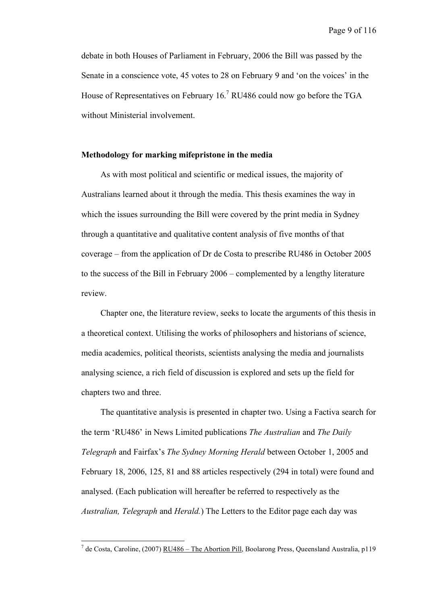debate in both Houses of Parliament in February, 2006 the Bill was passed by the Senate in a conscience vote, 45 votes to 28 on February 9 and 'on the voices' in the House of Representatives on February  $16<sup>7</sup>$  RU486 could now go before the TGA without Ministerial involvement.

## **Methodology for marking mifepristone in the media**

As with most political and scientific or medical issues, the majority of Australians learned about it through the media. This thesis examines the way in which the issues surrounding the Bill were covered by the print media in Sydney through a quantitative and qualitative content analysis of five months of that coverage – from the application of Dr de Costa to prescribe RU486 in October 2005 to the success of the Bill in February 2006 – complemented by a lengthy literature review.

Chapter one, the literature review, seeks to locate the arguments of this thesis in a theoretical context. Utilising the works of philosophers and historians of science, media academics, political theorists, scientists analysing the media and journalists analysing science, a rich field of discussion is explored and sets up the field for chapters two and three.

The quantitative analysis is presented in chapter two. Using a Factiva search for the term 'RU486' in News Limited publications *The Australian* and *The Daily Telegraph* and Fairfax's *The Sydney Morning Herald* between October 1, 2005 and February 18, 2006, 125, 81 and 88 articles respectively (294 in total) were found and analysed. (Each publication will hereafter be referred to respectively as the *Australian, Telegraph* and *Herald.*) The Letters to the Editor page each day was

<sup>&</sup>lt;sup>7</sup> de Costa, Caroline, (2007) <u>RU486 – The Abortion Pill</u>, Boolarong Press, Queensland Australia, p119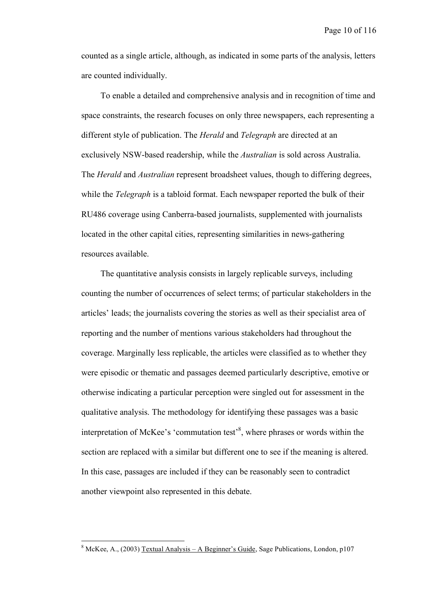counted as a single article, although, as indicated in some parts of the analysis, letters are counted individually.

To enable a detailed and comprehensive analysis and in recognition of time and space constraints, the research focuses on only three newspapers, each representing a different style of publication. The *Herald* and *Telegraph* are directed at an exclusively NSW-based readership, while the *Australian* is sold across Australia. The *Herald* and *Australian* represent broadsheet values, though to differing degrees, while the *Telegraph* is a tabloid format. Each newspaper reported the bulk of their RU486 coverage using Canberra-based journalists, supplemented with journalists located in the other capital cities, representing similarities in news-gathering resources available.

The quantitative analysis consists in largely replicable surveys, including counting the number of occurrences of select terms; of particular stakeholders in the articles' leads; the journalists covering the stories as well as their specialist area of reporting and the number of mentions various stakeholders had throughout the coverage. Marginally less replicable, the articles were classified as to whether they were episodic or thematic and passages deemed particularly descriptive, emotive or otherwise indicating a particular perception were singled out for assessment in the qualitative analysis. The methodology for identifying these passages was a basic interpretation of McKee's 'commutation test'<sup>8</sup>, where phrases or words within the section are replaced with a similar but different one to see if the meaning is altered. In this case, passages are included if they can be reasonably seen to contradict another viewpoint also represented in this debate.

 $8$  McKee, A., (2003) Textual Analysis – A Beginner's Guide, Sage Publications, London, p107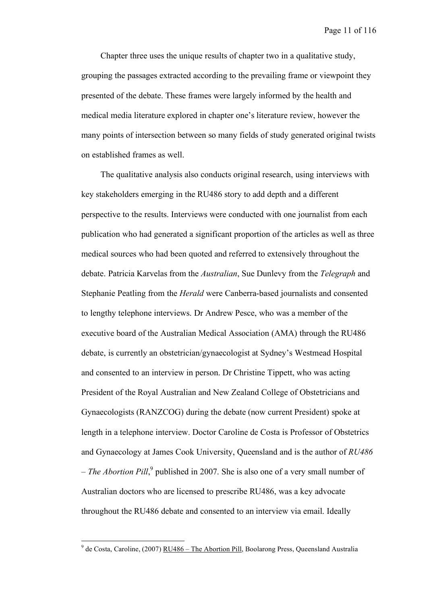Chapter three uses the unique results of chapter two in a qualitative study, grouping the passages extracted according to the prevailing frame or viewpoint they presented of the debate. These frames were largely informed by the health and medical media literature explored in chapter one's literature review, however the many points of intersection between so many fields of study generated original twists on established frames as well.

The qualitative analysis also conducts original research, using interviews with key stakeholders emerging in the RU486 story to add depth and a different perspective to the results. Interviews were conducted with one journalist from each publication who had generated a significant proportion of the articles as well as three medical sources who had been quoted and referred to extensively throughout the debate. Patricia Karvelas from the *Australian*, Sue Dunlevy from the *Telegraph* and Stephanie Peatling from the *Herald* were Canberra-based journalists and consented to lengthy telephone interviews. Dr Andrew Pesce, who was a member of the executive board of the Australian Medical Association (AMA) through the RU486 debate, is currently an obstetrician/gynaecologist at Sydney's Westmead Hospital and consented to an interview in person. Dr Christine Tippett, who was acting President of the Royal Australian and New Zealand College of Obstetricians and Gynaecologists (RANZCOG) during the debate (now current President) spoke at length in a telephone interview. Doctor Caroline de Costa is Professor of Obstetrics and Gynaecology at James Cook University, Queensland and is the author of *RU486 – The Abortion Pill*, <sup>9</sup> published in 2007. She is also one of a very small number of Australian doctors who are licensed to prescribe RU486, was a key advocate throughout the RU486 debate and consented to an interview via email. Ideally

<sup>&</sup>lt;sup>9</sup> de Costa. Caroline. (2007) RU486 – The **Abortion Pill**, Boolarong Press, Queensland Australia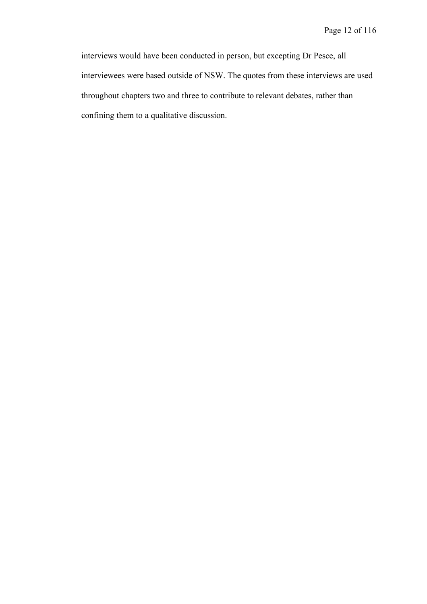interviews would have been conducted in person, but excepting Dr Pesce, all interviewees were based outside of NSW. The quotes from these interviews are used throughout chapters two and three to contribute to relevant debates, rather than confining them to a qualitative discussion.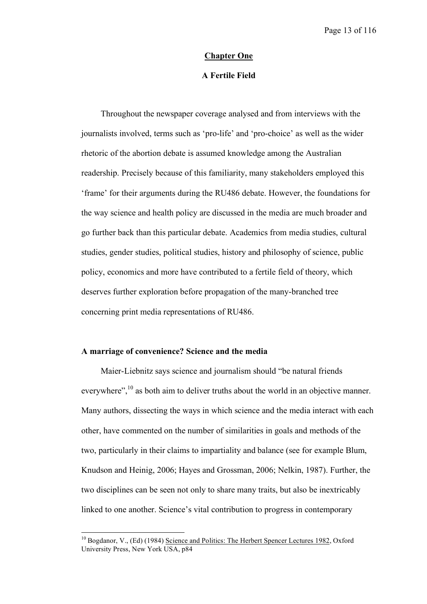### **Chapter One**

## **A Fertile Field**

Throughout the newspaper coverage analysed and from interviews with the journalists involved, terms such as 'pro-life' and 'pro-choice' as well as the wider rhetoric of the abortion debate is assumed knowledge among the Australian readership. Precisely because of this familiarity, many stakeholders employed this 'frame' for their arguments during the RU486 debate. However, the foundations for the way science and health policy are discussed in the media are much broader and go further back than this particular debate. Academics from media studies, cultural studies, gender studies, political studies, history and philosophy of science, public policy, economics and more have contributed to a fertile field of theory, which deserves further exploration before propagation of the many-branched tree concerning print media representations of RU486.

## **A marriage of convenience? Science and the media**

Maier-Liebnitz says science and journalism should "be natural friends everywhere",<sup>10</sup> as both aim to deliver truths about the world in an objective manner. Many authors, dissecting the ways in which science and the media interact with each other, have commented on the number of similarities in goals and methods of the two, particularly in their claims to impartiality and balance (see for example Blum, Knudson and Heinig, 2006; Hayes and Grossman, 2006; Nelkin, 1987). Further, the two disciplines can be seen not only to share many traits, but also be inextricably linked to one another. Science's vital contribution to progress in contemporary

<sup>&</sup>lt;sup>10</sup> Bogdanor, V., (Ed) (1984) Science and Politics: The Herbert Spencer Lectures 1982, Oxford University Press, New York USA, p84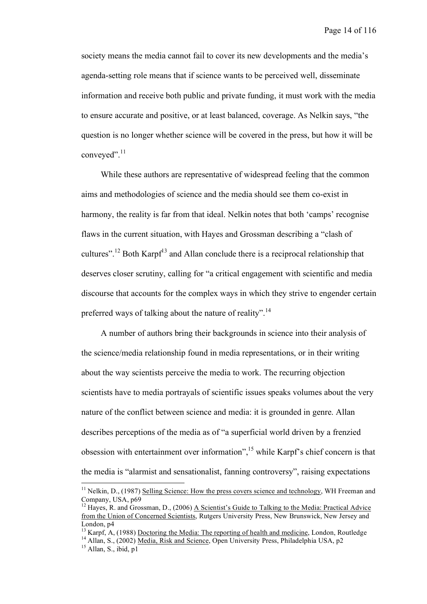society means the media cannot fail to cover its new developments and the media's agenda-setting role means that if science wants to be perceived well, disseminate information and receive both public and private funding, it must work with the media to ensure accurate and positive, or at least balanced, coverage. As Nelkin says, "the question is no longer whether science will be covered in the press, but how it will be conveyed".<sup>11</sup>

While these authors are representative of widespread feeling that the common aims and methodologies of science and the media should see them co-exist in harmony, the reality is far from that ideal. Nelkin notes that both 'camps' recognise flaws in the current situation, with Hayes and Grossman describing a "clash of cultures".<sup>12</sup> Both Karpf<sup>13</sup> and Allan conclude there is a reciprocal relationship that deserves closer scrutiny, calling for "a critical engagement with scientific and media discourse that accounts for the complex ways in which they strive to engender certain preferred ways of talking about the nature of reality".<sup>14</sup>

A number of authors bring their backgrounds in science into their analysis of the science/media relationship found in media representations, or in their writing about the way scientists perceive the media to work. The recurring objection scientists have to media portrayals of scientific issues speaks volumes about the very nature of the conflict between science and media: it is grounded in genre. Allan describes perceptions of the media as of "a superficial world driven by a frenzied obsession with entertainment over information",<sup>15</sup> while Karpf's chief concern is that the media is "alarmist and sensationalist, fanning controversy", raising expectations

<sup>&</sup>lt;sup>11</sup> Nelkin, D., (1987) Selling Science: How the press covers science and technology, WH Freeman and Company. USA,  $p69$ 

<sup>&</sup>lt;sup>12</sup> Haves, R. and Grossman, D., (2006) <u>A Scientist's Guide to Talking to the Media: Practical Advice</u> from the Union of Concerned Scientists, Rutgers University Press, New Brunswick, New Jersey and London, p4<br><sup>13</sup> Karpf, A, (1988) <u>Doctoring the Media: The reporting of health and medicine</u>, London, Routledge<br><sup>14</sup> Allan, S., (2002) <u>Media, Risk and Science</u>, Open University Press, Philadelphia USA, p2<br><sup>15</sup> Allan, S.,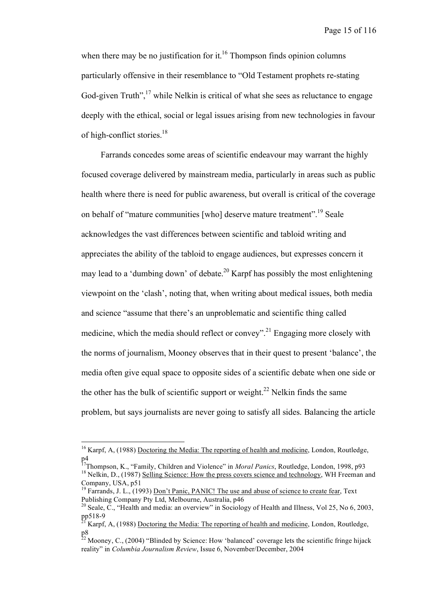when there may be no justification for it.<sup>16</sup> Thompson finds opinion columns particularly offensive in their resemblance to "Old Testament prophets re-stating God-given Truth", $17$  while Nelkin is critical of what she sees as reluctance to engage deeply with the ethical, social or legal issues arising from new technologies in favour of high-conflict stories.<sup>18</sup>

Farrands concedes some areas of scientific endeavour may warrant the highly focused coverage delivered by mainstream media, particularly in areas such as public health where there is need for public awareness, but overall is critical of the coverage on behalf of "mature communities [who] deserve mature treatment".<sup>19</sup> Seale acknowledges the vast differences between scientific and tabloid writing and appreciates the ability of the tabloid to engage audiences, but expresses concern it may lead to a 'dumbing down' of debate.<sup>20</sup> Karpf has possibly the most enlightening viewpoint on the 'clash', noting that, when writing about medical issues, both media and science "assume that there's an unproblematic and scientific thing called medicine, which the media should reflect or convey".<sup>21</sup> Engaging more closely with the norms of journalism, Mooney observes that in their quest to present 'balance', the media often give equal space to opposite sides of a scientific debate when one side or the other has the bulk of scientific support or weight.<sup>22</sup> Nelkin finds the same problem, but says journalists are never going to satisfy all sides. Balancing the article

<sup>&</sup>lt;sup>16</sup> Karpf, A, (1988) Doctoring the Media: The reporting of health and medicine, London, Routledge,

p4<br><sup>17</sup>Thompson, K., "Family, Children and Violence" in *Moral Panics*, Routledge, London, 1998, p93<br><sup>18</sup> Nelkin, D., (1987) <u>Selling Science: How the press covers science and technology</u>, WH Freeman and

Company, USA, p51<br><sup>19</sup> Farrands, J. L., (1993) <u>Don't Panic, PANIC! The use and abuse of science to create fear</u>, Text<br>Publishing Company Ptv Ltd. Melbourne. Australia. p46

<sup>&</sup>lt;sup>20</sup> Seale, C., "Health and media: an overview" in Sociology of Health and Illness, Vol 25, No 6, 2003, pp518-9

Karpf, A, (1988) Doctoring the Media: The reporting of health and medicine, London, Routledge, p8

 $^{22}$  Mooney, C., (2004) "Blinded by Science: How 'balanced' coverage lets the scientific fringe hijack reality" in *Columbia Journalism Review*, Issue 6, November/December, 2004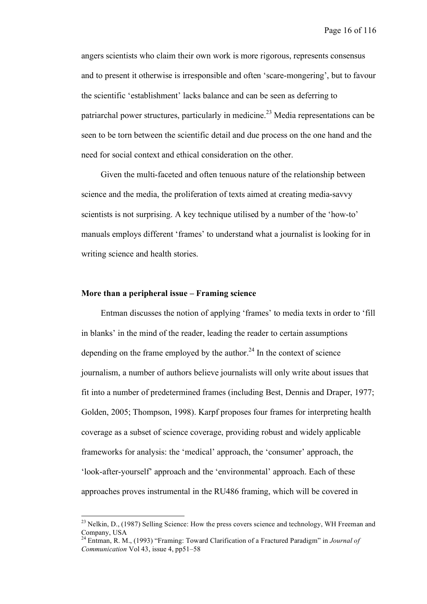angers scientists who claim their own work is more rigorous, represents consensus and to present it otherwise is irresponsible and often 'scare-mongering', but to favour the scientific 'establishment' lacks balance and can be seen as deferring to patriarchal power structures, particularly in medicine.<sup>23</sup> Media representations can be seen to be torn between the scientific detail and due process on the one hand and the need for social context and ethical consideration on the other.

Given the multi-faceted and often tenuous nature of the relationship between science and the media, the proliferation of texts aimed at creating media-savvy scientists is not surprising. A key technique utilised by a number of the 'how-to' manuals employs different 'frames' to understand what a journalist is looking for in writing science and health stories.

## **More than a peripheral issue – Framing science**

Entman discusses the notion of applying 'frames' to media texts in order to 'fill in blanks' in the mind of the reader, leading the reader to certain assumptions depending on the frame employed by the author. $24$  In the context of science journalism, a number of authors believe journalists will only write about issues that fit into a number of predetermined frames (including Best, Dennis and Draper, 1977; Golden, 2005; Thompson, 1998). Karpf proposes four frames for interpreting health coverage as a subset of science coverage, providing robust and widely applicable frameworks for analysis: the 'medical' approach, the 'consumer' approach, the 'look-after-yourself' approach and the 'environmental' approach. Each of these approaches proves instrumental in the RU486 framing, which will be covered in

 $^{23}$  Nelkin, D., (1987) Selling Science: How the press covers science and technology, WH Freeman and Company, USA <sup>24</sup> Entman, R. M., (1993) "Framing: Toward Clarification of <sup>a</sup> Fractured Paradigm" in *Journal of*

*Communication* Vol 43, issue 4, pp51–58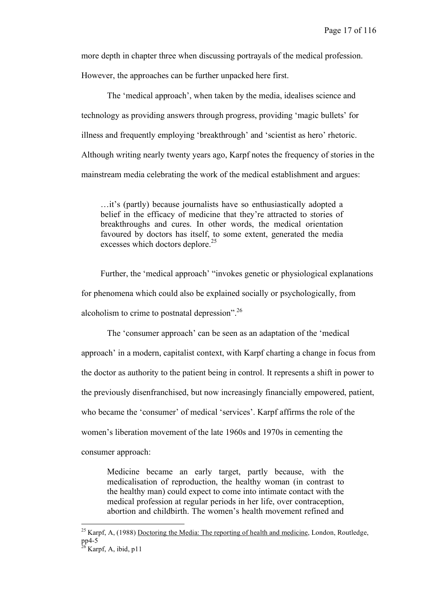more depth in chapter three when discussing portrayals of the medical profession. However, the approaches can be further unpacked here first.

The 'medical approach', when taken by the media, idealises science and technology as providing answers through progress, providing 'magic bullets' for illness and frequently employing 'breakthrough' and 'scientist as hero' rhetoric. Although writing nearly twenty years ago, Karpf notes the frequency of stories in the mainstream media celebrating the work of the medical establishment and argues:

…it's (partly) because journalists have so enthusiastically adopted a belief in the efficacy of medicine that they're attracted to stories of breakthroughs and cures. In other words, the medical orientation favoured by doctors has itself, to some extent, generated the media excesses which doctors deplore.<sup>25</sup>

Further, the 'medical approach' "invokes genetic or physiological explanations for phenomena which could also be explained socially or psychologically, from alcoholism to crime to postnatal depression".<sup>26</sup>

The 'consumer approach' can be seen as an adaptation of the 'medical approach' in a modern, capitalist context, with Karpf charting a change in focus from the doctor as authority to the patient being in control. It represents a shift in power to the previously disenfranchised, but now increasingly financially empowered, patient, who became the 'consumer' of medical 'services'. Karpf affirms the role of the women's liberation movement of the late 1960s and 1970s in cementing the consumer approach:

Medicine became an early target, partly because, with the medicalisation of reproduction, the healthy woman (in contrast to the healthy man) could expect to come into intimate contact with the medical profession at regular periods in her life, over contraception, abortion and childbirth. The women's health movement refined and

<sup>&</sup>lt;sup>25</sup> Karpf, A, (1988) <u>Doctoring the Media: The reporting of health and medicine</u>, London, Routledge,  $pp4-5$ 

 $\overline{p}$ Karpf, A, ibid, p11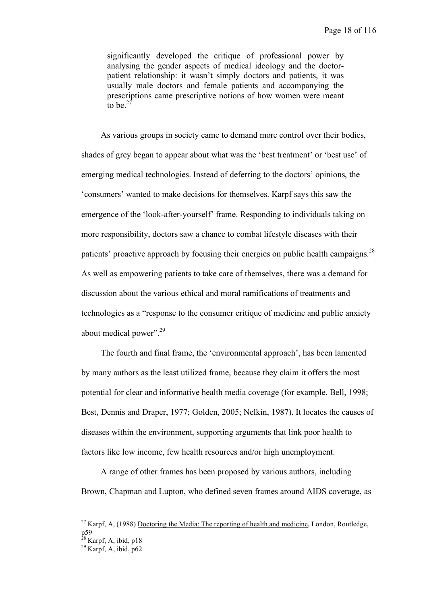significantly developed the critique of professional power by analysing the gender aspects of medical ideology and the doctorpatient relationship: it wasn't simply doctors and patients, it was usually male doctors and female patients and accompanying the prescriptions came prescriptive notions of how women were meant to be. $27$ 

As various groups in society came to demand more control over their bodies, shades of grey began to appear about what was the 'best treatment' or 'best use' of emerging medical technologies. Instead of deferring to the doctors' opinions, the 'consumers' wanted to make decisions for themselves. Karpf says this saw the emergence of the 'look-after-yourself' frame. Responding to individuals taking on more responsibility, doctors saw a chance to combat lifestyle diseases with their patients' proactive approach by focusing their energies on public health campaigns.<sup>28</sup> As well as empowering patients to take care of themselves, there was a demand for discussion about the various ethical and moral ramifications of treatments and technologies as a "response to the consumer critique of medicine and public anxiety about medical power".<sup>29</sup>

The fourth and final frame, the 'environmental approach', has been lamented by many authors as the least utilized frame, because they claim it offers the most potential for clear and informative health media coverage (for example, Bell, 1998; Best, Dennis and Draper, 1977; Golden, 2005; Nelkin, 1987). It locates the causes of diseases within the environment, supporting arguments that link poor health to factors like low income, few health resources and/or high unemployment.

A range of other frames has been proposed by various authors, including Brown, Chapman and Lupton, who defined seven frames around AIDS coverage, as

<sup>&</sup>lt;sup>27</sup> Karpf, A, (1988) Doctoring the Media: The reporting of health and medicine, London, Routledge,

p59<br><sup>28</sup> Karpf, A, ibid, p18<br><sup>29</sup> Karpf, A, ibid, p62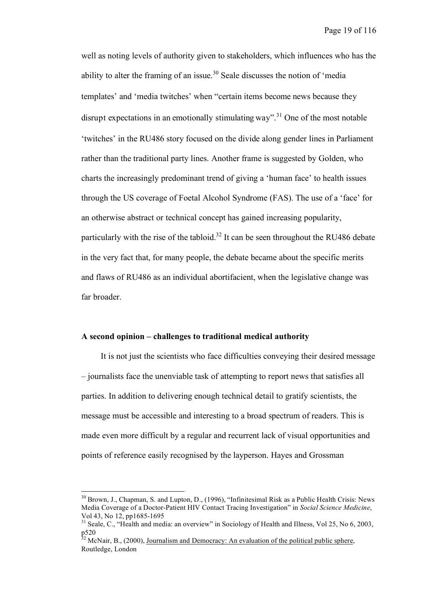well as noting levels of authority given to stakeholders, which influences who has the ability to alter the framing of an issue.<sup>30</sup> Seale discusses the notion of 'media templates' and 'media twitches' when "certain items become news because they disrupt expectations in an emotionally stimulating way".<sup>31</sup> One of the most notable 'twitches' in the RU486 story focused on the divide along gender lines in Parliament rather than the traditional party lines. Another frame is suggested by Golden, who charts the increasingly predominant trend of giving a 'human face' to health issues through the US coverage of Foetal Alcohol Syndrome (FAS). The use of a 'face' for an otherwise abstract or technical concept has gained increasing popularity, particularly with the rise of the tabloid.<sup>32</sup> It can be seen throughout the RU486 debate in the very fact that, for many people, the debate became about the specific merits and flaws of RU486 as an individual abortifacient, when the legislative change was far broader.

## **A second opinion – challenges to traditional medical authority**

It is not just the scientists who face difficulties conveying their desired message – journalists face the unenviable task of attempting to report news that satisfies all parties. In addition to delivering enough technical detail to gratify scientists, the message must be accessible and interesting to a broad spectrum of readers. This is made even more difficult by a regular and recurrent lack of visual opportunities and points of reference easily recognised by the layperson. Hayes and Grossman

<sup>&</sup>lt;sup>30</sup> Brown, J., Chapman, S. and Lupton, D., (1996), "Infinitesimal Risk as a Public Health Crisis: News Media Coverage of a Doctor-Patient HIV Contact Tracing Investigation" in *Social Science Medicine*,

<sup>&</sup>lt;sup>31</sup> Seale, C., "Health and media: an overview" in Sociology of Health and Illness, Vol 25, No 6, 2003, p520<br><sup>32</sup> McNair, B., (2000), <u>Journalism and Democracy: An evaluation of the political public sphere</u>,

Routledge, London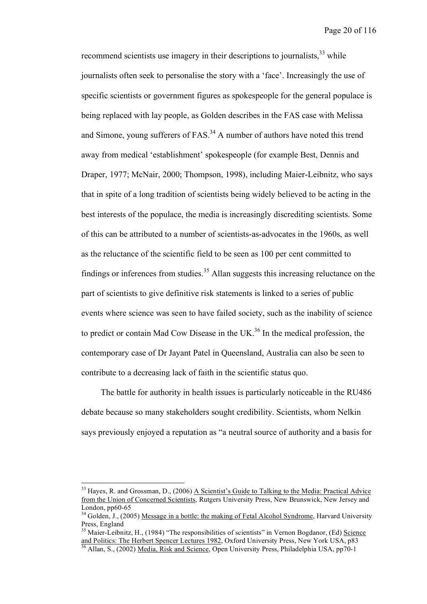recommend scientists use imagery in their descriptions to journalists,<sup>33</sup> while journalists often seek to personalise the story with a 'face'. Increasingly the use of specific scientists or government figures as spokespeople for the general populace is being replaced with lay people, as Golden describes in the FAS case with Melissa and Simone, young sufferers of  $FAS$ <sup>34</sup> A number of authors have noted this trend away from medical 'establishment' spokespeople (for example Best, Dennis and Draper, 1977; McNair, 2000; Thompson, 1998), including Maier-Leibnitz, who says that in spite of a long tradition of scientists being widely believed to be acting in the best interests of the populace, the media is increasingly discrediting scientists. Some of this can be attributed to a number of scientists-as-advocates in the 1960s, as well as the reluctance of the scientific field to be seen as 100 per cent committed to findings or inferences from studies.<sup>35</sup> Allan suggests this increasing reluctance on the part of scientists to give definitive risk statements is linked to a series of public events where science was seen to have failed society, such as the inability of science to predict or contain Mad Cow Disease in the UK.<sup>36</sup> In the medical profession, the contemporary case of Dr Jayant Patel in Queensland, Australia can also be seen to contribute to a decreasing lack of faith in the scientific status quo.

The battle for authority in health issues is particularly noticeable in the RU486 debate because so many stakeholders sought credibility. Scientists, whom Nelkin says previously enjoyed a reputation as "a neutral source of authority and a basis for

 $33$  Hayes, R. and Grossman, D., (2006) A Scientist's Guide to Talking to the Media: Practical Advice from the Union of Concerned Scientists, Rutgers University Press, New Brunswick, New Jersey and

London, pp60-65<br><sup>34</sup> Golden, J., (2005) <u>Message in a bottle: the making of Fetal Alcohol Syndrome</u>, Harvard University<br>Press. England

<sup>&</sup>lt;sup>35</sup> Maier-Leibnitz, H., (1984) "The responsibilities of scientists" in Vernon Bogdanor, (Ed)  $\frac{Science}{and$  Politics: The Herbert Spencer Lectures 1982, Oxford University Press, New York USA, p83

Allan, S., (2002) Media, Risk and Science, Open University Press, Philadelphia USA, pp70-1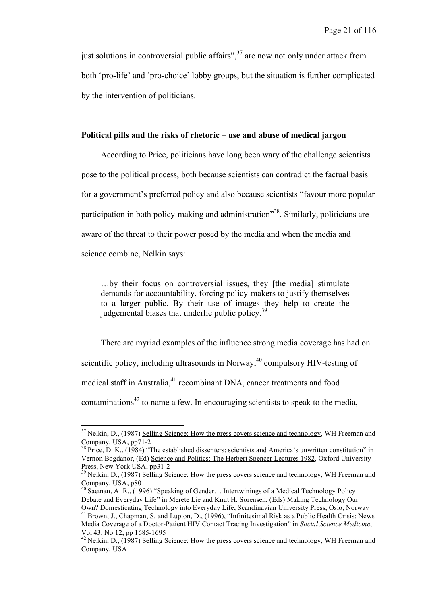just solutions in controversial public affairs",<sup>37</sup> are now not only under attack from both 'pro-life' and 'pro-choice' lobby groups, but the situation is further complicated by the intervention of politicians.

## **Political pills and the risks of rhetoric – use and abuse of medical jargon**

According to Price, politicians have long been wary of the challenge scientists pose to the political process, both because scientists can contradict the factual basis for a government's preferred policy and also because scientists "favour more popular participation in both policy-making and administration<sup>338</sup>. Similarly, politicians are aware of the threat to their power posed by the media and when the media and science combine, Nelkin says:

…by their focus on controversial issues, they [the media] stimulate demands for accountability, forcing policy-makers to justify themselves to a larger public. By their use of images they help to create the judgemental biases that underlie public policy.<sup>39</sup>

There are myriad examples of the influence strong media coverage has had on scientific policy, including ultrasounds in Norway,<sup>40</sup> compulsory HIV-testing of medical staff in Australia,<sup>41</sup> recombinant DNA, cancer treatments and food contaminations<sup>42</sup> to name a few. In encouraging scientists to speak to the media,

 $37$  Nelkin, D., (1987) Selling Science: How the press covers science and technology, WH Freeman and Company, USA, pp71-2

 $^{38}$  Price, D. K., (1984) "The established dissenters: scientists and America's unwritten constitution" in Vernon Bogdanor, (Ed) Science and Politics: The Herbert Spencer Lectures 1982, Oxford University Press, New York USA, pp31-2

<sup>&</sup>lt;sup>39</sup> Nelkin, D., (1987) Selling Science: How the press covers science and technology, WH Freeman and Company, USA,  $p80$ 

<sup>&</sup>lt;sup>40</sup> Saetnan, A. R., (1996) "Speaking of Gender... Intertwinings of a Medical Technology Policy Debate and Everyday Life" in Merete Lie and Knut H. Sorensen, (Eds) Making Technology Our Own? Domesticating Technology into Everyday Life. Scandinavian University Press. Oslo. Norway

 $\frac{\delta_{\text{min}}}{\delta_{\text{min}}}$  Brown, J., Chapman, S. and Lupton, D., (1996), "Infinitesimal Risk as a Public Health Crisis: News Media Coverage of a Doctor-Patient HIV Contact Tracing Investigation" in *Social Science Medicine*, Vol 43, No 12, pp 1685-1695<br><sup>42</sup> Nelkin, D., (1987) <u>Selling Science: How the press covers science and technology</u>, WH Freeman and

Company, USA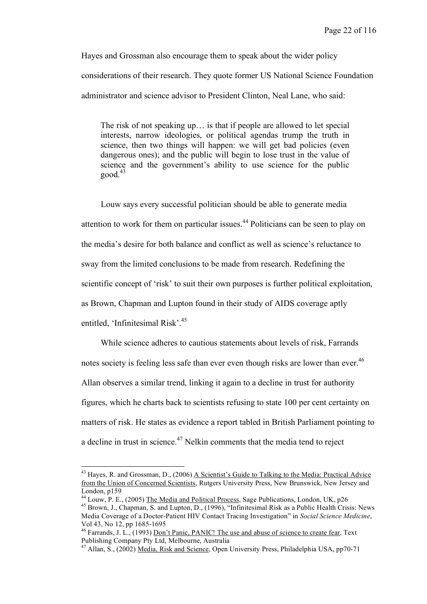Hayes and Grossman also encourage them to speak about the wider policy considerations of their research. They quote former US National Science Foundation administrator and science advisor to President Clinton, Neal Lane, who said:

The risk of not speaking up… is that if people are allowed to let special interests, narrow ideologies, or political agendas trump the truth in science, then two things will happen: we will get bad policies (even dangerous ones); and the public will begin to lose trust in the value of science and the government's ability to use science for the public  $good.<sup>43</sup>$ 

Louw says every successful politician should be able to generate media attention to work for them on particular issues. <sup>44</sup> Politicians can be seen to play on the media's desire for both balance and conflict as well as science's reluctance to sway from the limited conclusions to be made from research. Redefining the scientific concept of 'risk' to suit their own purposes is further political exploitation, as Brown, Chapman and Lupton found in their study of AIDS coverage aptly entitled, 'Infinitesimal Risk'. 45

While science adheres to cautious statements about levels of risk, Farrands notes society is feeling less safe than ever even though risks are lower than ever.<sup>46</sup> Allan observes a similar trend, linking it again to a decline in trust for authority figures, which he charts back to scientists refusing to state 100 per cent certainty on matters of risk. He states as evidence a report tabled in British Parliament pointing to a decline in trust in science.<sup>47</sup> Nelkin comments that the media tend to reject

<sup>&</sup>lt;sup>43</sup> Hayes, R. and Grossman, D., (2006) A Scientist's Guide to Talking to the Media: Practical Advice from the Union of Concerned Scientists, Rutgers University Press, New Brunswick, New Jersey and

London, p159<br><sup>44</sup> Louw, P. E., (2005) The Media and Political Process, Sage Publications, London, UK, p26<br><sup>45</sup> Brown, J., Chapman, S. and Lupton, D., (1996), "Infinitesimal Risk as a Public Health Crisis: News Media Coverage of a Doctor-Patient HIV Contact Tracing Investigation" in *Social Science Medicine*,

Vol 43, No 12, pp 1685-1695<br><sup>46</sup> Farrands, J. L., (1993) <u>Don't Panic, PANIC! The use and abuse of science to create fear</u>, Text<br>Publishing Company Pty Ltd, Melbourne, Australia

<sup>&</sup>lt;sup>47</sup> Allan, S., (2002) Media, Risk and Science, Open University Press, Philadelphia USA, pp70-71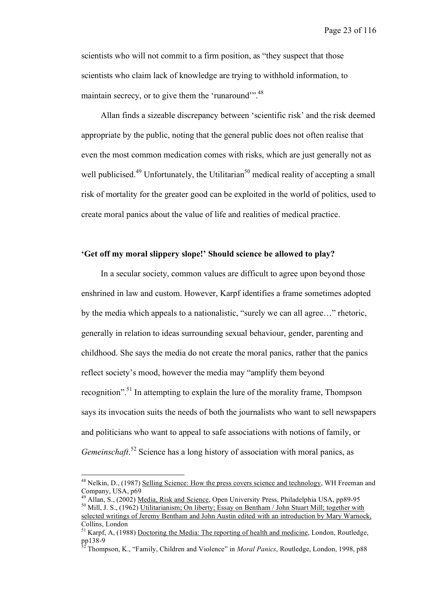scientists who will not commit to a firm position, as "they suspect that those scientists who claim lack of knowledge are trying to withhold information, to maintain secrecy, or to give them the 'runaround'".<sup>48</sup>

Allan finds a sizeable discrepancy between 'scientific risk' and the risk deemed appropriate by the public, noting that the general public does not often realise that even the most common medication comes with risks, which are just generally not as well publicised.<sup>49</sup> Unfortunately, the Utilitarian<sup>50</sup> medical reality of accepting a small risk of mortality for the greater good can be exploited in the world of politics, used to create moral panics about the value of life and realities of medical practice.

## **'Get off my moral slippery slope!' Should science be allowed to play?**

In a secular society, common values are difficult to agree upon beyond those enshrined in law and custom. However, Karpf identifies a frame sometimes adopted by the media which appeals to a nationalistic, "surely we can all agree…" rhetoric, generally in relation to ideas surrounding sexual behaviour, gender, parenting and childhood. She says the media do not create the moral panics, rather that the panics reflect society's mood, however the media may "amplify them beyond recognition".<sup>51</sup> In attempting to explain the lure of the morality frame, Thompson says its invocation suits the needs of both the journalists who want to sell newspapers and politicians who want to appeal to safe associations with notions of family, or Gemeinschaft.<sup>52</sup> Science has a long history of association with moral panics, as

<sup>&</sup>lt;sup>48</sup> Nelkin, D., (1987) Selling Science: How the press covers science and technology, WH Freeman and

Company, USA, p69<br><sup>49</sup> Allan, S., (2002) <u>Media, Risk and Science</u>, Open University Press, Philadelphia USA, pp89-95<br><sup>50</sup> Mill, J. S., (1962) Utilitarianism; On liberty; Essay on Bentham / John Stuart Mill; together with

selected writings of Jeremy Bentham and John Austin edited with an introduction by Mary Warnock,

Collins, London<br><sup>51</sup> Karpf, A, (1988) <u>Doctoring the Media: The reporting of health and medicine</u>, London, Routledge,<br>pp138-9

pp138-9 <sup>52</sup> Thompson, K., "Family, Children and Violence" in *Moral Panics*, Routledge, London, 1998, p88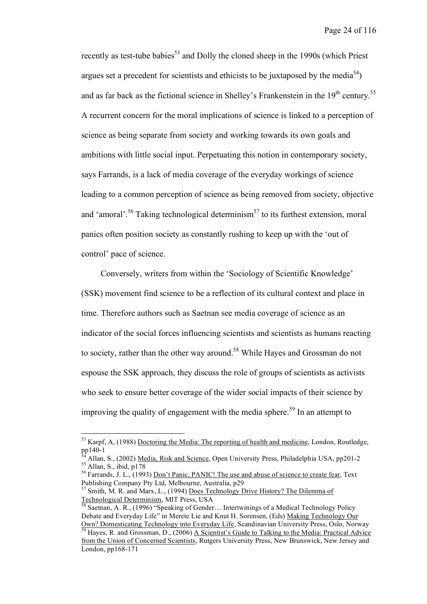recently as test-tube babies<sup>53</sup> and Dolly the cloned sheep in the 1990s (which Priest argues set a precedent for scientists and ethicists to be juxtaposed by the media<sup>54</sup>) and as far back as the fictional science in Shelley's Frankenstein in the  $19<sup>th</sup>$  century.<sup>55</sup> A recurrent concern for the moral implications of science is linked to a perception of science as being separate from society and working towards its own goals and ambitions with little social input. Perpetuating this notion in contemporary society, says Farrands, is a lack of media coverage of the everyday workings of science leading to a common perception of science as being removed from society, objective and 'amoral'.<sup>56</sup> Taking technological determinism<sup>57</sup> to its furthest extension, moral panics often position society as constantly rushing to keep up with the 'out of control' pace of science.

Conversely, writers from within the 'Sociology of Scientific Knowledge' (SSK) movement find science to be a reflection of its cultural context and place in time. Therefore authors such as Saetnan see media coverage of science as an indicator of the social forces influencing scientists and scientists as humans reacting to society, rather than the other way around.<sup>58</sup> While Hayes and Grossman do not espouse the SSK approach, they discuss the role of groups of scientists as activists who seek to ensure better coverage of the wider social impacts of their science by improving the quality of engagement with the media sphere. <sup>59</sup> In an attempt to

 $53$  Karpf, A, (1988) Doctoring the Media: The reporting of health and medicine, London, Routledge, pp140-1

<sup>&</sup>lt;sup>54</sup> Allan, S., (2002) <u>Media, Risk and Science</u>, Open University Press, Philadelphia USA, pp201-2<br><sup>55</sup> Allan, S., ibid, p178<br><sup>56</sup> Farrands, J. L., (1993) <u>Don't Panic, PANIC! The use and abuse of science to create fear</u>,

<sup>&</sup>lt;sup>57</sup> Smith, M. R. and Marx, L., (1994) <u>Does Technology Drive History? The Dilemma of</u><br>Technological Determinism, MIT Press, USA

Saetnan, A. R.,  $(1996)$  "Speaking of Gender... Intertwinings of a Medical Technology Policy Debate and Everyday Life" in Merete Lie and Knut H. Sorensen, (Eds) Making Technology Our Own? Domesticating Technology into Everyday Life, Scandinavian University Press, Oslo, Norway

Hayes, R. and Grossman, D., (2006) A Scientist's Guide to Talking to the Media: Practical Advice from the Union of Concerned Scientists, Rutgers University Press, New Brunswick, New Jersey and London, pp168-171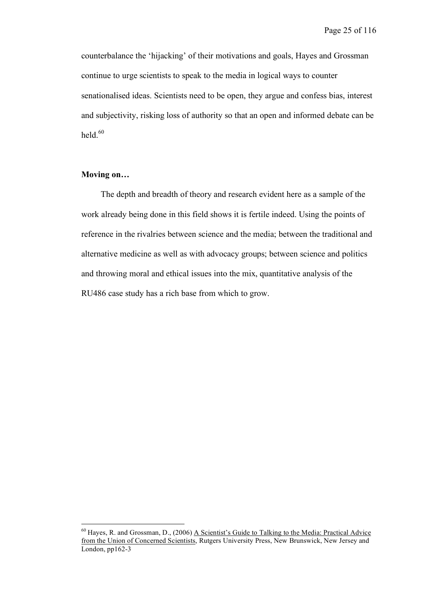counterbalance the 'hijacking' of their motivations and goals, Hayes and Grossman continue to urge scientists to speak to the media in logical ways to counter senationalised ideas. Scientists need to be open, they argue and confess bias, interest and subjectivity, risking loss of authority so that an open and informed debate can be held. $60$ 

## **Moving on…**

The depth and breadth of theory and research evident here as a sample of the work already being done in this field shows it is fertile indeed. Using the points of reference in the rivalries between science and the media; between the traditional and alternative medicine as well as with advocacy groups; between science and politics and throwing moral and ethical issues into the mix, quantitative analysis of the RU486 case study has a rich base from which to grow.

<sup>&</sup>lt;sup>60</sup> Hayes, R. and Grossman, D., (2006) A Scientist's Guide to Talking to the Media: Practical Advice from the Union of Concerned Scientists, Rutgers University Press, New Brunswick, New Jersey and London, pp162-3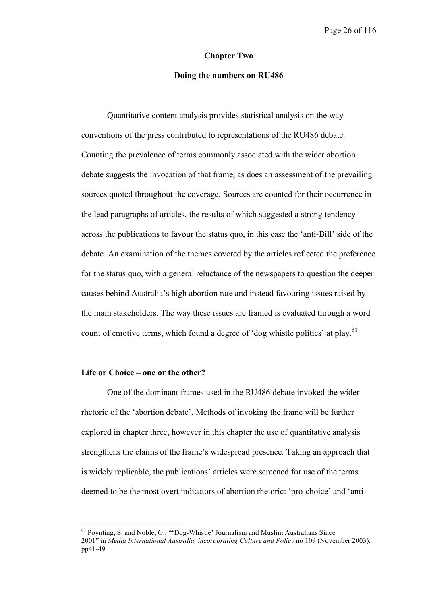## **Chapter Two**

## **Doing the numbers on RU486**

Quantitative content analysis provides statistical analysis on the way conventions of the press contributed to representations of the RU486 debate. Counting the prevalence of terms commonly associated with the wider abortion debate suggests the invocation of that frame, as does an assessment of the prevailing sources quoted throughout the coverage. Sources are counted for their occurrence in the lead paragraphs of articles, the results of which suggested a strong tendency across the publications to favour the status quo, in this case the 'anti-Bill' side of the debate. An examination of the themes covered by the articles reflected the preference for the status quo, with a general reluctance of the newspapers to question the deeper causes behind Australia's high abortion rate and instead favouring issues raised by the main stakeholders. The way these issues are framed is evaluated through a word count of emotive terms, which found a degree of 'dog whistle politics' at play.<sup>61</sup>

## **Life or Choice – one or the other?**

One of the dominant frames used in the RU486 debate invoked the wider rhetoric of the 'abortion debate'. Methods of invoking the frame will be further explored in chapter three, however in this chapter the use of quantitative analysis strengthens the claims of the frame's widespread presence. Taking an approach that is widely replicable, the publications' articles were screened for use of the terms deemed to be the most overt indicators of abortion rhetoric: 'pro-choice' and 'anti-

 <sup>61</sup> Poynting, S. and Noble, G., "'Dog-Whistle' Journalism and Muslim Australians Since 2001" in *Media International Australia, incorporating Culture and Policy* no 109 (November 2003), pp41-49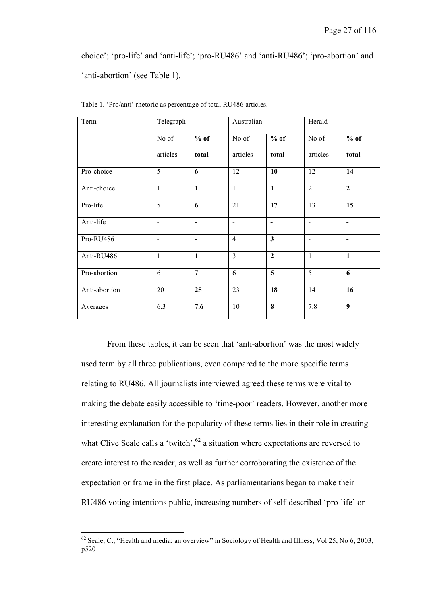choice'; 'pro-life' and 'anti-life'; 'pro-RU486' and 'anti-RU486'; 'pro-abortion' and 'anti-abortion' (see Table 1).

| Term          | Telegraph                |                              | Australian     |                         | Herald                   |                          |
|---------------|--------------------------|------------------------------|----------------|-------------------------|--------------------------|--------------------------|
|               | No of                    | $%$ of                       | No of          | $%$ of                  | No of                    | $%$ of                   |
|               | articles                 | total                        | articles       | total                   | articles                 | total                    |
| Pro-choice    | $\overline{5}$           | 6                            | 12             | 10                      | 12                       | 14                       |
| Anti-choice   | $\mathbf{1}$             | $\overline{1}$               | $\mathbf{1}$   | $\overline{1}$          | $\overline{2}$           | $\overline{2}$           |
| Pro-life      | 5                        | 6                            | 21             | 17                      | 13                       | 15                       |
| Anti-life     | $\blacksquare$           | $\qquad \qquad \blacksquare$ | $\blacksquare$ | $\blacksquare$          | $\overline{\phantom{a}}$ | $\overline{\phantom{a}}$ |
| Pro-RU486     | $\overline{\phantom{a}}$ | $\overline{\phantom{0}}$     | $\overline{4}$ | $\mathbf{3}$            | $\overline{\phantom{a}}$ | $\blacksquare$           |
| Anti-RU486    | $\mathbf{1}$             | $\mathbf{1}$                 | $\overline{3}$ | $\overline{2}$          | $\mathbf{1}$             | $\mathbf{1}$             |
| Pro-abortion  | 6                        | $\overline{7}$               | 6              | $\overline{\mathbf{5}}$ | $\overline{5}$           | 6                        |
| Anti-abortion | 20                       | 25                           | 23             | 18                      | 14                       | 16                       |
| Averages      | 6.3                      | 7.6                          | 10             | 8                       | 7.8                      | $\boldsymbol{9}$         |

Table 1. 'Pro/anti' rhetoric as percentage of total RU486 articles.

From these tables, it can be seen that 'anti-abortion' was the most widely used term by all three publications, even compared to the more specific terms relating to RU486. All journalists interviewed agreed these terms were vital to making the debate easily accessible to 'time-poor' readers. However, another more interesting explanation for the popularity of these terms lies in their role in creating what Clive Seale calls a 'twitch',<sup>62</sup> a situation where expectations are reversed to create interest to the reader, as well as further corroborating the existence of the expectation or frame in the first place. As parliamentarians began to make their RU486 voting intentions public, increasing numbers of self-described 'pro-life' or

 $62$  Seale, C., "Health and media: an overview" in Sociology of Health and Illness, Vol 25, No 6, 2003, p520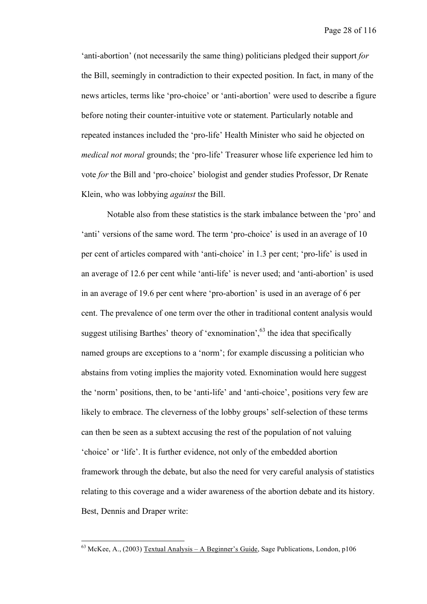'anti-abortion' (not necessarily the same thing) politicians pledged their support *for* the Bill, seemingly in contradiction to their expected position. In fact, in many of the news articles, terms like 'pro-choice' or 'anti-abortion' were used to describe a figure before noting their counter-intuitive vote or statement. Particularly notable and repeated instances included the 'pro-life' Health Minister who said he objected on *medical not moral* grounds; the 'pro-life' Treasurer whose life experience led him to vote *for* the Bill and 'pro-choice' biologist and gender studies Professor, Dr Renate Klein, who was lobbying *against* the Bill.

Notable also from these statistics is the stark imbalance between the 'pro' and 'anti' versions of the same word. The term 'pro-choice' is used in an average of 10 per cent of articles compared with 'anti-choice' in 1.3 per cent; 'pro-life' is used in an average of 12.6 per cent while 'anti-life' is never used; and 'anti-abortion' is used in an average of 19.6 per cent where 'pro-abortion' is used in an average of 6 per cent. The prevalence of one term over the other in traditional content analysis would suggest utilising Barthes' theory of 'exnomination',<sup>63</sup> the idea that specifically named groups are exceptions to a 'norm'; for example discussing a politician who abstains from voting implies the majority voted. Exnomination would here suggest the 'norm' positions, then, to be 'anti-life' and 'anti-choice', positions very few are likely to embrace. The cleverness of the lobby groups' self-selection of these terms can then be seen as a subtext accusing the rest of the population of not valuing 'choice' or 'life'. It is further evidence, not only of the embedded abortion framework through the debate, but also the need for very careful analysis of statistics relating to this coverage and a wider awareness of the abortion debate and its history. Best, Dennis and Draper write:

 $^{63}$  McKee, A., (2003) Textual Analysis – A Beginner's Guide, Sage Publications, London, p106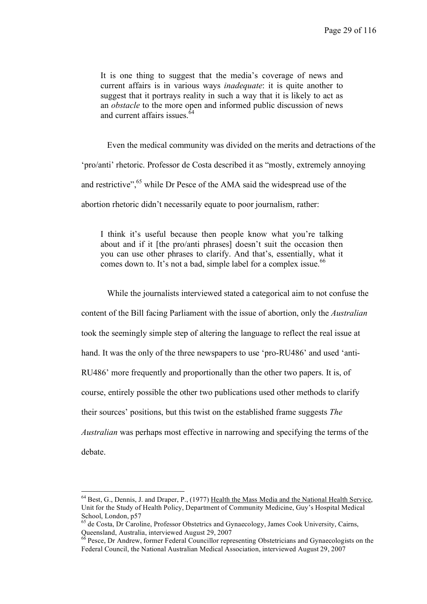It is one thing to suggest that the media's coverage of news and current affairs is in various ways *inadequate*: it is quite another to suggest that it portrays reality in such a way that it is likely to act as an *obstacle* to the more open and informed public discussion of news and current affairs issues.<sup>64</sup>

Even the medical community was divided on the merits and detractions of the 'pro/anti' rhetoric. Professor de Costa described it as "mostly, extremely annoying and restrictive",<sup>65</sup> while Dr Pesce of the AMA said the widespread use of the abortion rhetoric didn't necessarily equate to poor journalism, rather:

I think it's useful because then people know what you're talking about and if it [the pro/anti phrases] doesn't suit the occasion then you can use other phrases to clarify. And that's, essentially, what it comes down to. It's not a bad, simple label for a complex issue.  $66$ 

While the journalists interviewed stated a categorical aim to not confuse the content of the Bill facing Parliament with the issue of abortion, only the *Australian* took the seemingly simple step of altering the language to reflect the real issue at hand. It was the only of the three newspapers to use 'pro-RU486' and used 'anti-RU486' more frequently and proportionally than the other two papers. It is, of course, entirely possible the other two publications used other methods to clarify their sources' positions, but this twist on the established frame suggests *The Australian* was perhaps most effective in narrowing and specifying the terms of the debate.

 $<sup>64</sup>$  Best, G., Dennis, J. and Draper, P., (1977) Health the Mass Media and the National Health Service,</sup> Unit for the Study of Health Policy, Department of Community Medicine, Guy's Hospital Medical School, London, p57<br><sup>65</sup> de Costa, Dr Caroline, Professor Obstetrics and Gynaecology, James Cook University, Cairns,

Queensland, Australia, interviewed August 29, 2007<br><sup>66</sup> Pesce, Dr Andrew, former Federal Councillor representing Obstetricians and Gynaecologists on the

Federal Council, the National Australian Medical Association, interviewed August 29, 2007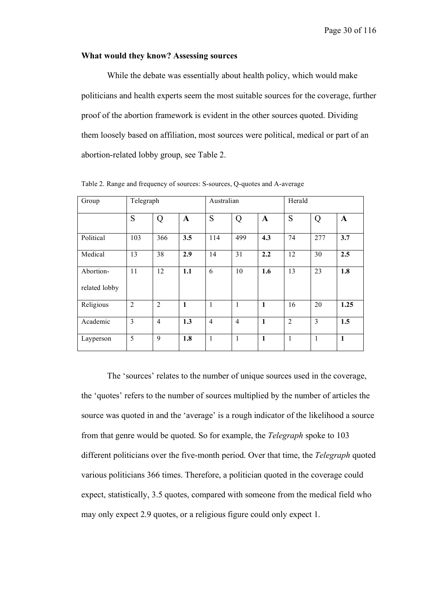## **What would they know? Assessing sources**

While the debate was essentially about health policy, which would make politicians and health experts seem the most suitable sources for the coverage, further proof of the abortion framework is evident in the other sources quoted. Dividing them loosely based on affiliation, most sources were political, medical or part of an abortion-related lobby group, see Table 2.

| Group                      | Telegraph      |                |              | Australian     |                |              | Herald         |                |              |
|----------------------------|----------------|----------------|--------------|----------------|----------------|--------------|----------------|----------------|--------------|
|                            | S              | Q              | $\mathbf A$  | S              | Q              | $\mathbf A$  | S              | Q              | $\mathbf A$  |
| Political                  | 103            | 366            | 3.5          | 114            | 499            | 4.3          | 74             | 277            | 3.7          |
| Medical                    | 13             | 38             | 2.9          | 14             | 31             | 2.2          | 12             | 30             | 2.5          |
| Abortion-<br>related lobby | 11             | 12             | 1.1          | 6              | 10             | 1.6          | 13             | 23             | 1.8          |
| Religious                  | $\overline{2}$ | $\overline{2}$ | $\mathbf{1}$ | 1              | $\mathbf{1}$   | $\mathbf{1}$ | 16             | 20             | 1.25         |
| Academic                   | $\overline{3}$ | $\overline{4}$ | 1.3          | $\overline{4}$ | $\overline{4}$ | $\mathbf{1}$ | $\overline{2}$ | $\overline{3}$ | 1.5          |
| Layperson                  | 5              | 9              | 1.8          | 1              | 1              | $\mathbf{1}$ | 1              | 1              | $\mathbf{1}$ |

Table 2. Range and frequency of sources: S-sources, Q-quotes and A-average

The 'sources' relates to the number of unique sources used in the coverage, the 'quotes' refers to the number of sources multiplied by the number of articles the source was quoted in and the 'average' is a rough indicator of the likelihood a source from that genre would be quoted. So for example, the *Telegraph* spoke to 103 different politicians over the five-month period. Over that time, the *Telegraph* quoted various politicians 366 times. Therefore, a politician quoted in the coverage could expect, statistically, 3.5 quotes, compared with someone from the medical field who may only expect 2.9 quotes, or a religious figure could only expect 1.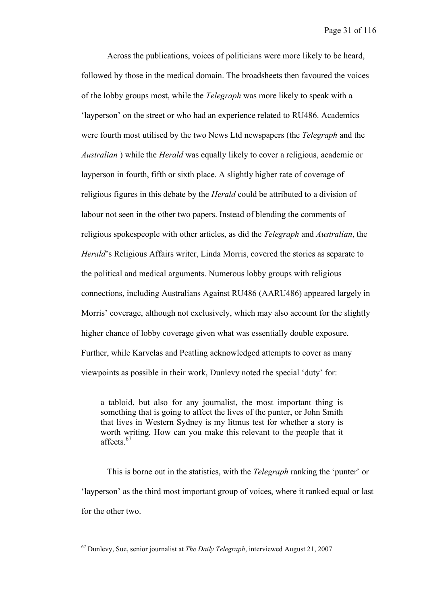Across the publications, voices of politicians were more likely to be heard, followed by those in the medical domain. The broadsheets then favoured the voices of the lobby groups most, while the *Telegraph* was more likely to speak with a 'layperson' on the street or who had an experience related to RU486. Academics were fourth most utilised by the two News Ltd newspapers (the *Telegraph* and the *Australian* ) while the *Herald* was equally likely to cover a religious, academic or layperson in fourth, fifth or sixth place. A slightly higher rate of coverage of religious figures in this debate by the *Herald* could be attributed to a division of labour not seen in the other two papers. Instead of blending the comments of religious spokespeople with other articles, as did the *Telegraph* and *Australian*, the *Herald*'s Religious Affairs writer, Linda Morris, covered the stories as separate to the political and medical arguments. Numerous lobby groups with religious connections, including Australians Against RU486 (AARU486) appeared largely in Morris' coverage, although not exclusively, which may also account for the slightly higher chance of lobby coverage given what was essentially double exposure. Further, while Karvelas and Peatling acknowledged attempts to cover as many viewpoints as possible in their work, Dunlevy noted the special 'duty' for:

a tabloid, but also for any journalist, the most important thing is something that is going to affect the lives of the punter, or John Smith that lives in Western Sydney is my litmus test for whether a story is worth writing. How can you make this relevant to the people that it affects. 67

This is borne out in the statistics, with the *Telegraph* ranking the 'punter' or 'layperson' as the third most important group of voices, where it ranked equal or last for the other two.

 <sup>67</sup> Dunlevy, Sue, senior journalist at *The Daily Telegraph*, interviewed August 21, <sup>2007</sup>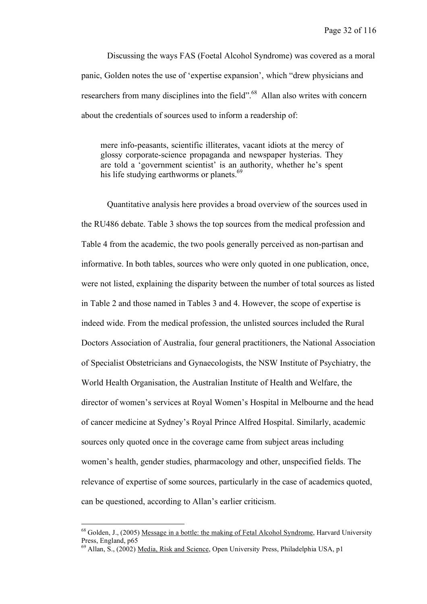Discussing the ways FAS (Foetal Alcohol Syndrome) was covered as a moral panic, Golden notes the use of 'expertise expansion', which "drew physicians and researchers from many disciplines into the field".<sup>68</sup> Allan also writes with concern about the credentials of sources used to inform a readership of:

mere info-peasants, scientific illiterates, vacant idiots at the mercy of glossy corporate-science propaganda and newspaper hysterias. They are told a 'government scientist' is an authority, whether he's spent his life studying earthworms or planets.<sup>69</sup>

Quantitative analysis here provides a broad overview of the sources used in the RU486 debate. Table 3 shows the top sources from the medical profession and Table 4 from the academic, the two pools generally perceived as non-partisan and informative. In both tables, sources who were only quoted in one publication, once, were not listed, explaining the disparity between the number of total sources as listed in Table 2 and those named in Tables 3 and 4. However, the scope of expertise is indeed wide. From the medical profession, the unlisted sources included the Rural Doctors Association of Australia, four general practitioners, the National Association of Specialist Obstetricians and Gynaecologists, the NSW Institute of Psychiatry, the World Health Organisation, the Australian Institute of Health and Welfare, the director of women's services at Royal Women's Hospital in Melbourne and the head of cancer medicine at Sydney's Royal Prince Alfred Hospital. Similarly, academic sources only quoted once in the coverage came from subject areas including women's health, gender studies, pharmacology and other, unspecified fields. The relevance of expertise of some sources, particularly in the case of academics quoted, can be questioned, according to Allan's earlier criticism.

 $68$  Golden, J., (2005) Message in a bottle: the making of Fetal Alcohol Syndrome, Harvard University Press, England,  $p65$ 

 $^{69}$  Allan, S., (2002) Media, Risk and Science, Open University Press, Philadelphia USA, p1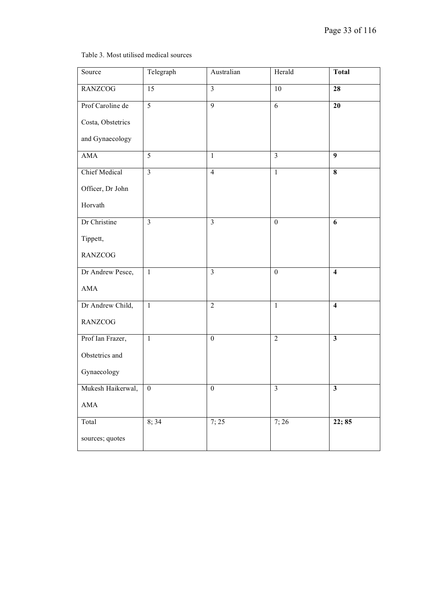## Table 3. Most utilised medical sources

| Source               | Telegraph        | Australian       | Herald                  | <b>Total</b>            |
|----------------------|------------------|------------------|-------------------------|-------------------------|
| <b>RANZCOG</b>       | 15               | $\overline{3}$   | 10                      | 28                      |
| Prof Caroline de     | 5                | 9                | $\overline{6}$          | 20                      |
| Costa, Obstetrics    |                  |                  |                         |                         |
| and Gynaecology      |                  |                  |                         |                         |
| <b>AMA</b>           | $\overline{5}$   | $\mathbf{1}$     | $\overline{\mathbf{3}}$ | 9                       |
| <b>Chief Medical</b> | $\overline{3}$   | $\overline{4}$   | $\overline{1}$          | $\overline{\mathbf{8}}$ |
| Officer, Dr John     |                  |                  |                         |                         |
| Horvath              |                  |                  |                         |                         |
| Dr Christine         | $\overline{3}$   | $\overline{3}$   | $\boldsymbol{0}$        | 6                       |
| Tippett,             |                  |                  |                         |                         |
| <b>RANZCOG</b>       |                  |                  |                         |                         |
| Dr Andrew Pesce,     | $\mathbf{1}$     | $\overline{3}$   | $\boldsymbol{0}$        | $\overline{\mathbf{4}}$ |
| <b>AMA</b>           |                  |                  |                         |                         |
| Dr Andrew Child,     | $\mathbf{1}$     | $\overline{2}$   | $\mathbf{1}$            | $\overline{\mathbf{4}}$ |
| <b>RANZCOG</b>       |                  |                  |                         |                         |
| Prof Ian Frazer,     | $\mathbf{1}$     | $\boldsymbol{0}$ | $\overline{2}$          | $\overline{\mathbf{3}}$ |
| Obstetrics and       |                  |                  |                         |                         |
| Gynaecology          |                  |                  |                         |                         |
| Mukesh Haikerwal,    | $\boldsymbol{0}$ | $\boldsymbol{0}$ | $\mathfrak{Z}$          | $\mathbf{3}$            |
| $\mathbf{AMA}$       |                  |                  |                         |                         |
| Total                | 8;34             | 7; 25            | 7;26                    | 22; 85                  |
| sources; quotes      |                  |                  |                         |                         |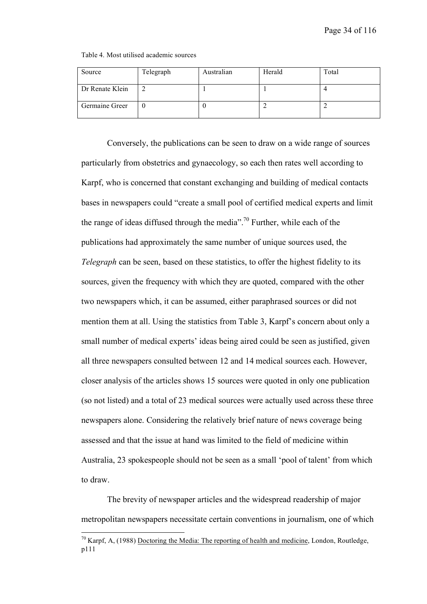| Table 4. Most utilised academic sources |  |  |
|-----------------------------------------|--|--|
|-----------------------------------------|--|--|

| Source          | Telegraph | Australian | Herald | Total |
|-----------------|-----------|------------|--------|-------|
| Dr Renate Klein | ∠         |            |        |       |
| Germaine Greer  |           |            |        |       |

Conversely, the publications can be seen to draw on a wide range of sources particularly from obstetrics and gynaecology, so each then rates well according to Karpf, who is concerned that constant exchanging and building of medical contacts bases in newspapers could "create a small pool of certified medical experts and limit the range of ideas diffused through the media".<sup>70</sup> Further, while each of the publications had approximately the same number of unique sources used, the *Telegraph* can be seen, based on these statistics, to offer the highest fidelity to its sources, given the frequency with which they are quoted, compared with the other two newspapers which, it can be assumed, either paraphrased sources or did not mention them at all. Using the statistics from Table 3, Karpf's concern about only a small number of medical experts' ideas being aired could be seen as justified, given all three newspapers consulted between 12 and 14 medical sources each. However, closer analysis of the articles shows 15 sources were quoted in only one publication (so not listed) and a total of 23 medical sources were actually used across these three newspapers alone. Considering the relatively brief nature of news coverage being assessed and that the issue at hand was limited to the field of medicine within Australia, 23 spokespeople should not be seen as a small 'pool of talent' from which to draw.

The brevity of newspaper articles and the widespread readership of major metropolitan newspapers necessitate certain conventions in journalism, one of which

 $70$  Karpf, A, (1988) Doctoring the Media: The reporting of health and medicine, London, Routledge, p111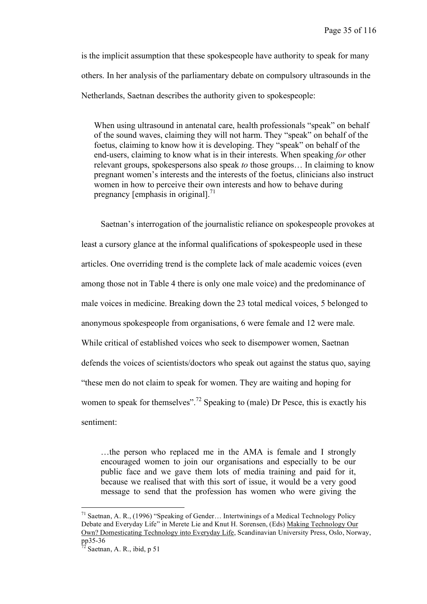is the implicit assumption that these spokespeople have authority to speak for many others. In her analysis of the parliamentary debate on compulsory ultrasounds in the Netherlands, Saetnan describes the authority given to spokespeople:

When using ultrasound in antenatal care, health professionals "speak" on behalf of the sound waves, claiming they will not harm. They "speak" on behalf of the foetus, claiming to know how it is developing. They "speak" on behalf of the end-users, claiming to know what is in their interests. When speaking *for* other relevant groups, spokespersons also speak *to* those groups… In claiming to know pregnant women's interests and the interests of the foetus, clinicians also instruct women in how to perceive their own interests and how to behave during pregnancy [emphasis in original].<sup>71</sup>

Saetnan's interrogation of the journalistic reliance on spokespeople provokes at least a cursory glance at the informal qualifications of spokespeople used in these articles. One overriding trend is the complete lack of male academic voices (even among those not in Table 4 there is only one male voice) and the predominance of male voices in medicine. Breaking down the 23 total medical voices, 5 belonged to anonymous spokespeople from organisations, 6 were female and 12 were male. While critical of established voices who seek to disempower women, Saetnan defends the voices of scientists/doctors who speak out against the status quo, saying "these men do not claim to speak for women. They are waiting and hoping for women to speak for themselves".<sup>72</sup> Speaking to (male) Dr Pesce, this is exactly his sentiment:

…the person who replaced me in the AMA is female and I strongly encouraged women to join our organisations and especially to be our public face and we gave them lots of media training and paid for it, because we realised that with this sort of issue, it would be a very good message to send that the profession has women who were giving the

 <sup>71</sup> Saetnan, A. R., (1996) "Speaking of Gender… Intertwinings of <sup>a</sup> Medical Technology Policy Debate and Everyday Life" in Merete Lie and Knut H. Sorensen, (Eds) Making Technology Our Own? Domesticating Technology into Everyday Life, Scandinavian University Press, Oslo, Norway,

Saetnan, A. R., ibid, p 51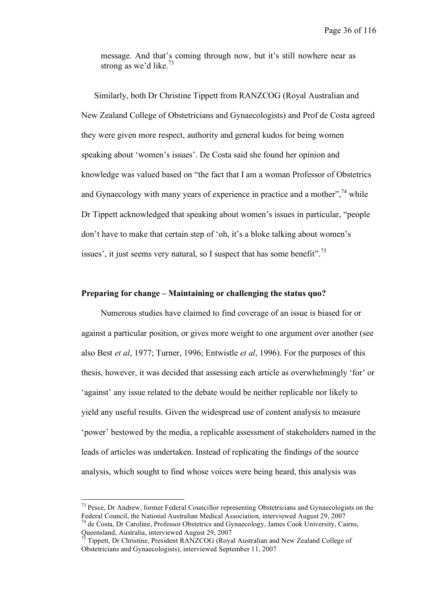message. And that's coming through now, but it's still nowhere near as strong as we'd like.<sup>73</sup>

Similarly, both Dr Christine Tippett from RANZCOG (Royal Australian and New Zealand College of Obstetricians and Gynaecologists) and Prof de Costa agreed they were given more respect, authority and general kudos for being women speaking about 'women's issues'. De Costa said she found her opinion and knowledge was valued based on "the fact that I am a woman Professor of Obstetrics and Gynaecology with many years of experience in practice and a mother",<sup>74</sup> while Dr Tippett acknowledged that speaking about women's issues in particular, "people don't have to make that certain step of 'oh, it's a bloke talking about women's issues', it just seems very natural, so I suspect that has some benefit".<sup>75</sup>

## **Preparing for change – Maintaining or challenging the status quo?**

Numerous studies have claimed to find coverage of an issue is biased for or against a particular position, or gives more weight to one argument over another (see also Best *et al*, 1977; Turner, 1996; Entwistle *et al*, 1996). For the purposes of this thesis, however, it was decided that assessing each article as overwhelmingly 'for' or 'against' any issue related to the debate would be neither replicable nor likely to yield any useful results. Given the widespread use of content analysis to measure 'power' bestowed by the media, a replicable assessment of stakeholders named in the leads of articles was undertaken. Instead of replicating the findings of the source analysis, which sought to find whose voices were being heard, this analysis was

 $^{73}$  Pesce, Dr Andrew, former Federal Councillor representing Obstetricians and Gynaecologists on the Federal Council, the National Australian Medical Association, interviewed August 29, 2007 <sup>74</sup> de Costa, Dr Caroline, Professor Obstetrics and Gynaecology, James Cook University, Cairns, Queensland, Australia, interviewed August 29, 2007

Tippett, Dr Christine, President RANZCOG (Royal Australian and New Zealand College of Obstetricians and Gynaecologists), interviewed September 11, 2007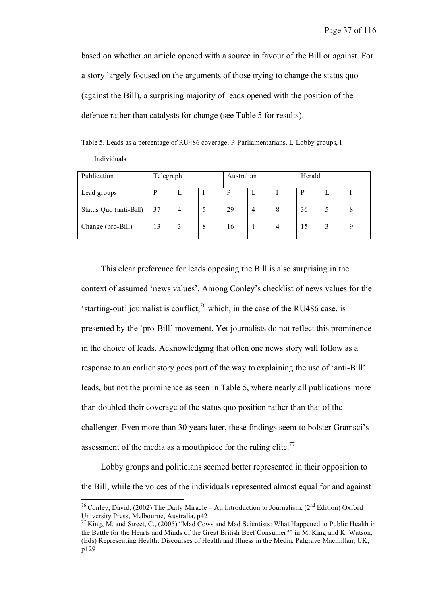based on whether an article opened with a source in favour of the Bill or against. For a story largely focused on the arguments of those trying to change the status quo (against the Bill), a surprising majority of leads opened with the position of the defence rather than catalysts for change (see Table 5 for results).

Table 5. Leads as a percentage of RU486 coverage; P-Parliamentarians, L-Lobby groups, I-Individuals

| Publication            | Telegraph |   | Australian |    |   | Herald |    |   |   |
|------------------------|-----------|---|------------|----|---|--------|----|---|---|
| Lead groups            | D         |   |            | P  |   |        |    | ட |   |
| Status Quo (anti-Bill) | 37        | 4 |            | 29 | 4 | 8      | 36 |   | 8 |
| Change (pro-Bill)      | 13        |   | 8          | 16 |   | 4      |    |   | Q |

This clear preference for leads opposing the Bill is also surprising in the context of assumed 'news values'. Among Conley's checklist of news values for the 'starting-out' journalist is conflict,  $76$  which, in the case of the RU486 case, is presented by the 'pro-Bill' movement. Yet journalists do not reflect this prominence in the choice of leads. Acknowledging that often one news story will follow as a response to an earlier story goes part of the way to explaining the use of 'anti-Bill' leads, but not the prominence as seen in Table 5, where nearly all publications more than doubled their coverage of the status quo position rather than that of the challenger. Even more than 30 years later, these findings seem to bolster Gramsci's assessment of the media as a mouthpiece for the ruling elite.<sup>77</sup>

Lobby groups and politicians seemed better represented in their opposition to the Bill, while the voices of the individuals represented almost equal for and against

<sup>&</sup>lt;sup>76</sup> Conley, David, (2002) <u>The Daily Miracle – An Introduction to Journalism</u>, (2<sup>nd</sup> Edition) Oxford University Press, Melbourne, Australia, p42

 $^{77}$  King, M. and Street, C., (2005) "Mad Cows and Mad Scientists: What Happened to Public Health in the Battle for the Hearts and Minds of the Great British Beef Consumer?" in M. King and K. Watson, (Eds) Representing Health: Discourses of Health and Illness in the Media, Palgrave Macmillan, UK, p129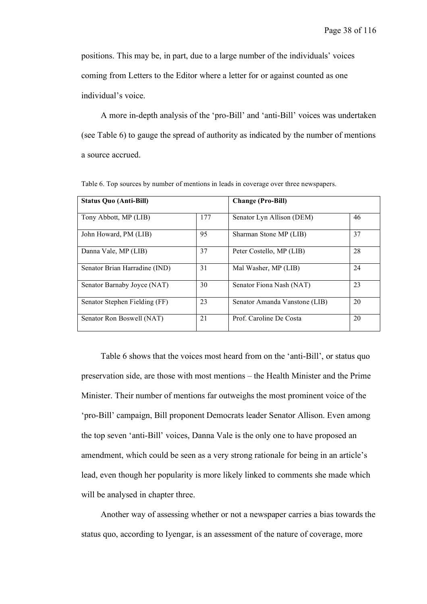positions. This may be, in part, due to a large number of the individuals' voices coming from Letters to the Editor where a letter for or against counted as one individual's voice.

A more in-depth analysis of the 'pro-Bill' and 'anti-Bill' voices was undertaken (see Table 6) to gauge the spread of authority as indicated by the number of mentions a source accrued.

| <b>Status Quo (Anti-Bill)</b> |     | <b>Change (Pro-Bill)</b>      |    |  |  |  |
|-------------------------------|-----|-------------------------------|----|--|--|--|
| Tony Abbott, MP (LIB)         | 177 | Senator Lyn Allison (DEM)     | 46 |  |  |  |
| John Howard, PM (LIB)         | 95  | Sharman Stone MP (LIB)        | 37 |  |  |  |
| Danna Vale, MP (LIB)          | 37  | Peter Costello, MP (LIB)      | 28 |  |  |  |
| Senator Brian Harradine (IND) | 31  | Mal Washer, MP (LIB)          | 24 |  |  |  |
| Senator Barnaby Joyce (NAT)   | 30  | Senator Fiona Nash (NAT)      | 23 |  |  |  |
| Senator Stephen Fielding (FF) | 23  | Senator Amanda Vanstone (LIB) | 20 |  |  |  |
| Senator Ron Boswell (NAT)     | 21  | Prof. Caroline De Costa       | 20 |  |  |  |

Table 6. Top sources by number of mentions in leads in coverage over three newspapers.

Table 6 shows that the voices most heard from on the 'anti-Bill', or status quo preservation side, are those with most mentions – the Health Minister and the Prime Minister. Their number of mentions far outweighs the most prominent voice of the 'pro-Bill' campaign, Bill proponent Democrats leader Senator Allison. Even among the top seven 'anti-Bill' voices, Danna Vale is the only one to have proposed an amendment, which could be seen as a very strong rationale for being in an article's lead, even though her popularity is more likely linked to comments she made which will be analysed in chapter three.

Another way of assessing whether or not a newspaper carries a bias towards the status quo, according to Iyengar, is an assessment of the nature of coverage, more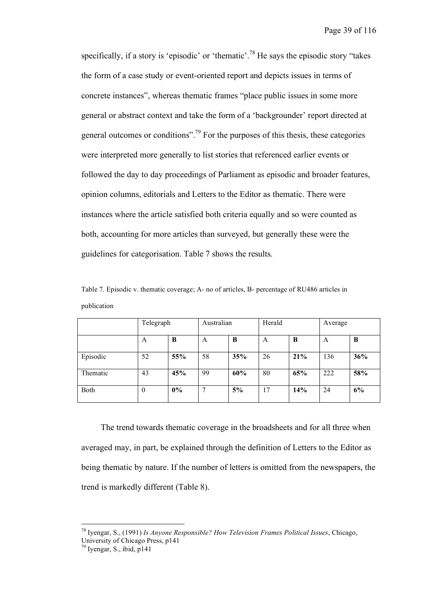specifically, if a story is 'episodic' or 'thematic'.<sup>78</sup> He says the episodic story "takes the form of a case study or event-oriented report and depicts issues in terms of concrete instances", whereas thematic frames "place public issues in some more general or abstract context and take the form of a 'backgrounder' report directed at general outcomes or conditions".<sup>79</sup> For the purposes of this thesis, these categories were interpreted more generally to list stories that referenced earlier events or followed the day to day proceedings of Parliament as episodic and broader features, opinion columns, editorials and Letters to the Editor as thematic. There were instances where the article satisfied both criteria equally and so were counted as both, accounting for more articles than surveyed, but generally these were the guidelines for categorisation. Table 7 shows the results.

|             |  | Table 7. Episodic v. thematic coverage; A- no of articles, B- percentage of RU486 articles in |  |  |
|-------------|--|-----------------------------------------------------------------------------------------------|--|--|
| publication |  |                                                                                               |  |  |

|          | Telegraph |       | Australian |     | Herald |     | Average |     |
|----------|-----------|-------|------------|-----|--------|-----|---------|-----|
|          | A         | B     | A          | B   | A      | B   | A       | B   |
| Episodic | 52        | 55%   | 58         | 35% | 26     | 21% | 136     | 36% |
| Thematic | 43        | 45%   | 99         | 60% | 80     | 65% | 222     | 58% |
| Both     | $\theta$  | $0\%$ | 7          | 5%  | 17     | 14% | 24      | 6%  |

The trend towards thematic coverage in the broadsheets and for all three when averaged may, in part, be explained through the definition of Letters to the Editor as being thematic by nature. If the number of letters is omitted from the newspapers, the trend is markedly different (Table 8).

 <sup>78</sup> Iyengar, S., (1991) *Is Anyone Responsible? How Television Frames Political Issues*, Chicago,

University of Chicago Press, p141<br><sup>79</sup> Ivengar, S., ibid, p141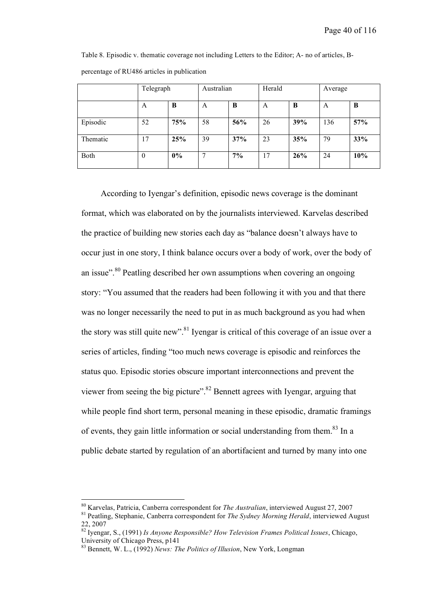Table 8. Episodic v. thematic coverage not including Letters to the Editor; A- no of articles, Bpercentage of RU486 articles in publication

|          | Telegraph      |       | Australian |     | Herald |     | Average |     |
|----------|----------------|-------|------------|-----|--------|-----|---------|-----|
|          | A              | B     | A          | B   | A      | B   | A       | B   |
| Episodic | 52             | 75%   | 58         | 56% | 26     | 39% | 136     | 57% |
| Thematic | 17             | 25%   | 39         | 37% | 23     | 35% | 79      | 33% |
| Both     | $\overline{0}$ | $0\%$ | 7          | 7%  | 17     | 26% | 24      | 10% |

According to Iyengar's definition, episodic news coverage is the dominant format, which was elaborated on by the journalists interviewed. Karvelas described the practice of building new stories each day as "balance doesn't always have to occur just in one story, I think balance occurs over a body of work, over the body of an issue".<sup>80</sup> Peatling described her own assumptions when covering an ongoing story: "You assumed that the readers had been following it with you and that there was no longer necessarily the need to put in as much background as you had when the story was still quite new".<sup>81</sup> Iyengar is critical of this coverage of an issue over a series of articles, finding "too much news coverage is episodic and reinforces the status quo. Episodic stories obscure important interconnections and prevent the viewer from seeing the big picture".<sup>82</sup> Bennett agrees with Iyengar, arguing that while people find short term, personal meaning in these episodic, dramatic framings of events, they gain little information or social understanding from them.<sup>83</sup> In a public debate started by regulation of an abortifacient and turned by many into one

<sup>&</sup>lt;sup>80</sup> Karvelas, Patricia, Canberra correspondent for *The Australian*, interviewed August 27, 2007<br><sup>81</sup> Peatling, Stephanie, Canberra correspondent for *The Sydney Morning Herald*, interviewed August

<sup>22,</sup> <sup>2007</sup> <sup>82</sup> Iyengar, S., (1991) *Is Anyone Responsible? How Television Frames Political Issues*, Chicago,

<sup>&</sup>lt;sup>83</sup> Bennett, W. L., (1992) *News: The Politics of Illusion*, New York, Longman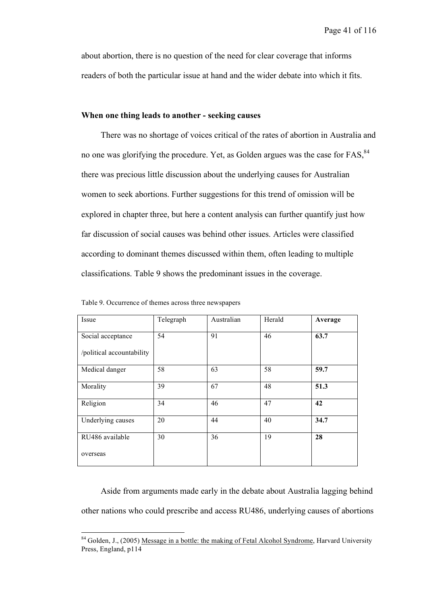about abortion, there is no question of the need for clear coverage that informs readers of both the particular issue at hand and the wider debate into which it fits.

## **When one thing leads to another - seeking causes**

There was no shortage of voices critical of the rates of abortion in Australia and no one was glorifying the procedure. Yet, as Golden argues was the case for FAS,<sup>84</sup> there was precious little discussion about the underlying causes for Australian women to seek abortions. Further suggestions for this trend of omission will be explored in chapter three, but here a content analysis can further quantify just how far discussion of social causes was behind other issues. Articles were classified according to dominant themes discussed within them, often leading to multiple classifications. Table 9 shows the predominant issues in the coverage.

| Issue                     | Telegraph | Australian | Herald | Average |
|---------------------------|-----------|------------|--------|---------|
| Social acceptance         | 54        | 91         | 46     | 63.7    |
| /political accountability |           |            |        |         |
| Medical danger            | 58        | 63         | 58     | 59.7    |
| Morality                  | 39        | 67         | 48     | 51.3    |
| Religion                  | 34        | 46         | 47     | 42      |
| Underlying causes         | 20        | 44         | 40     | 34.7    |
| RU486 available           | 30        | 36         | 19     | 28      |
| overseas                  |           |            |        |         |

Table 9. Occurrence of themes across three newspapers

Aside from arguments made early in the debate about Australia lagging behind other nations who could prescribe and access RU486, underlying causes of abortions

<sup>&</sup>lt;sup>84</sup> Golden, J., (2005) Message in a bottle: the making of Fetal Alcohol Syndrome, Harvard University Press, England, p114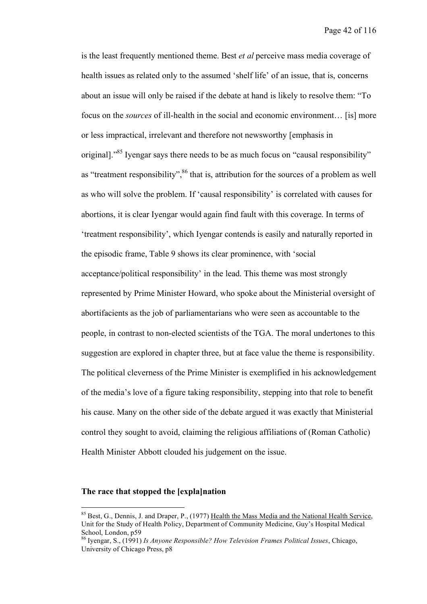is the least frequently mentioned theme. Best *et al* perceive mass media coverage of health issues as related only to the assumed 'shelf life' of an issue, that is, concerns about an issue will only be raised if the debate at hand is likely to resolve them: "To focus on the *sources* of ill-health in the social and economic environment… [is] more or less impractical, irrelevant and therefore not newsworthy [emphasis in original].<sup>85</sup> Iyengar says there needs to be as much focus on "causal responsibility" as "treatment responsibility",<sup>86</sup> that is, attribution for the sources of a problem as well as who will solve the problem. If 'causal responsibility' is correlated with causes for abortions, it is clear Iyengar would again find fault with this coverage. In terms of 'treatment responsibility', which Iyengar contends is easily and naturally reported in the episodic frame, Table 9 shows its clear prominence, with 'social acceptance/political responsibility' in the lead. This theme was most strongly represented by Prime Minister Howard, who spoke about the Ministerial oversight of abortifacients as the job of parliamentarians who were seen as accountable to the people, in contrast to non-elected scientists of the TGA. The moral undertones to this suggestion are explored in chapter three, but at face value the theme is responsibility. The political cleverness of the Prime Minister is exemplified in his acknowledgement of the media's love of a figure taking responsibility, stepping into that role to benefit his cause. Many on the other side of the debate argued it was exactly that Ministerial control they sought to avoid, claiming the religious affiliations of (Roman Catholic) Health Minister Abbott clouded his judgement on the issue.

# **The race that stopped the [expla]nation**

 $85$  Best, G., Dennis, J. and Draper, P., (1977) Health the Mass Media and the National Health Service, Unit for the Study of Health Policy, Department of Community Medicine, Guy's Hospital Medical School, London, p59 <sup>86</sup> Iyengar, S., (1991) *Is Anyone Responsible? How Television Frames Political Issues*, Chicago,

University of Chicago Press, p8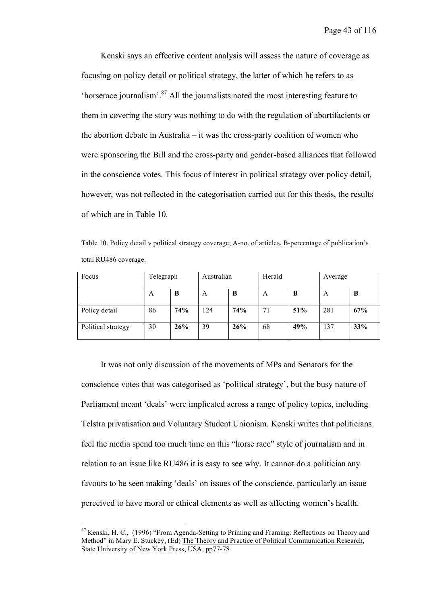Kenski says an effective content analysis will assess the nature of coverage as focusing on policy detail or political strategy, the latter of which he refers to as 'horserace journalism'. <sup>87</sup> All the journalists noted the most interesting feature to them in covering the story was nothing to do with the regulation of abortifacients or the abortion debate in Australia – it was the cross-party coalition of women who were sponsoring the Bill and the cross-party and gender-based alliances that followed in the conscience votes. This focus of interest in political strategy over policy detail, however, was not reflected in the categorisation carried out for this thesis, the results of which are in Table 10.

Table 10. Policy detail v political strategy coverage; A-no. of articles, B-percentage of publication's total RU486 coverage.

| Focus              | Telegraph |            | Australian |            | Herald |     | Average |     |
|--------------------|-----------|------------|------------|------------|--------|-----|---------|-----|
|                    | A         | B          | A          | B          | A      | B   | А       | B   |
| Policy detail      | 86        | <b>74%</b> | 124        | <b>74%</b> | 71     | 51% | 281     | 67% |
| Political strategy | 30        | 26%        | 39         | 26%        | 68     | 49% | 137     | 33% |

It was not only discussion of the movements of MPs and Senators for the conscience votes that was categorised as 'political strategy', but the busy nature of Parliament meant 'deals' were implicated across a range of policy topics, including Telstra privatisation and Voluntary Student Unionism. Kenski writes that politicians feel the media spend too much time on this "horse race" style of journalism and in relation to an issue like RU486 it is easy to see why. It cannot do a politician any favours to be seen making 'deals' on issues of the conscience, particularly an issue perceived to have moral or ethical elements as well as affecting women's health.

<sup>&</sup>lt;sup>87</sup> Kenski, H. C., (1996) "From Agenda-Setting to Priming and Framing: Reflections on Theory and Method" in Mary E. Stuckey, (Ed) The Theory and Practice of Political Communication Research, State University of New York Press, USA, pp77-78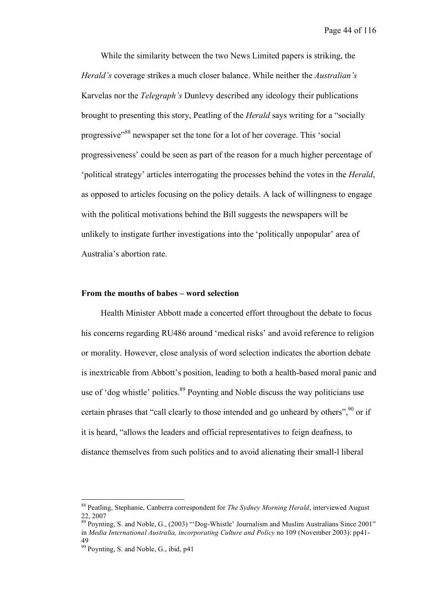While the similarity between the two News Limited papers is striking, the *Herald's* coverage strikes a much closer balance. While neither the *Australian's* Karvelas nor the *Telegraph's* Dunlevy described any ideology their publications brought to presenting this story, Peatling of the *Herald* says writing for a "socially progressive<sup>388</sup> newspaper set the tone for a lot of her coverage. This 'social progressiveness' could be seen as part of the reason for a much higher percentage of 'political strategy' articles interrogating the processes behind the votes in the *Herald*, as opposed to articles focusing on the policy details. A lack of willingness to engage with the political motivations behind the Bill suggests the newspapers will be unlikely to instigate further investigations into the 'politically unpopular' area of Australia's abortion rate.

#### **From the mouths of babes – word selection**

Health Minister Abbott made a concerted effort throughout the debate to focus his concerns regarding RU486 around 'medical risks' and avoid reference to religion or morality. However, close analysis of word selection indicates the abortion debate is inextricable from Abbott's position, leading to both a health-based moral panic and use of 'dog whistle' politics.<sup>89</sup> Poynting and Noble discuss the way politicians use certain phrases that "call clearly to those intended and go unheard by others", <sup>90</sup> or if it is heard, "allows the leaders and official representatives to feign deafness, to distance themselves from such politics and to avoid alienating their small-l liberal

 <sup>88</sup> Peatling, Stephanie, Canberra correspondent for *The Sydney Morning Herald*, interviewed August 22, 2007<br><sup>89</sup> Poynting, S. and Noble, G., (2003) "'Dog-Whistle' Journalism and Muslim Australians Since 2001"

in *Media International Australia, incorporating Culture and Policy* no 109 (November 2003): pp41- 49

 $90$  Poynting, S. and Noble, G., ibid, p41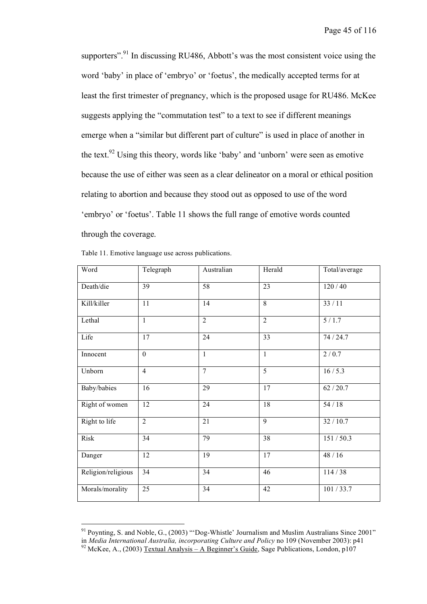supporters".<sup>91</sup> In discussing RU486, Abbott's was the most consistent voice using the word 'baby' in place of 'embryo' or 'foetus', the medically accepted terms for at least the first trimester of pregnancy, which is the proposed usage for RU486. McKee suggests applying the "commutation test" to a text to see if different meanings emerge when a "similar but different part of culture" is used in place of another in the text.<sup>92</sup> Using this theory, words like 'baby' and 'unborn' were seen as emotive because the use of either was seen as a clear delineator on a moral or ethical position relating to abortion and because they stood out as opposed to use of the word 'embryo' or 'foetus'. Table 11 shows the full range of emotive words counted through the coverage.

| Word               | Telegraph      | Australian     | Herald          | Total/average |
|--------------------|----------------|----------------|-----------------|---------------|
| Death/die          | 39             | 58             | $\overline{23}$ | 120/40        |
| Kill/killer        | 11             | 14             | $\overline{8}$  | 33/11         |
| Lethal             | $\mathbf{1}$   | $\overline{2}$ | $\overline{2}$  | 5/1.7         |
| Life               | 17             | 24             | 33              | 74 / 24.7     |
| Innocent           | $\mathbf{0}$   | $\mathbf{1}$   | $\mathbf{1}$    | 2/0.7         |
| Unborn             | $\overline{4}$ | $\overline{7}$ | $\overline{5}$  | 16/5.3        |
| Baby/babies        | 16             | 29             | $\overline{17}$ | 62/20.7       |
| Right of women     | 12             | 24             | 18              | $54/18$       |
| Right to life      | $\overline{2}$ | 21             | $\overline{9}$  | 32 / 10.7     |
| Risk               | 34             | 79             | 38              | 151/50.3      |
| Danger             | 12             | 19             | $\overline{17}$ | 48/16         |
| Religion/religious | 34             | 34             | 46              | 114/38        |
| Morals/morality    | 25             | 34             | 42              | 101/33.7      |

<sup>&</sup>lt;sup>91</sup> Poynting, S. and Noble, G., (2003) "'Dog-Whistle' Journalism and Muslim Australians Since 2001" in *Media International Australia, incorporating Culture and Policy* no 109 (November 2003): p41

<sup>&</sup>lt;sup>92</sup> McKee, A., (2003) Textual Analysis – A Beginner's Guide, Sage Publications, London,  $p107$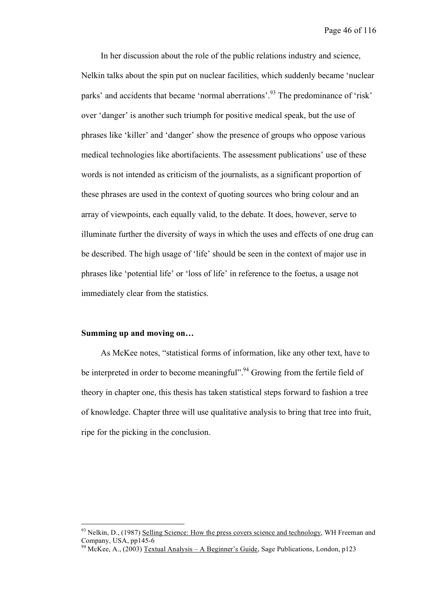In her discussion about the role of the public relations industry and science, Nelkin talks about the spin put on nuclear facilities, which suddenly became 'nuclear parks' and accidents that became 'normal aberrations'.<sup>93</sup> The predominance of 'risk' over 'danger' is another such triumph for positive medical speak, but the use of phrases like 'killer' and 'danger' show the presence of groups who oppose various medical technologies like abortifacients. The assessment publications' use of these words is not intended as criticism of the journalists, as a significant proportion of these phrases are used in the context of quoting sources who bring colour and an array of viewpoints, each equally valid, to the debate. It does, however, serve to illuminate further the diversity of ways in which the uses and effects of one drug can be described. The high usage of 'life' should be seen in the context of major use in phrases like 'potential life' or 'loss of life' in reference to the foetus, a usage not immediately clear from the statistics.

### **Summing up and moving on…**

As McKee notes, "statistical forms of information, like any other text, have to be interpreted in order to become meaningful".<sup>94</sup> Growing from the fertile field of theory in chapter one, this thesis has taken statistical steps forward to fashion a tree of knowledge. Chapter three will use qualitative analysis to bring that tree into fruit, ripe for the picking in the conclusion.

<sup>&</sup>lt;sup>93</sup> Nelkin, D., (1987) <u>Selling Science: How the press covers science and technology</u>, WH Freeman and Company, USA, pp145-6

<sup>&</sup>lt;sup>94</sup> McKee, A., (2003) Textual Analysis – A Beginner's Guide, Sage Publications, London, p123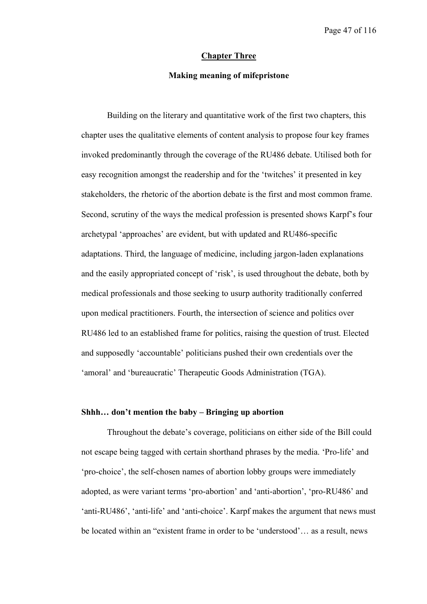#### **Chapter Three**

## **Making meaning of mifepristone**

Building on the literary and quantitative work of the first two chapters, this chapter uses the qualitative elements of content analysis to propose four key frames invoked predominantly through the coverage of the RU486 debate. Utilised both for easy recognition amongst the readership and for the 'twitches' it presented in key stakeholders, the rhetoric of the abortion debate is the first and most common frame. Second, scrutiny of the ways the medical profession is presented shows Karpf's four archetypal 'approaches' are evident, but with updated and RU486-specific adaptations. Third, the language of medicine, including jargon-laden explanations and the easily appropriated concept of 'risk', is used throughout the debate, both by medical professionals and those seeking to usurp authority traditionally conferred upon medical practitioners. Fourth, the intersection of science and politics over RU486 led to an established frame for politics, raising the question of trust. Elected and supposedly 'accountable' politicians pushed their own credentials over the 'amoral' and 'bureaucratic' Therapeutic Goods Administration (TGA).

## **Shhh… don't mention the baby – Bringing up abortion**

Throughout the debate's coverage, politicians on either side of the Bill could not escape being tagged with certain shorthand phrases by the media. 'Pro-life' and 'pro-choice', the self-chosen names of abortion lobby groups were immediately adopted, as were variant terms 'pro-abortion' and 'anti-abortion', 'pro-RU486' and 'anti-RU486', 'anti-life' and 'anti-choice'. Karpf makes the argument that news must be located within an "existent frame in order to be 'understood'… as a result, news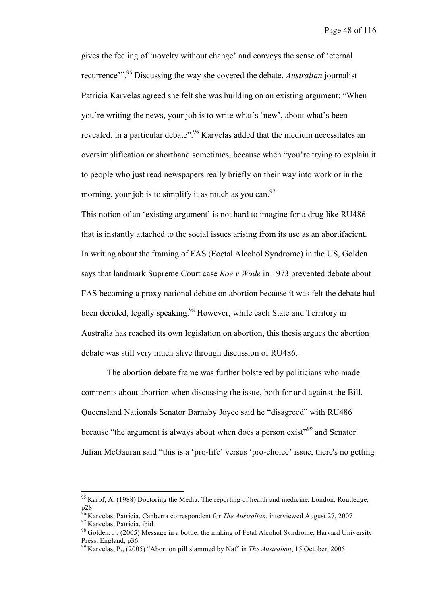gives the feeling of 'novelty without change' and conveys the sense of 'eternal recurrence'". <sup>95</sup> Discussing the way she covered the debate, *Australian* journalist Patricia Karvelas agreed she felt she was building on an existing argument: "When you're writing the news, your job is to write what's 'new', about what's been revealed, in a particular debate".<sup>96</sup> Karvelas added that the medium necessitates an oversimplification or shorthand sometimes, because when "you're trying to explain it to people who just read newspapers really briefly on their way into work or in the morning, your job is to simplify it as much as you can.  $97$ 

This notion of an 'existing argument' is not hard to imagine for a drug like RU486 that is instantly attached to the social issues arising from its use as an abortifacient. In writing about the framing of FAS (Foetal Alcohol Syndrome) in the US, Golden says that landmark Supreme Court case *Roe v Wade* in 1973 prevented debate about FAS becoming a proxy national debate on abortion because it was felt the debate had been decided, legally speaking.<sup>98</sup> However, while each State and Territory in Australia has reached its own legislation on abortion, this thesis argues the abortion debate was still very much alive through discussion of RU486.

The abortion debate frame was further bolstered by politicians who made comments about abortion when discussing the issue, both for and against the Bill. Queensland Nationals Senator Barnaby Joyce said he "disagreed" with RU486 because "the argument is always about when does a person exist"<sup>99</sup> and Senator Julian McGauran said "this is a 'pro-life' versus 'pro-choice' issue, there's no getting

 $95$  Karpf, A, (1988) Doctoring the Media: The reporting of health and medicine, London, Routledge,

p28<br><sup>96</sup> Karvelas, Patricia, Canberra correspondent for *The Australian*, interviewed August 27, 2007<br><sup>97</sup> Karvelas, Patricia, ibid<br><sup>98</sup> Golden, J., (2005) <u>Message in a bottle: the making of Fetal Alcohol Syndrome</u>, Harva

<sup>&</sup>lt;sup>99</sup> Karvelas, P., (2005) "Abortion pill slammed by Nat" in *The Australian*, 15 October, 2005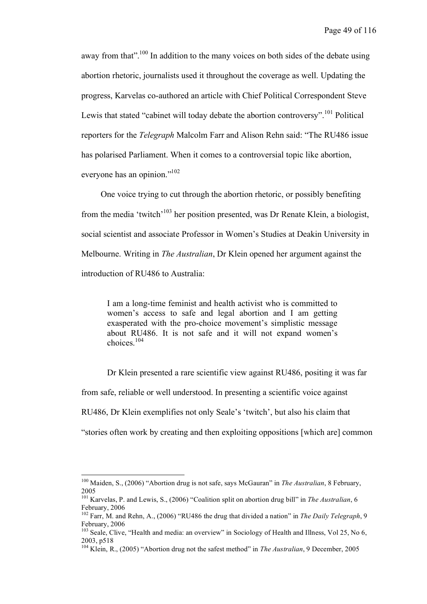away from that".<sup>100</sup> In addition to the many voices on both sides of the debate using abortion rhetoric, journalists used it throughout the coverage as well. Updating the progress, Karvelas co-authored an article with Chief Political Correspondent Steve Lewis that stated "cabinet will today debate the abortion controversy".<sup>101</sup> Political reporters for the *Telegraph* Malcolm Farr and Alison Rehn said: "The RU486 issue has polarised Parliament. When it comes to a controversial topic like abortion, everyone has an opinion."<sup>102</sup>

One voice trying to cut through the abortion rhetoric, or possibly benefiting from the media 'twitch'103 her position presented, was Dr Renate Klein, a biologist, social scientist and associate Professor in Women's Studies at Deakin University in Melbourne. Writing in *The Australian*, Dr Klein opened her argument against the introduction of RU486 to Australia:

I am a long-time feminist and health activist who is committed to women's access to safe and legal abortion and I am getting exasperated with the pro-choice movement's simplistic message about RU486. It is not safe and it will not expand women's choices. 104

Dr Klein presented a rare scientific view against RU486, positing it was far from safe, reliable or well understood. In presenting a scientific voice against RU486, Dr Klein exemplifies not only Seale's 'twitch', but also his claim that "stories often work by creating and then exploiting oppositions [which are] common

 <sup>100</sup> Maiden, S., (2006) "Abortion drug is not safe, says McGauran" in *The Australian*, <sup>8</sup> February, <sup>2005</sup> <sup>101</sup> Karvelas, P. and Lewis, S., (2006) "Coalition split on abortion drug bill" in *The Australian*, <sup>6</sup>

February, <sup>2006</sup> <sup>102</sup> Farr, M. and Rehn, A., (2006) "RU486 the drug that divided <sup>a</sup> nation" in *The Daily Telegraph*, <sup>9</sup>

February, 2006<br><sup>103</sup> Seale, Clive, "Health and media: an overview" in Sociology of Health and Illness, Vol 25, No 6,

<sup>2003,</sup> p518 <sup>104</sup> Klein, R., (2005) "Abortion drug not the safest method" in *The Australian*, <sup>9</sup> December, <sup>2005</sup>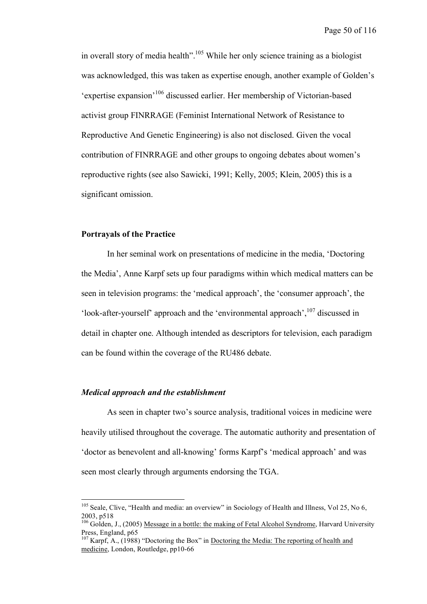in overall story of media health".<sup>105</sup> While her only science training as a biologist was acknowledged, this was taken as expertise enough, another example of Golden's 'expertise expansion'<sup>106</sup> discussed earlier. Her membership of Victorian-based activist group FINRRAGE (Feminist International Network of Resistance to Reproductive And Genetic Engineering) is also not disclosed. Given the vocal contribution of FINRRAGE and other groups to ongoing debates about women's reproductive rights (see also Sawicki, 1991; Kelly, 2005; Klein, 2005) this is a significant omission.

### **Portrayals of the Practice**

In her seminal work on presentations of medicine in the media, 'Doctoring the Media', Anne Karpf sets up four paradigms within which medical matters can be seen in television programs: the 'medical approach', the 'consumer approach', the 'look-after-yourself' approach and the 'environmental approach', <sup>107</sup> discussed in detail in chapter one. Although intended as descriptors for television, each paradigm can be found within the coverage of the RU486 debate.

#### *Medical approach and the establishment*

As seen in chapter two's source analysis, traditional voices in medicine were heavily utilised throughout the coverage. The automatic authority and presentation of 'doctor as benevolent and all-knowing' forms Karpf's 'medical approach' and was seen most clearly through arguments endorsing the TGA.

<sup>&</sup>lt;sup>105</sup> Seale. Clive. "Health and media: an overview" in Sociology of Health and Illness, Vol 25, No 6, 2003, p518<br><sup>106</sup> Golden, J., (2005) <u>Message in a bottle: the making of Fetal Alcohol Syndrome</u>, Harvard University

Press, England, p65<br><sup>107</sup> Karpf, A., (1988) "Doctoring the Box" in <u>Doctoring the Media: The reporting of health and</u>

medicine, London, Routledge, pp10-66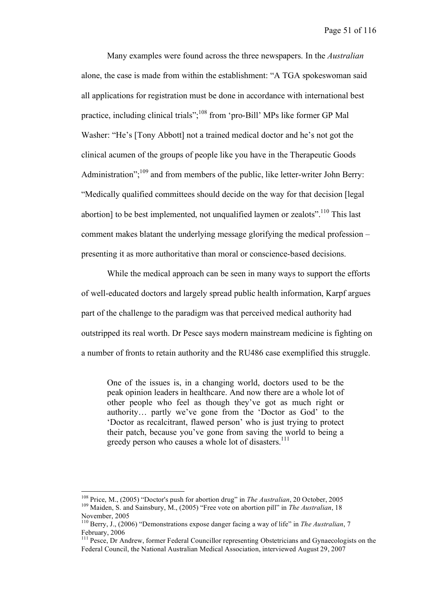Many examples were found across the three newspapers. In the *Australian* alone, the case is made from within the establishment: "A TGA spokeswoman said all applications for registration must be done in accordance with international best practice, including clinical trials",<sup>108</sup> from 'pro-Bill' MPs like former GP Mal Washer: "He's [Tony Abbott] not a trained medical doctor and he's not got the clinical acumen of the groups of people like you have in the Therapeutic Goods Administration";<sup>109</sup> and from members of the public, like letter-writer John Berry: "Medically qualified committees should decide on the way for that decision [legal abortion] to be best implemented, not unqualified laymen or zealots".<sup>110</sup> This last comment makes blatant the underlying message glorifying the medical profession – presenting it as more authoritative than moral or conscience-based decisions.

While the medical approach can be seen in many ways to support the efforts of well-educated doctors and largely spread public health information, Karpf argues part of the challenge to the paradigm was that perceived medical authority had outstripped its real worth. Dr Pesce says modern mainstream medicine is fighting on a number of fronts to retain authority and the RU486 case exemplified this struggle.

One of the issues is, in a changing world, doctors used to be the peak opinion leaders in healthcare. And now there are a whole lot of other people who feel as though they've got as much right or authority… partly we've gone from the 'Doctor as God' to the 'Doctor as recalcitrant, flawed person' who is just trying to protect their patch, because you've gone from saving the world to being a greedy person who causes a whole lot of disasters. 111

<sup>&</sup>lt;sup>108</sup> Price, M., (2005) "Doctor's push for abortion drug" in *The Australian*, 20 October, 2005<br><sup>109</sup> Maiden, S. and Sainsbury, M., (2005) "Free vote on abortion pill" in *The Australian*, 18<br>November, 2005

<sup>&</sup>lt;sup>110</sup> Berry, J., (2006) "Demonstrations expose danger facing a way of life" in *The Australian*, 7 February, 2006<br><sup>111</sup> Pesce, Dr Andrew, former Federal Councillor representing Obstetricians and Gynaecologists on the

Federal Council, the National Australian Medical Association, interviewed August 29, 2007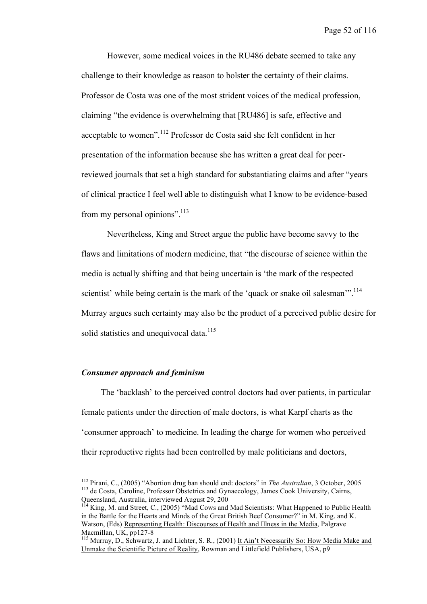Page 52 of 116

However, some medical voices in the RU486 debate seemed to take any challenge to their knowledge as reason to bolster the certainty of their claims. Professor de Costa was one of the most strident voices of the medical profession, claiming "the evidence is overwhelming that [RU486] is safe, effective and acceptable to women".<sup>112</sup> Professor de Costa said she felt confident in her presentation of the information because she has written a great deal for peerreviewed journals that set a high standard for substantiating claims and after "years of clinical practice I feel well able to distinguish what I know to be evidence-based from my personal opinions".<sup>113</sup>

Nevertheless, King and Street argue the public have become savvy to the flaws and limitations of modern medicine, that "the discourse of science within the media is actually shifting and that being uncertain is 'the mark of the respected scientist' while being certain is the mark of the 'quack or snake oil salesman'".<sup>114</sup> Murray argues such certainty may also be the product of a perceived public desire for solid statistics and unequivocal data.<sup>115</sup>

## *Consumer approach and feminism*

The 'backlash' to the perceived control doctors had over patients, in particular female patients under the direction of male doctors, is what Karpf charts as the 'consumer approach' to medicine. In leading the charge for women who perceived their reproductive rights had been controlled by male politicians and doctors,

<sup>&</sup>lt;sup>112</sup> Pirani, C., (2005) "Abortion drug ban should end: doctors" in *The Australian*, 3 October, 2005<br><sup>113</sup> de Costa, Caroline, Professor Obstetrics and Gynaecology, James Cook University, Cairns,<br>Oueensland, Australia, in

Queensland, Australia, interviewed August 29, <sup>200</sup> <sup>114</sup> King, M. and Street, C., (2005) "Mad Cows and Mad Scientists: What Happened to Public Health in the Battle for the Hearts and Minds of the Great British Beef Consumer?" in M. King. and K. Watson, (Eds) Representing Health: Discourses of Health and Illness in the Media, Palgrave Macmillan, UK, pp127-8<br><sup>115</sup> Murray, D., Schwartz, J. and Lichter, S. R., (2001) <u>It Ain't Necessarily So: How Media Make and</u>

Unmake the Scientific Picture of Reality, Rowman and Littlefield Publishers, USA, p9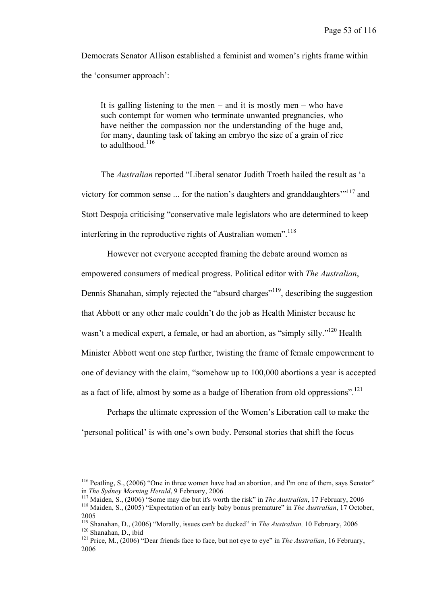Democrats Senator Allison established a feminist and women's rights frame within the 'consumer approach':

It is galling listening to the men – and it is mostly men – who have such contempt for women who terminate unwanted pregnancies, who have neither the compassion nor the understanding of the huge and, for many, daunting task of taking an embryo the size of a grain of rice to adulthood. $116$ 

The *Australian* reported "Liberal senator Judith Troeth hailed the result as 'a victory for common sense  $\dots$  for the nation's daughters and granddaughters $\cdot$ <sup>117</sup> and Stott Despoja criticising "conservative male legislators who are determined to keep interfering in the reproductive rights of Australian women".<sup>118</sup>

However not everyone accepted framing the debate around women as empowered consumers of medical progress. Political editor with *The Australian*, Dennis Shanahan, simply rejected the "absurd charges"<sup>119</sup>, describing the suggestion that Abbott or any other male couldn't do the job as Health Minister because he wasn't a medical expert, a female, or had an abortion, as "simply silly."<sup>120</sup> Health Minister Abbott went one step further, twisting the frame of female empowerment to one of deviancy with the claim, "somehow up to 100,000 abortions a year is accepted as a fact of life, almost by some as a badge of liberation from old oppressions".<sup>121</sup>

Perhaps the ultimate expression of the Women's Liberation call to make the 'personal political' is with one's own body. Personal stories that shift the focus

<sup>&</sup>lt;sup>116</sup> Peatling, S., (2006) "One in three women have had an abortion, and I'm one of them, says Senator" in *The Sydney Morning Herald*. 9 February. 2006

<sup>&</sup>lt;sup>117</sup> Maiden, S., (2006) "Some may die but it's worth the risk" in *The Australian*, 17 February, 2006<br><sup>118</sup> Maiden, S., (2005) "Expectation of an early baby bonus premature" in *The Australian*, 17 October,

<sup>2005&</sup>lt;br><sup>119</sup> Shanahan, D., (2006) "Morally, issues can't be ducked" in *The Australian*, 10 February, 2006<br><sup>120</sup> Shanahan, D., ibid<br><sup>121</sup> Price, M., (2006) "Dear friends face to face, but not eye to eye" in *The Australian*,

<sup>2006</sup>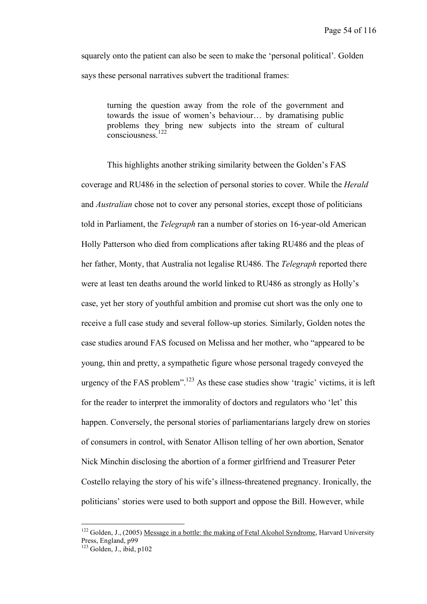squarely onto the patient can also be seen to make the 'personal political'. Golden says these personal narratives subvert the traditional frames:

turning the question away from the role of the government and towards the issue of women's behaviour… by dramatising public problems they bring new subjects into the stream of cultural consciousness.<sup>122</sup>

This highlights another striking similarity between the Golden's FAS coverage and RU486 in the selection of personal stories to cover. While the *Herald*  and *Australian* chose not to cover any personal stories, except those of politicians told in Parliament, the *Telegraph* ran a number of stories on 16-year-old American Holly Patterson who died from complications after taking RU486 and the pleas of her father, Monty, that Australia not legalise RU486. The *Telegraph* reported there were at least ten deaths around the world linked to RU486 as strongly as Holly's case, yet her story of youthful ambition and promise cut short was the only one to receive a full case study and several follow-up stories. Similarly, Golden notes the case studies around FAS focused on Melissa and her mother, who "appeared to be young, thin and pretty, a sympathetic figure whose personal tragedy conveyed the urgency of the FAS problem". <sup>123</sup> As these case studies show 'tragic' victims, it is left for the reader to interpret the immorality of doctors and regulators who 'let' this happen. Conversely, the personal stories of parliamentarians largely drew on stories of consumers in control, with Senator Allison telling of her own abortion, Senator Nick Minchin disclosing the abortion of a former girlfriend and Treasurer Peter Costello relaying the story of his wife's illness-threatened pregnancy. Ironically, the politicians' stories were used to both support and oppose the Bill. However, while

<sup>&</sup>lt;sup>122</sup> Golden, J., (2005) <u>Message in a bottle: the making of Fetal Alcohol Syndrome</u>, Harvard University Press, England,  $p99$ 

 $\frac{123}{123}$  Golden, J., ibid, p102.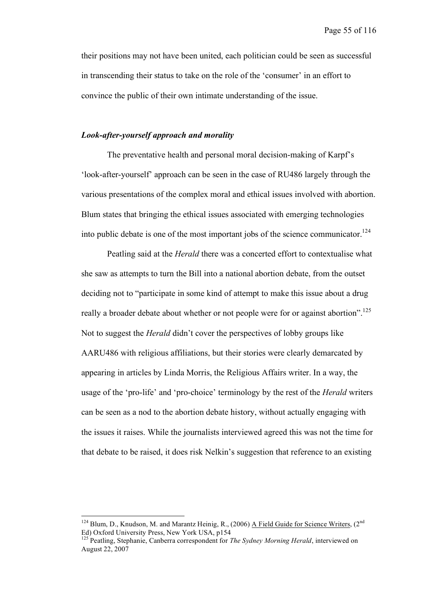their positions may not have been united, each politician could be seen as successful in transcending their status to take on the role of the 'consumer' in an effort to convince the public of their own intimate understanding of the issue.

#### *Look-after-yourself approach and morality*

The preventative health and personal moral decision-making of Karpf's 'look-after-yourself' approach can be seen in the case of RU486 largely through the various presentations of the complex moral and ethical issues involved with abortion. Blum states that bringing the ethical issues associated with emerging technologies into public debate is one of the most important jobs of the science communicator. 124

Peatling said at the *Herald* there was a concerted effort to contextualise what she saw as attempts to turn the Bill into a national abortion debate, from the outset deciding not to "participate in some kind of attempt to make this issue about a drug really a broader debate about whether or not people were for or against abortion".<sup>125</sup> Not to suggest the *Herald* didn't cover the perspectives of lobby groups like AARU486 with religious affiliations, but their stories were clearly demarcated by appearing in articles by Linda Morris, the Religious Affairs writer. In a way, the usage of the 'pro-life' and 'pro-choice' terminology by the rest of the *Herald* writers can be seen as a nod to the abortion debate history, without actually engaging with the issues it raises. While the journalists interviewed agreed this was not the time for that debate to be raised, it does risk Nelkin's suggestion that reference to an existing

<sup>&</sup>lt;sup>124</sup> Blum, D., Knudson, M. and Marantz Heinig, R., (2006) A Field Guide for Science Writers, (2<sup>nd</sup> Ed) Oxford University Press, New York USA, p154 <sup>125</sup> Peatling, Stephanie, Canberra correspondent for *The Sydney Morning Herald*, interviewed on

August 22, 2007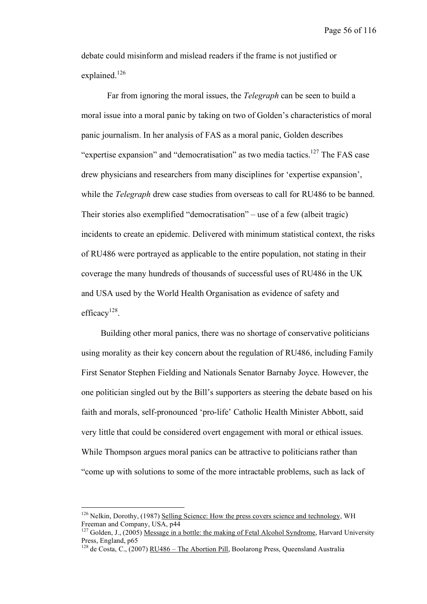Page 56 of 116

debate could misinform and mislead readers if the frame is not justified or explained.<sup>126</sup>

Far from ignoring the moral issues, the *Telegraph* can be seen to build a moral issue into a moral panic by taking on two of Golden's characteristics of moral panic journalism. In her analysis of FAS as a moral panic, Golden describes "expertise expansion" and "democratisation" as two media tactics.<sup>127</sup> The FAS case drew physicians and researchers from many disciplines for 'expertise expansion', while the *Telegraph* drew case studies from overseas to call for RU486 to be banned. Their stories also exemplified "democratisation" – use of a few (albeit tragic) incidents to create an epidemic. Delivered with minimum statistical context, the risks of RU486 were portrayed as applicable to the entire population, not stating in their coverage the many hundreds of thousands of successful uses of RU486 in the UK and USA used by the World Health Organisation as evidence of safety and efficacy<sup>128</sup>.

Building other moral panics, there was no shortage of conservative politicians using morality as their key concern about the regulation of RU486, including Family First Senator Stephen Fielding and Nationals Senator Barnaby Joyce. However, the one politician singled out by the Bill's supporters as steering the debate based on his faith and morals, self-pronounced 'pro-life' Catholic Health Minister Abbott, said very little that could be considered overt engagement with moral or ethical issues. While Thompson argues moral panics can be attractive to politicians rather than "come up with solutions to some of the more intractable problems, such as lack of

 $126$  Nelkin, Dorothy, (1987) Selling Science: How the press covers science and technology, WH Freeman and Company, USA,  $p44$ 

<sup>&</sup>lt;sup>127</sup> Golden, J., (2005) Message in a bottle: the making of Fetal Alcohol Syndrome, Harvard University Press, England,  $p65$ 

<sup>&</sup>lt;sup>128</sup> de Costa, C., (2007) RU486 – The Abortion Pill, Boolarong Press, Queensland Australia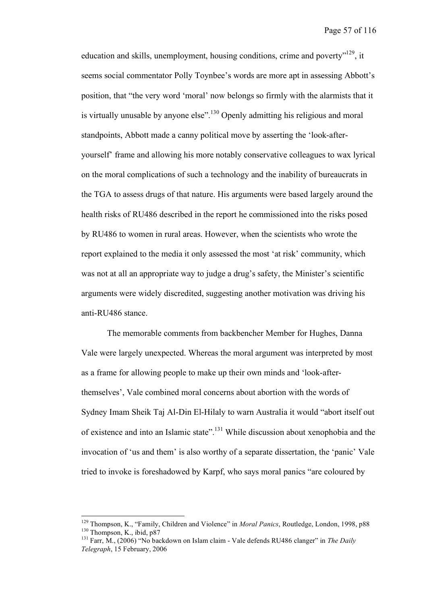education and skills, unemployment, housing conditions, crime and poverty"<sup>129</sup>, it seems social commentator Polly Toynbee's words are more apt in assessing Abbott's position, that "the very word 'moral' now belongs so firmly with the alarmists that it is virtually unusable by anyone else".<sup>130</sup> Openly admitting his religious and moral standpoints, Abbott made a canny political move by asserting the 'look-afteryourself' frame and allowing his more notably conservative colleagues to wax lyrical on the moral complications of such a technology and the inability of bureaucrats in the TGA to assess drugs of that nature. His arguments were based largely around the health risks of RU486 described in the report he commissioned into the risks posed by RU486 to women in rural areas. However, when the scientists who wrote the report explained to the media it only assessed the most 'at risk' community, which was not at all an appropriate way to judge a drug's safety, the Minister's scientific arguments were widely discredited, suggesting another motivation was driving his anti-RU486 stance.

The memorable comments from backbencher Member for Hughes, Danna Vale were largely unexpected. Whereas the moral argument was interpreted by most as a frame for allowing people to make up their own minds and 'look-afterthemselves', Vale combined moral concerns about abortion with the words of Sydney Imam Sheik Taj Al-Din El-Hilaly to warn Australia it would "abort itself out of existence and into an Islamic state".<sup>131</sup> While discussion about xenophobia and the invocation of 'us and them' is also worthy of a separate dissertation, the 'panic' Vale tried to invoke is foreshadowed by Karpf, who says moral panics "are coloured by

<sup>&</sup>lt;sup>129</sup> Thompson, K., "Family, Children and Violence" in *Moral Panics*, Routledge, London, 1998, p88<br><sup>130</sup> Thompson, K., ibid, p87<br><sup>131</sup> Farr, M., (2006) "No backdown on Islam claim - Vale defends RU486 clanger" in *The Da* 

*Telegraph*, 15 February, 2006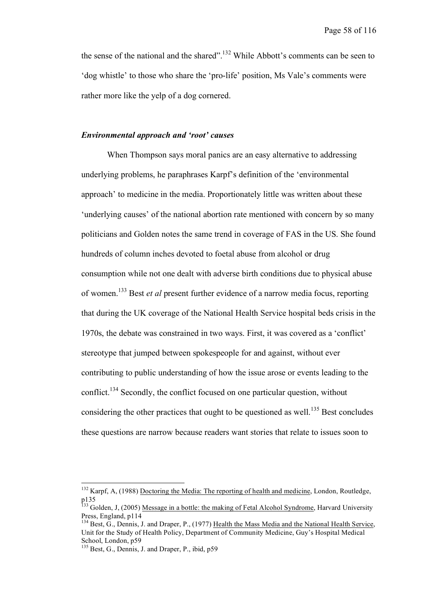the sense of the national and the shared".<sup>132</sup> While Abbott's comments can be seen to 'dog whistle' to those who share the 'pro-life' position, Ms Vale's comments were rather more like the yelp of a dog cornered.

### *Environmental approach and 'root' causes*

When Thompson says moral panics are an easy alternative to addressing underlying problems, he paraphrases Karpf's definition of the 'environmental approach' to medicine in the media. Proportionately little was written about these 'underlying causes' of the national abortion rate mentioned with concern by so many politicians and Golden notes the same trend in coverage of FAS in the US. She found hundreds of column inches devoted to foetal abuse from alcohol or drug consumption while not one dealt with adverse birth conditions due to physical abuse of women. <sup>133</sup> Best *et al* present further evidence of a narrow media focus, reporting that during the UK coverage of the National Health Service hospital beds crisis in the 1970s, the debate was constrained in two ways. First, it was covered as a 'conflict' stereotype that jumped between spokespeople for and against, without ever contributing to public understanding of how the issue arose or events leading to the conflict.<sup>134</sup> Secondly, the conflict focused on one particular question, without considering the other practices that ought to be questioned as well.<sup>135</sup> Best concludes these questions are narrow because readers want stories that relate to issues soon to

<sup>&</sup>lt;sup>132</sup> Karpf, A, (1988) Doctoring the Media: The reporting of health and medicine, London, Routledge,

p135<br><sup>133</sup> Golden, J, (2005) <u>Message in a bottle: the making of Fetal Alcohol Syndrome</u>, Harvard University<br>Press. England. p114

 $^{134}$  Best, G., Dennis, J. and Draper, P., (1977) Health the Mass Media and the National Health Service, Unit for the Study of Health Policy, Department of Community Medicine, Guy's Hospital Medical School, London, p59<br>
<sup>135</sup> Best, G., Dennis, J. and Draper, P., ibid, p59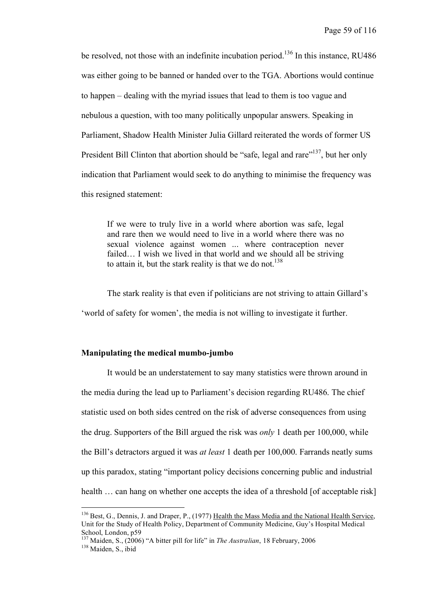be resolved, not those with an indefinite incubation period.<sup>136</sup> In this instance, RU486 was either going to be banned or handed over to the TGA. Abortions would continue to happen – dealing with the myriad issues that lead to them is too vague and nebulous a question, with too many politically unpopular answers. Speaking in Parliament, Shadow Health Minister Julia Gillard reiterated the words of former US President Bill Clinton that abortion should be "safe, legal and rare"<sup>137</sup>, but her only indication that Parliament would seek to do anything to minimise the frequency was this resigned statement:

If we were to truly live in a world where abortion was safe, legal and rare then we would need to live in a world where there was no sexual violence against women ... where contraception never failed… I wish we lived in that world and we should all be striving to attain it, but the stark reality is that we do not.<sup>138</sup>

The stark reality is that even if politicians are not striving to attain Gillard's 'world of safety for women', the media is not willing to investigate it further.

### **Manipulating the medical mumbo-jumbo**

It would be an understatement to say many statistics were thrown around in the media during the lead up to Parliament's decision regarding RU486. The chief statistic used on both sides centred on the risk of adverse consequences from using the drug. Supporters of the Bill argued the risk was *only* 1 death per 100,000, while the Bill's detractors argued it was *at least* 1 death per 100,000. Farrands neatly sums up this paradox, stating "important policy decisions concerning public and industrial health ... can hang on whether one accepts the idea of a threshold [of acceptable risk]

<sup>&</sup>lt;sup>136</sup> Best, G., Dennis, J. and Draper, P., (1977) Health the Mass Media and the National Health Service, Unit for the Study of Health Policy, Department of Community Medicine, Guy's Hospital Medical School, London, p59<br><sup>137</sup> Maiden, S., (2006) "A bitter pill for life" in *The Australian*, 18 February, 2006<br><sup>138</sup> Maiden. S., ibid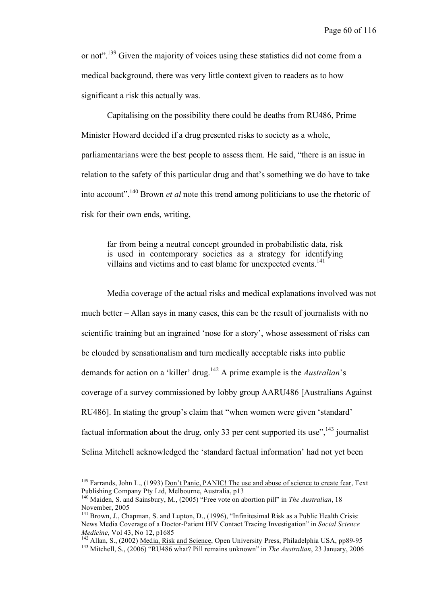or not".<sup>139</sup> Given the majority of voices using these statistics did not come from a medical background, there was very little context given to readers as to how significant a risk this actually was.

Capitalising on the possibility there could be deaths from RU486, Prime Minister Howard decided if a drug presented risks to society as a whole, parliamentarians were the best people to assess them. He said, "there is an issue in relation to the safety of this particular drug and that's something we do have to take into account". <sup>140</sup> Brown *et al* note this trend among politicians to use the rhetoric of risk for their own ends, writing,

far from being a neutral concept grounded in probabilistic data, risk is used in contemporary societies as a strategy for identifying villains and victims and to cast blame for unexpected events. 141

Media coverage of the actual risks and medical explanations involved was not much better – Allan says in many cases, this can be the result of journalists with no scientific training but an ingrained 'nose for a story', whose assessment of risks can be clouded by sensationalism and turn medically acceptable risks into public demands for action on a 'killer' drug. <sup>142</sup> A prime example is the *Australian*'s coverage of a survey commissioned by lobby group AARU486 [Australians Against RU486]. In stating the group's claim that "when women were given 'standard' factual information about the drug, only 33 per cent supported its use",  $^{143}$  journalist Selina Mitchell acknowledged the 'standard factual information' had not yet been

<sup>&</sup>lt;sup>139</sup> Farrands, John L., (1993) <u>Don't Panic, PANIC! The use and abuse of science to create fear</u>, Text Publishing Company Pty Ltd. Melbourne. Australia.  $p13$ 

<sup>&</sup>lt;sup>140</sup> Maiden, S. and Sainsbury, M., (2005) "Free vote on abortion pill" in *The Australian*, 18 November, 2005<br><sup>141</sup> Brown, J., Chapman, S. and Lupton, D., (1996), "Infinitesimal Risk as a Public Health Crisis:

News Media Coverage of a Doctor-Patient HIV Contact Tracing Investigation" in *Social Science Medicine*, Vol 43, No 12, p1685<br><sup>142</sup> Allan, S., (2002) <u>Media, Risk and Science</u>, Open University Press, Philadelphia USA, pp89-95<br><sup>143</sup> Mitchell, S., (2006) "RU486 what? Pill remains unknown" in *The Australian*, 23 Jan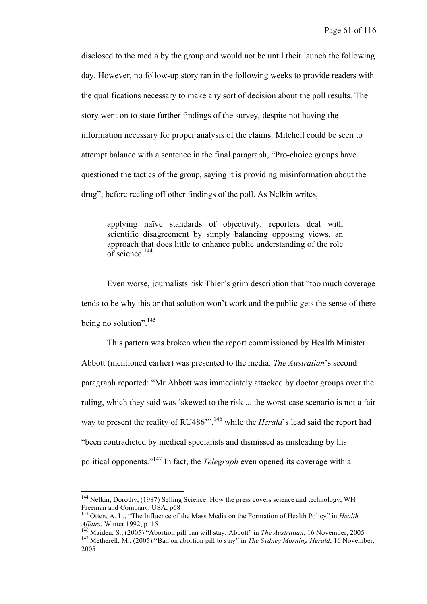disclosed to the media by the group and would not be until their launch the following day. However, no follow-up story ran in the following weeks to provide readers with the qualifications necessary to make any sort of decision about the poll results. The story went on to state further findings of the survey, despite not having the information necessary for proper analysis of the claims. Mitchell could be seen to attempt balance with a sentence in the final paragraph, "Pro-choice groups have questioned the tactics of the group, saying it is providing misinformation about the drug", before reeling off other findings of the poll. As Nelkin writes,

applying naïve standards of objectivity, reporters deal with scientific disagreement by simply balancing opposing views, an approach that does little to enhance public understanding of the role of science. 144

Even worse, journalists risk Thier's grim description that "too much coverage tends to be why this or that solution won't work and the public gets the sense of there being no solution".<sup>145</sup>

This pattern was broken when the report commissioned by Health Minister Abbott (mentioned earlier) was presented to the media. *The Australian*'s second paragraph reported: "Mr Abbott was immediately attacked by doctor groups over the ruling, which they said was 'skewed to the risk ... the worst-case scenario is not a fair way to present the reality of RU486<sup>"</sup>,<sup>146</sup> while the *Herald*'s lead said the report had "been contradicted by medical specialists and dismissed as misleading by his political opponents." <sup>147</sup> In fact, the *Telegraph* even opened its coverage with a

<sup>&</sup>lt;sup>144</sup> Nelkin, Dorothy, (1987) Selling Science: How the press covers science and technology, WH Freeman and Company, USA,  $p68$ 

<sup>&</sup>lt;sup>145</sup> Otten, A. L., "The Influence of the Mass Media on the Formation of Health Policy" in *Health Affairs*, Winter 1992, p115<br> $\frac{146}{146}$ Mass 2000, 2000, 2014

<sup>&</sup>lt;sup>146</sup> Maiden, S., (2005) "Abortion pill ban will stay: Abbott" in *The Australian*, 16 November, 2005<br><sup>147</sup> Metherell, M., (2005) "Ban on abortion pill to stay" in *The Sydney Morning Herald*, 16 November, 2005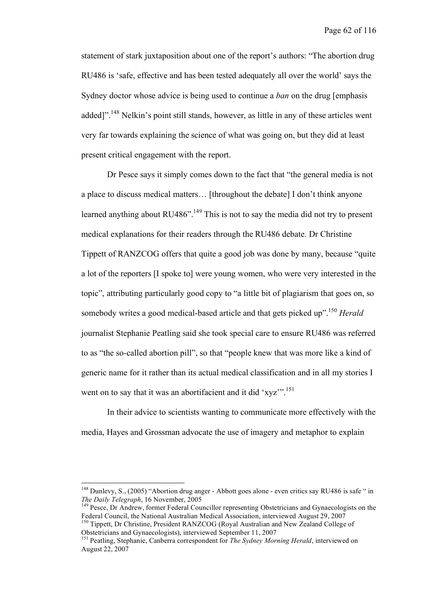statement of stark juxtaposition about one of the report's authors: "The abortion drug RU486 is 'safe, effective and has been tested adequately all over the world' says the Sydney doctor whose advice is being used to continue a *ban* on the drug [emphasis added]".<sup>148</sup> Nelkin's point still stands, however, as little in any of these articles went very far towards explaining the science of what was going on, but they did at least present critical engagement with the report.

Dr Pesce says it simply comes down to the fact that "the general media is not a place to discuss medical matters… [throughout the debate] I don't think anyone learned anything about RU486".<sup>149</sup> This is not to say the media did not try to present medical explanations for their readers through the RU486 debate. Dr Christine Tippett of RANZCOG offers that quite a good job was done by many, because "quite a lot of the reporters [I spoke to] were young women, who were very interested in the topic", attributing particularly good copy to "a little bit of plagiarism that goes on, so somebody writes a good medical-based article and that gets picked up". <sup>150</sup> *Herald* journalist Stephanie Peatling said she took special care to ensure RU486 was referred to as "the so-called abortion pill", so that "people knew that was more like a kind of generic name for it rather than its actual medical classification and in all my stories I went on to say that it was an abortifacient and it did 'xyz'".<sup>151</sup>

In their advice to scientists wanting to communicate more effectively with the media, Hayes and Grossman advocate the use of imagery and metaphor to explain

<sup>&</sup>lt;sup>148</sup> Dunlevy, S., (2005) "Abortion drug anger - Abbott goes alone - even critics say RU486 is safe " in *The Daily Telegraph*, 16 November, 2005

*The Daily Telegraph, 16 The Fightyn*, 2006 149<br><sup>149</sup> Pesce, Dr Andrew, former Federal Councillor representing Obstetricians and Gynaecologists on the<br>Federal Council, the National Australian Medical Association, interview

<sup>&</sup>lt;sup>150</sup> Tippett, Dr Christine, President RANZCOG (Royal Australian and New Zealand College of Obstetricians and Gynaecologists), interviewed September 11, <sup>2007</sup> <sup>151</sup> Peatling, Stephanie, Canberra correspondent for *The Sydney Morning Herald*, interviewed on

August 22, 2007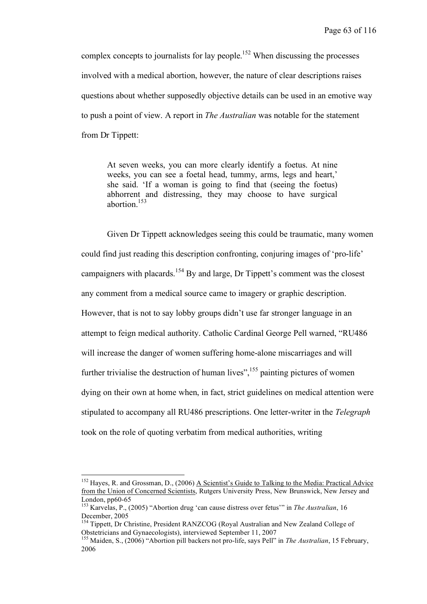complex concepts to journalists for lay people.<sup>152</sup> When discussing the processes involved with a medical abortion, however, the nature of clear descriptions raises questions about whether supposedly objective details can be used in an emotive way to push a point of view. A report in *The Australian* was notable for the statement from Dr Tippett:

At seven weeks, you can more clearly identify a foetus. At nine weeks, you can see a foetal head, tummy, arms, legs and heart,' she said. 'If a woman is going to find that (seeing the foetus) abhorrent and distressing, they may choose to have surgical abortion. 153

Given Dr Tippett acknowledges seeing this could be traumatic, many women could find just reading this description confronting, conjuring images of 'pro-life' campaigners with placards.<sup>154</sup> By and large, Dr Tippett's comment was the closest any comment from a medical source came to imagery or graphic description. However, that is not to say lobby groups didn't use far stronger language in an attempt to feign medical authority. Catholic Cardinal George Pell warned, "RU486 will increase the danger of women suffering home-alone miscarriages and will further trivialise the destruction of human lives",<sup>155</sup> painting pictures of women dying on their own at home when, in fact, strict guidelines on medical attention were stipulated to accompany all RU486 prescriptions. One letter-writer in the *Telegraph* took on the role of quoting verbatim from medical authorities, writing

<sup>&</sup>lt;sup>152</sup> Hayes, R. and Grossman, D., (2006) A Scientist's Guide to Talking to the Media: Practical Advice from the Union of Concerned Scientists, Rutgers University Press, New Brunswick, New Jersey and

London, pp60-65<br><sup>153</sup> Karvelas, P., (2005) "Abortion drug 'can cause distress over fetus'" in *The Australian*, 16<br>December, 2005

<sup>&</sup>lt;sup>154</sup> Tippett, Dr Christine, President RANZCOG (Royal Australian and New Zealand College of Obstetricians and Gynaecologists), interviewed September 11, <sup>2007</sup> <sup>155</sup> Maiden, S., (2006) "Abortion pill backers not pro-life, says Pell" in *The Australian*, <sup>15</sup> February,

<sup>2006</sup>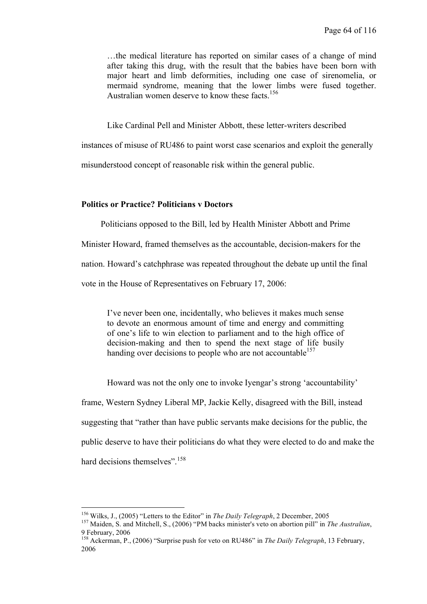…the medical literature has reported on similar cases of a change of mind after taking this drug, with the result that the babies have been born with major heart and limb deformities, including one case of sirenomelia, or mermaid syndrome, meaning that the lower limbs were fused together. Australian women deserve to know these facts. 156

Like Cardinal Pell and Minister Abbott, these letter-writers described

instances of misuse of RU486 to paint worst case scenarios and exploit the generally

misunderstood concept of reasonable risk within the general public.

## **Politics or Practice? Politicians v Doctors**

Politicians opposed to the Bill, led by Health Minister Abbott and Prime

Minister Howard, framed themselves as the accountable, decision-makers for the

nation. Howard's catchphrase was repeated throughout the debate up until the final

vote in the House of Representatives on February 17, 2006:

I've never been one, incidentally, who believes it makes much sense to devote an enormous amount of time and energy and committing of one's life to win election to parliament and to the high office of decision-making and then to spend the next stage of life busily handing over decisions to people who are not accountable<sup>157</sup>

Howard was not the only one to invoke Iyengar's strong 'accountability'

frame, Western Sydney Liberal MP, Jackie Kelly, disagreed with the Bill, instead suggesting that "rather than have public servants make decisions for the public, the public deserve to have their politicians do what they were elected to do and make the hard decisions themselves".<sup>158</sup>

<sup>&</sup>lt;sup>156</sup> Wilks, J., (2005) "Letters to the Editor" in *The Daily Telegraph*, 2 December, 2005<br><sup>157</sup> Maiden, S. and Mitchell, S., (2006) "PM backs minister's veto on abortion pill" in *The Australian*, <sup>9</sup> February, <sup>2006</sup> <sup>158</sup> Ackerman, P., (2006) "Surprise push for veto on RU486" in *The Daily Telegraph*, <sup>13</sup> February,

<sup>2006</sup>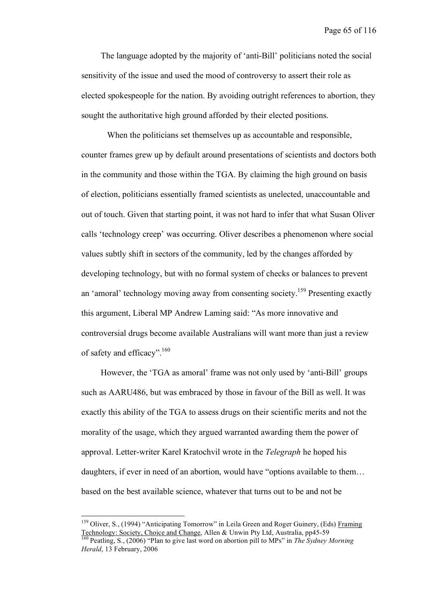The language adopted by the majority of 'anti-Bill' politicians noted the social sensitivity of the issue and used the mood of controversy to assert their role as elected spokespeople for the nation. By avoiding outright references to abortion, they sought the authoritative high ground afforded by their elected positions.

When the politicians set themselves up as accountable and responsible, counter frames grew up by default around presentations of scientists and doctors both in the community and those within the TGA. By claiming the high ground on basis of election, politicians essentially framed scientists as unelected, unaccountable and out of touch. Given that starting point, it was not hard to infer that what Susan Oliver calls 'technology creep' was occurring. Oliver describes a phenomenon where social values subtly shift in sectors of the community, led by the changes afforded by developing technology, but with no formal system of checks or balances to prevent an 'amoral' technology moving away from consenting society.<sup>159</sup> Presenting exactly this argument, Liberal MP Andrew Laming said: "As more innovative and controversial drugs become available Australians will want more than just a review of safety and efficacy". <sup>160</sup>

However, the 'TGA as amoral' frame was not only used by 'anti-Bill' groups such as AARU486, but was embraced by those in favour of the Bill as well. It was exactly this ability of the TGA to assess drugs on their scientific merits and not the morality of the usage, which they argued warranted awarding them the power of approval. Letter-writer Karel Kratochvil wrote in the *Telegraph* he hoped his daughters, if ever in need of an abortion, would have "options available to them… based on the best available science, whatever that turns out to be and not be

<sup>&</sup>lt;sup>159</sup> Oliver, S., (1994) "Anticipating Tomorrow" in Leila Green and Roger Guinery, (Eds) Framing Technology: Society, Choice and Change, Allen & Unwin Pty Ltd, Australia, pp45-59 <sup>160</sup> Peatling, S., (2006) "Plan to give last word on abortion pill to MPs" in *The Sydney Morning*

*Herald*, 13 February, 2006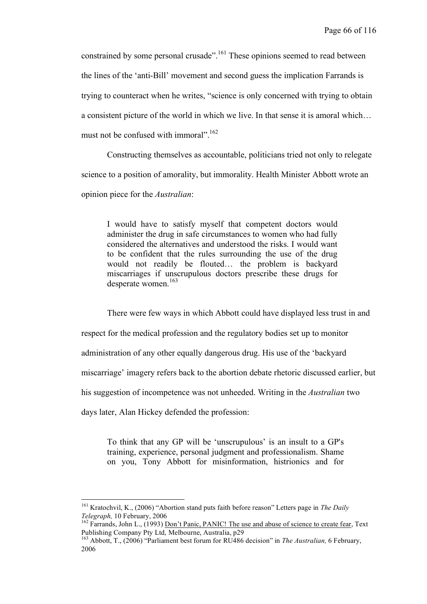constrained by some personal crusade".<sup>161</sup> These opinions seemed to read between the lines of the 'anti-Bill' movement and second guess the implication Farrands is trying to counteract when he writes, "science is only concerned with trying to obtain a consistent picture of the world in which we live. In that sense it is amoral which… must not be confused with immoral".<sup>162</sup>

Constructing themselves as accountable, politicians tried not only to relegate science to a position of amorality, but immorality. Health Minister Abbott wrote an opinion piece for the *Australian*:

I would have to satisfy myself that competent doctors would administer the drug in safe circumstances to women who had fully considered the alternatives and understood the risks. I would want to be confident that the rules surrounding the use of the drug would not readily be flouted… the problem is backyard miscarriages if unscrupulous doctors prescribe these drugs for desperate women. 163

There were few ways in which Abbott could have displayed less trust in and

respect for the medical profession and the regulatory bodies set up to monitor

administration of any other equally dangerous drug. His use of the 'backyard

miscarriage' imagery refers back to the abortion debate rhetoric discussed earlier, but

his suggestion of incompetence was not unheeded. Writing in the *Australian* two

days later, Alan Hickey defended the profession:

To think that any GP will be 'unscrupulous' is an insult to a GP's training, experience, personal judgment and professionalism. Shame on you, Tony Abbott for misinformation, histrionics and for

<sup>&</sup>lt;sup>161</sup> Kratochvil, K., (2006) "Abortion stand puts faith before reason" Letters page in *The Daily Telegraph*, 10 February, 2006

<sup>&</sup>lt;sup>162</sup> Farrands, John L., (1993) <u>Don't Panic, PANIC! The use and abuse of science to create fear</u>, Text Publishing Company Pty Ltd, Melbourne, Australia, p29 <sup>163</sup> Abbott, T., (2006) "Parliament best forum for RU486 decision" in *The Australian,* <sup>6</sup> February,

<sup>2006</sup>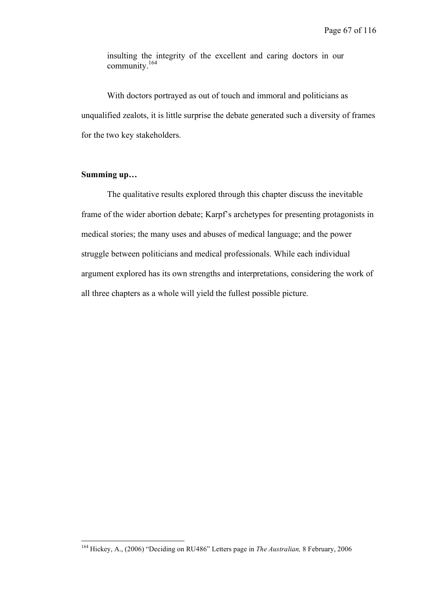insulting the integrity of the excellent and caring doctors in our community. 164

With doctors portrayed as out of touch and immoral and politicians as unqualified zealots, it is little surprise the debate generated such a diversity of frames for the two key stakeholders.

## **Summing up…**

The qualitative results explored through this chapter discuss the inevitable frame of the wider abortion debate; Karpf's archetypes for presenting protagonists in medical stories; the many uses and abuses of medical language; and the power struggle between politicians and medical professionals. While each individual argument explored has its own strengths and interpretations, considering the work of all three chapters as a whole will yield the fullest possible picture.

 <sup>164</sup> Hickey, A., (2006) "Deciding on RU486" Letters page in *The Australian,* <sup>8</sup> February, <sup>2006</sup>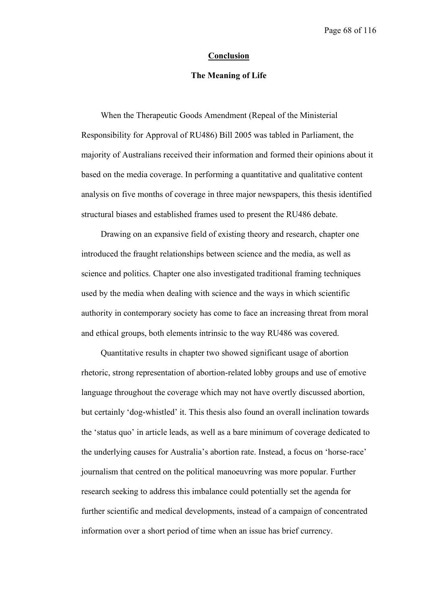#### **Conclusion**

## **The Meaning of Life**

When the Therapeutic Goods Amendment (Repeal of the Ministerial Responsibility for Approval of RU486) Bill 2005 was tabled in Parliament, the majority of Australians received their information and formed their opinions about it based on the media coverage. In performing a quantitative and qualitative content analysis on five months of coverage in three major newspapers, this thesis identified structural biases and established frames used to present the RU486 debate.

Drawing on an expansive field of existing theory and research, chapter one introduced the fraught relationships between science and the media, as well as science and politics. Chapter one also investigated traditional framing techniques used by the media when dealing with science and the ways in which scientific authority in contemporary society has come to face an increasing threat from moral and ethical groups, both elements intrinsic to the way RU486 was covered.

Quantitative results in chapter two showed significant usage of abortion rhetoric, strong representation of abortion-related lobby groups and use of emotive language throughout the coverage which may not have overtly discussed abortion, but certainly 'dog-whistled' it. This thesis also found an overall inclination towards the 'status quo' in article leads, as well as a bare minimum of coverage dedicated to the underlying causes for Australia's abortion rate. Instead, a focus on 'horse-race' journalism that centred on the political manoeuvring was more popular. Further research seeking to address this imbalance could potentially set the agenda for further scientific and medical developments, instead of a campaign of concentrated information over a short period of time when an issue has brief currency.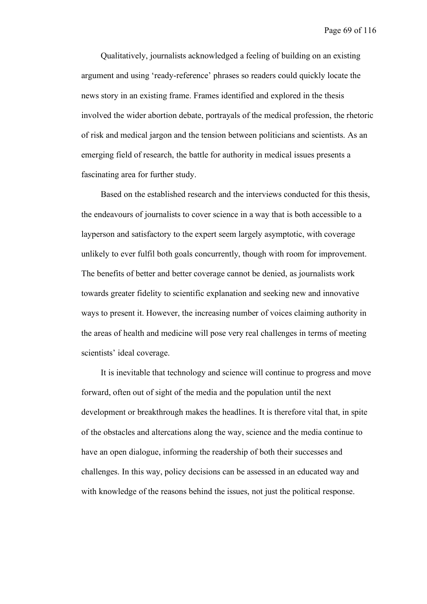Qualitatively, journalists acknowledged a feeling of building on an existing argument and using 'ready-reference' phrases so readers could quickly locate the news story in an existing frame. Frames identified and explored in the thesis involved the wider abortion debate, portrayals of the medical profession, the rhetoric of risk and medical jargon and the tension between politicians and scientists. As an emerging field of research, the battle for authority in medical issues presents a fascinating area for further study.

Based on the established research and the interviews conducted for this thesis, the endeavours of journalists to cover science in a way that is both accessible to a layperson and satisfactory to the expert seem largely asymptotic, with coverage unlikely to ever fulfil both goals concurrently, though with room for improvement. The benefits of better and better coverage cannot be denied, as journalists work towards greater fidelity to scientific explanation and seeking new and innovative ways to present it. However, the increasing number of voices claiming authority in the areas of health and medicine will pose very real challenges in terms of meeting scientists' ideal coverage.

It is inevitable that technology and science will continue to progress and move forward, often out of sight of the media and the population until the next development or breakthrough makes the headlines. It is therefore vital that, in spite of the obstacles and altercations along the way, science and the media continue to have an open dialogue, informing the readership of both their successes and challenges. In this way, policy decisions can be assessed in an educated way and with knowledge of the reasons behind the issues, not just the political response.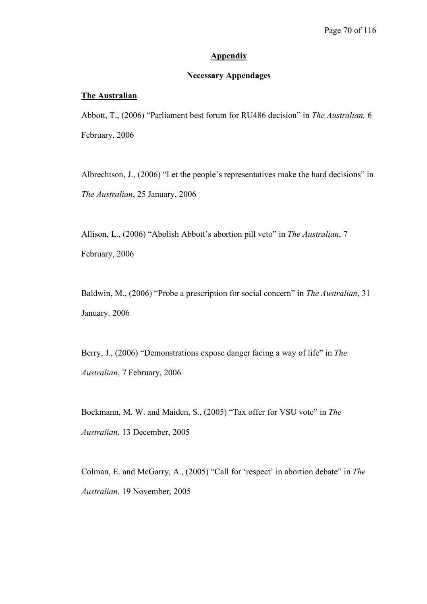## **Appendix**

## **Necessary Appendages**

### **The Australian**

Abbott, T., (2006) "Parliament best forum for RU486 decision" in *The Australian,* 6 February, 2006

Albrechtson, J., (2006) "Let the people's representatives make the hard decisions" in *The Australian*, 25 January, 2006

Allison, L., (2006) "Abolish Abbott's abortion pill veto" in *The Australian*, 7 February, 2006

Baldwin, M., (2006) "Probe a prescription for social concern" in *The Australian*, 31 January. 2006

Berry, J., (2006) "Demonstrations expose danger facing a way of life" in *The Australian*, 7 February, 2006

Bockmann, M. W. and Maiden, S., (2005) "Tax offer for VSU vote" in *The Australian*, 13 December, 2005

Colman, E. and McGarry, A., (2005) "Call for 'respect' in abortion debate" in *The Australian,* 19 November, 2005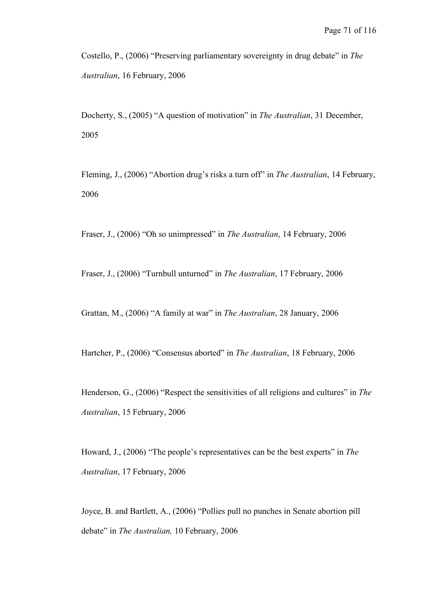Costello, P., (2006) "Preserving parliamentary sovereignty in drug debate" in *The Australian*, 16 February, 2006

Docherty, S., (2005) "A question of motivation" in *The Australian*, 31 December, 2005

Fleming, J., (2006) "Abortion drug's risks a turn off" in *The Australian*, 14 February, 2006

Fraser, J., (2006) "Oh so unimpressed" in *The Australian*, 14 February, 2006

Fraser, J., (2006) "Turnbull unturned" in *The Australian*, 17 February, 2006

Grattan, M., (2006) "A family at war" in *The Australian*, 28 January, 2006

Hartcher, P., (2006) "Consensus aborted" in *The Australian*, 18 February, 2006

Henderson, G., (2006) "Respect the sensitivities of all religions and cultures" in *The Australian*, 15 February, 2006

Howard, J., (2006) "The people's representatives can be the best experts" in *The Australian*, 17 February, 2006

Joyce, B. and Bartlett, A., (2006) "Pollies pull no punches in Senate abortion pill debate" in *The Australian,* 10 February, 2006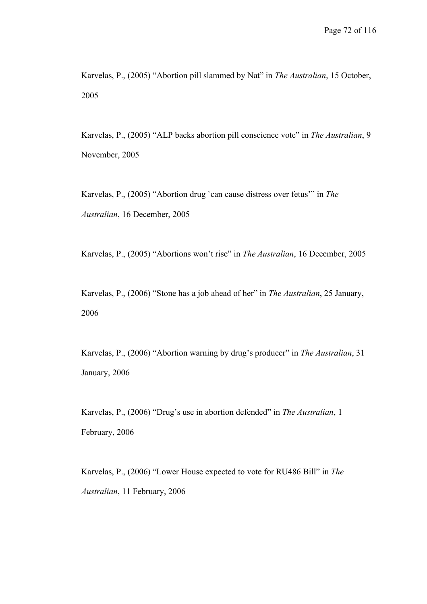Karvelas, P., (2005) "Abortion pill slammed by Nat" in *The Australian*, 15 October, 2005

Karvelas, P., (2005) "ALP backs abortion pill conscience vote" in *The Australian*, 9 November, 2005

Karvelas, P., (2005) "Abortion drug `can cause distress over fetus'" in *The Australian*, 16 December, 2005

Karvelas, P., (2005) "Abortions won't rise" in *The Australian*, 16 December, 2005

Karvelas, P., (2006) "Stone has a job ahead of her" in *The Australian*, 25 January, 2006

Karvelas, P., (2006) "Abortion warning by drug's producer" in *The Australian*, 31 January, 2006

Karvelas, P., (2006) "Drug's use in abortion defended" in *The Australian*, 1 February, 2006

Karvelas, P., (2006) "Lower House expected to vote for RU486 Bill" in *The Australian*, 11 February, 2006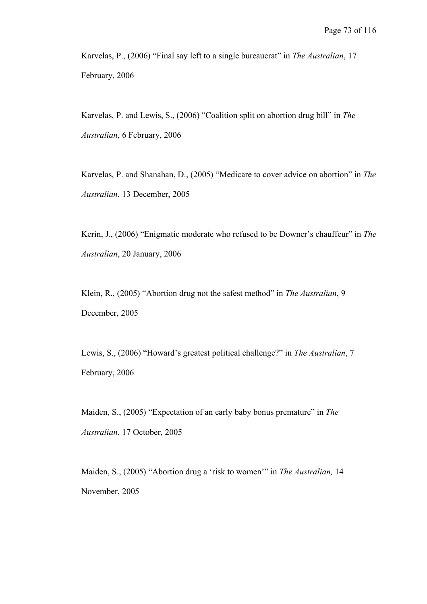Karvelas, P., (2006) "Final say left to a single bureaucrat" in *The Australian*, 17 February, 2006

Karvelas, P. and Lewis, S., (2006) "Coalition split on abortion drug bill" in *The Australian*, 6 February, 2006

Karvelas, P. and Shanahan, D., (2005) "Medicare to cover advice on abortion" in *The Australian*, 13 December, 2005

Kerin, J., (2006) "Enigmatic moderate who refused to be Downer's chauffeur" in *The Australian*, 20 January, 2006

Klein, R., (2005) "Abortion drug not the safest method" in *The Australian*, 9 December, 2005

Lewis, S., (2006) "Howard's greatest political challenge?" in *The Australian*, 7 February, 2006

Maiden, S., (2005) "Expectation of an early baby bonus premature" in *The Australian*, 17 October, 2005

Maiden, S., (2005) "Abortion drug a 'risk to women'" in *The Australian,* 14 November, 2005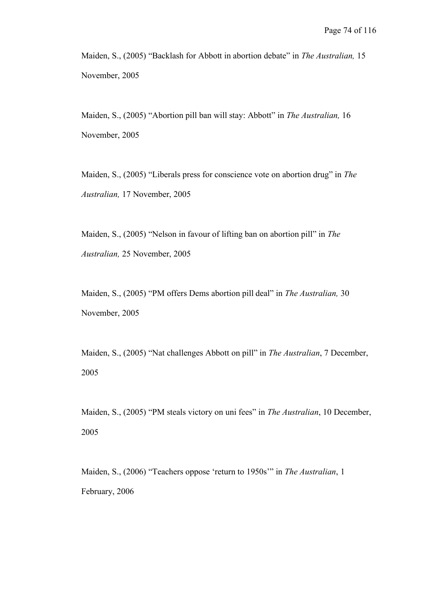Maiden, S., (2005) "Backlash for Abbott in abortion debate" in *The Australian,* 15 November, 2005

Maiden, S., (2005) "Abortion pill ban will stay: Abbott" in *The Australian,* 16 November, 2005

Maiden, S., (2005) "Liberals press for conscience vote on abortion drug" in *The Australian,* 17 November, 2005

Maiden, S., (2005) "Nelson in favour of lifting ban on abortion pill" in *The Australian,* 25 November, 2005

Maiden, S., (2005) "PM offers Dems abortion pill deal" in *The Australian,* 30 November, 2005

Maiden, S., (2005) "Nat challenges Abbott on pill" in *The Australian*, 7 December, 2005

Maiden, S., (2005) "PM steals victory on uni fees" in *The Australian*, 10 December, 2005

Maiden, S., (2006) "Teachers oppose 'return to 1950s'" in *The Australian*, 1 February, 2006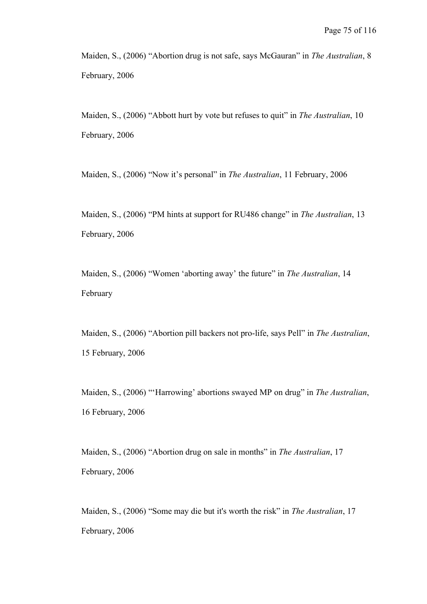Maiden, S., (2006) "Abortion drug is not safe, says McGauran" in *The Australian*, 8 February, 2006

Maiden, S., (2006) "Abbott hurt by vote but refuses to quit" in *The Australian*, 10 February, 2006

Maiden, S., (2006) "Now it's personal" in *The Australian*, 11 February, 2006

Maiden, S., (2006) "PM hints at support for RU486 change" in *The Australian*, 13 February, 2006

Maiden, S., (2006) "Women 'aborting away' the future" in *The Australian*, 14 February

Maiden, S., (2006) "Abortion pill backers not pro-life, says Pell" in *The Australian*, 15 February, 2006

Maiden, S., (2006) "'Harrowing' abortions swayed MP on drug" in *The Australian*, 16 February, 2006

Maiden, S., (2006) "Abortion drug on sale in months" in *The Australian*, 17 February, 2006

Maiden, S., (2006) "Some may die but it's worth the risk" in *The Australian*, 17 February, 2006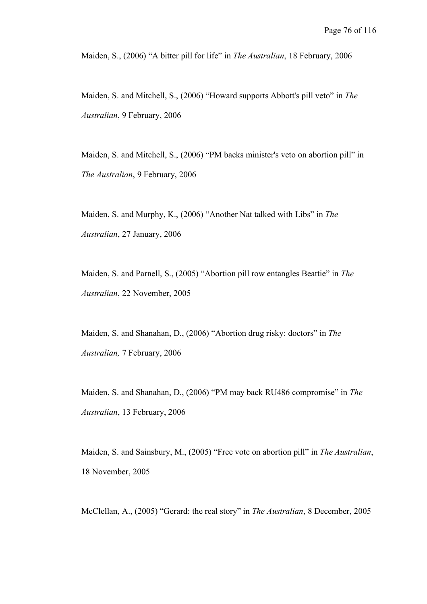Maiden, S., (2006) "A bitter pill for life" in *The Australian*, 18 February, 2006

Maiden, S. and Mitchell, S., (2006) "Howard supports Abbott's pill veto" in *The Australian*, 9 February, 2006

Maiden, S. and Mitchell, S., (2006) "PM backs minister's veto on abortion pill" in *The Australian*, 9 February, 2006

Maiden, S. and Murphy, K., (2006) "Another Nat talked with Libs" in *The Australian*, 27 January, 2006

Maiden, S. and Parnell, S., (2005) "Abortion pill row entangles Beattie" in *The Australian*, 22 November, 2005

Maiden, S. and Shanahan, D., (2006) "Abortion drug risky: doctors" in *The Australian,* 7 February, 2006

Maiden, S. and Shanahan, D., (2006) "PM may back RU486 compromise" in *The Australian*, 13 February, 2006

Maiden, S. and Sainsbury, M., (2005) "Free vote on abortion pill" in *The Australian*, 18 November, 2005

McClellan, A., (2005) "Gerard: the real story" in *The Australian*, 8 December, 2005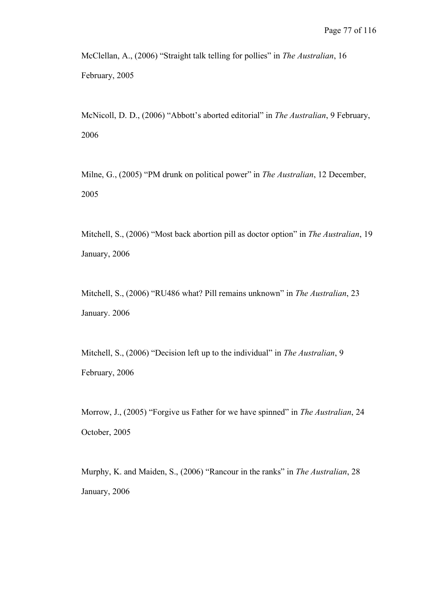McClellan, A., (2006) "Straight talk telling for pollies" in *The Australian*, 16 February, 2005

McNicoll, D. D., (2006) "Abbott's aborted editorial" in *The Australian*, 9 February, 2006

Milne, G., (2005) "PM drunk on political power" in *The Australian*, 12 December, 2005

Mitchell, S., (2006) "Most back abortion pill as doctor option" in *The Australian*, 19 January, 2006

Mitchell, S., (2006) "RU486 what? Pill remains unknown" in *The Australian*, 23 January. 2006

Mitchell, S., (2006) "Decision left up to the individual" in *The Australian*, 9 February, 2006

Morrow, J., (2005) "Forgive us Father for we have spinned" in *The Australian*, 24 October, 2005

Murphy, K. and Maiden, S., (2006) "Rancour in the ranks" in *The Australian*, 28 January, 2006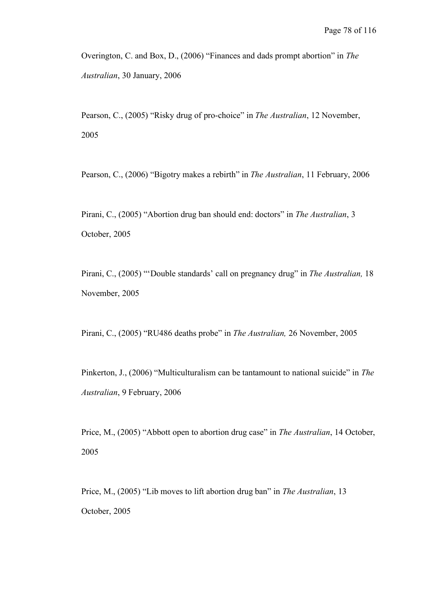Overington, C. and Box, D., (2006) "Finances and dads prompt abortion" in *The Australian*, 30 January, 2006

Pearson, C., (2005) "Risky drug of pro-choice" in *The Australian*, 12 November, 2005

Pearson, C., (2006) "Bigotry makes a rebirth" in *The Australian*, 11 February, 2006

Pirani, C., (2005) "Abortion drug ban should end: doctors" in *The Australian*, 3 October, 2005

Pirani, C., (2005) "'Double standards' call on pregnancy drug" in *The Australian,* 18 November, 2005

Pirani, C., (2005) "RU486 deaths probe" in *The Australian,* 26 November, 2005

Pinkerton, J., (2006) "Multiculturalism can be tantamount to national suicide" in *The Australian*, 9 February, 2006

Price, M., (2005) "Abbott open to abortion drug case" in *The Australian*, 14 October, 2005

Price, M., (2005) "Lib moves to lift abortion drug ban" in *The Australian*, 13 October, 2005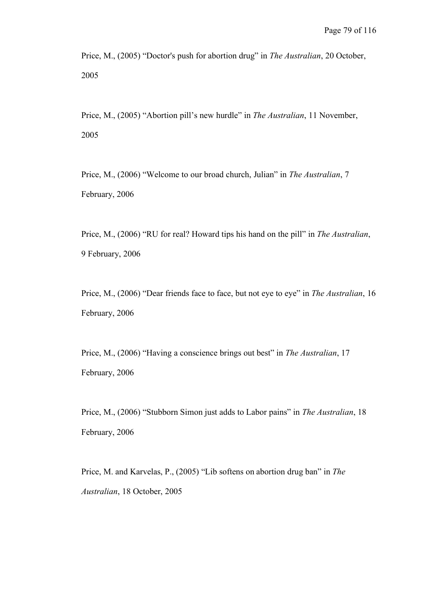Price, M., (2005) "Doctor's push for abortion drug" in *The Australian*, 20 October, 2005

Price, M., (2005) "Abortion pill's new hurdle" in *The Australian*, 11 November, 2005

Price, M., (2006) "Welcome to our broad church, Julian" in *The Australian*, 7 February, 2006

Price, M., (2006) "RU for real? Howard tips his hand on the pill" in *The Australian*, 9 February, 2006

Price, M., (2006) "Dear friends face to face, but not eye to eye" in *The Australian*, 16 February, 2006

Price, M., (2006) "Having a conscience brings out best" in *The Australian*, 17 February, 2006

Price, M., (2006) "Stubborn Simon just adds to Labor pains" in *The Australian*, 18 February, 2006

Price, M. and Karvelas, P., (2005) "Lib softens on abortion drug ban" in *The Australian*, 18 October, 2005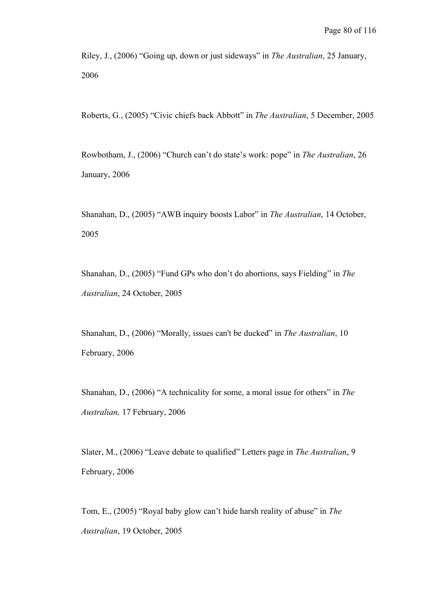Riley, J., (2006) "Going up, down or just sideways" in *The Australian*, 25 January, 2006

Roberts, G., (2005) "Civic chiefs back Abbott" in *The Australian*, 5 December, 2005

Rowbotham, J., (2006) "Church can't do state's work: pope" in *The Australian*, 26 January, 2006

Shanahan, D., (2005) "AWB inquiry boosts Labor" in *The Australian*, 14 October, 2005

Shanahan, D., (2005) "Fund GPs who don't do abortions, says Fielding" in *The Australian*, 24 October, 2005

Shanahan, D., (2006) "Morally, issues can't be ducked" in *The Australian*, 10 February, 2006

Shanahan, D., (2006) "A technicality for some, a moral issue for others" in *The Australian,* 17 February, 2006

Slater, M., (2006) "Leave debate to qualified" Letters page in *The Australian*, 9 February, 2006

Tom, E., (2005) "Royal baby glow can't hide harsh reality of abuse" in *The Australian*, 19 October, 2005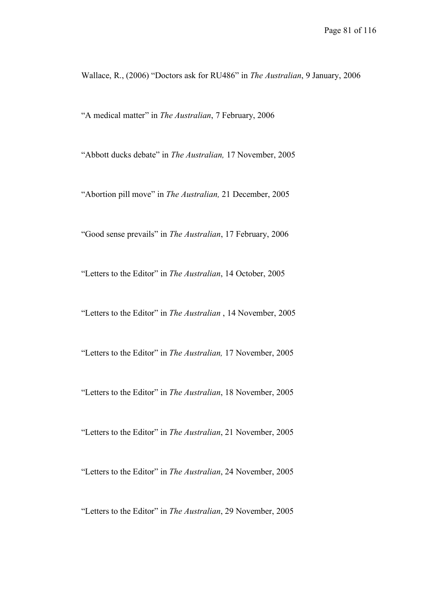Wallace, R., (2006) "Doctors ask for RU486" in *The Australian*, 9 January, 2006

"A medical matter" in *The Australian*, 7 February, 2006

"Abbott ducks debate" in *The Australian,* 17 November, 2005

"Abortion pill move" in *The Australian,* 21 December, 2005

"Good sense prevails" in *The Australian*, 17 February, 2006

"Letters to the Editor" in *The Australian*, 14 October, 2005

"Letters to the Editor" in *The Australian* , 14 November, 2005

"Letters to the Editor" in *The Australian,* 17 November, 2005

"Letters to the Editor" in *The Australian*, 18 November, 2005

"Letters to the Editor" in *The Australian*, 21 November, 2005

"Letters to the Editor" in *The Australian*, 24 November, 2005

"Letters to the Editor" in *The Australian*, 29 November, 2005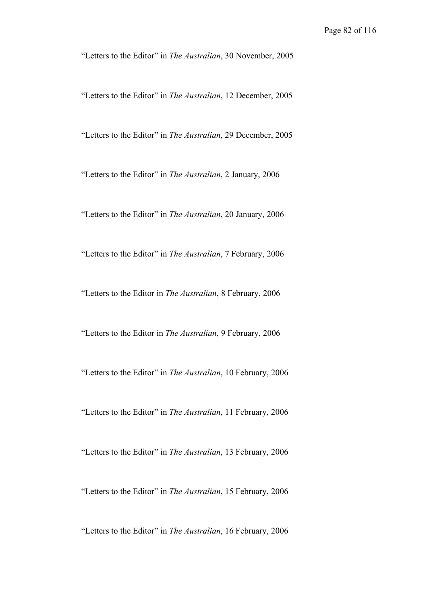"Letters to the Editor" in *The Australian*, 30 November, 2005

"Letters to the Editor" in *The Australian*, 12 December, 2005

"Letters to the Editor" in *The Australian*, 29 December, 2005

"Letters to the Editor" in *The Australian*, 2 January, 2006

"Letters to the Editor" in *The Australian*, 20 January, 2006

"Letters to the Editor" in *The Australian*, 7 February, 2006

"Letters to the Editor in *The Australian*, 8 February, 2006

"Letters to the Editor in *The Australian*, 9 February, 2006

"Letters to the Editor" in *The Australian*, 10 February, 2006

"Letters to the Editor" in *The Australian*, 11 February, 2006

"Letters to the Editor" in *The Australian*, 13 February, 2006

"Letters to the Editor" in *The Australian*, 15 February, 2006

"Letters to the Editor" in *The Australian*, 16 February, 2006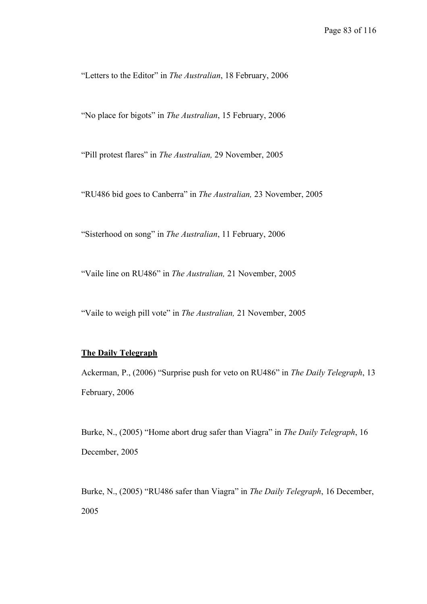"Letters to the Editor" in *The Australian*, 18 February, 2006

"No place for bigots" in *The Australian*, 15 February, 2006

"Pill protest flares" in *The Australian,* 29 November, 2005

"RU486 bid goes to Canberra" in *The Australian,* 23 November, 2005

"Sisterhood on song" in *The Australian*, 11 February, 2006

"Vaile line on RU486" in *The Australian,* 21 November, 2005

"Vaile to weigh pill vote" in *The Australian,* 21 November, 2005

## **The Daily Telegraph**

Ackerman, P., (2006) "Surprise push for veto on RU486" in *The Daily Telegraph*, 13 February, 2006

Burke, N., (2005) "Home abort drug safer than Viagra" in *The Daily Telegraph*, 16 December, 2005

Burke, N., (2005) "RU486 safer than Viagra" in *The Daily Telegraph*, 16 December, 2005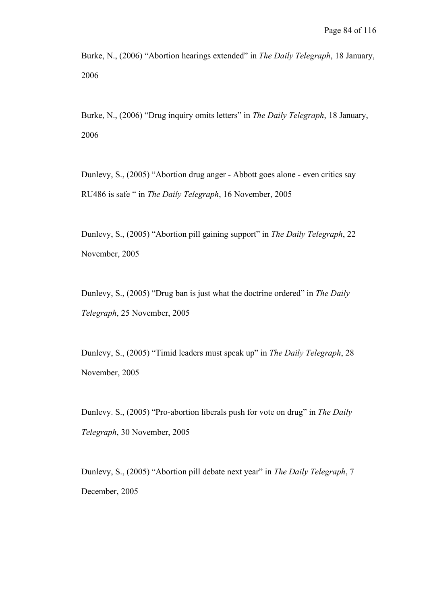Burke, N., (2006) "Abortion hearings extended" in *The Daily Telegraph*, 18 January, 2006

Burke, N., (2006) "Drug inquiry omits letters" in *The Daily Telegraph*, 18 January, 2006

Dunlevy, S., (2005) "Abortion drug anger - Abbott goes alone - even critics say RU486 is safe " in *The Daily Telegraph*, 16 November, 2005

Dunlevy, S., (2005) "Abortion pill gaining support" in *The Daily Telegraph*, 22 November, 2005

Dunlevy, S., (2005) "Drug ban is just what the doctrine ordered" in *The Daily Telegraph*, 25 November, 2005

Dunlevy, S., (2005) "Timid leaders must speak up" in *The Daily Telegraph*, 28 November, 2005

Dunlevy. S., (2005) "Pro-abortion liberals push for vote on drug" in *The Daily Telegraph*, 30 November, 2005

Dunlevy, S., (2005) "Abortion pill debate next year" in *The Daily Telegraph*, 7 December, 2005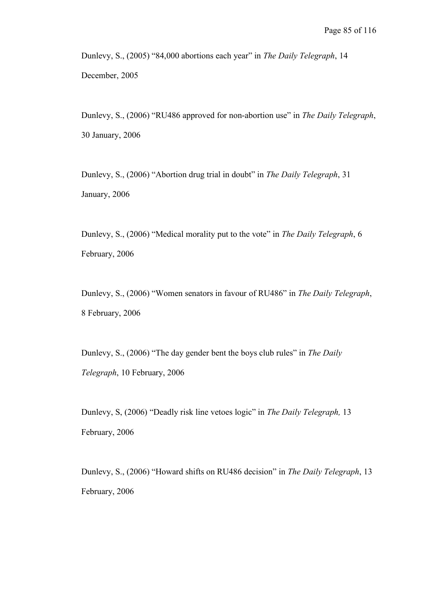Dunlevy, S., (2005) "84,000 abortions each year" in *The Daily Telegraph*, 14 December, 2005

Dunlevy, S., (2006) "RU486 approved for non-abortion use" in *The Daily Telegraph*, 30 January, 2006

Dunlevy, S., (2006) "Abortion drug trial in doubt" in *The Daily Telegraph*, 31 January, 2006

Dunlevy, S., (2006) "Medical morality put to the vote" in *The Daily Telegraph*, 6 February, 2006

Dunlevy, S., (2006) "Women senators in favour of RU486" in *The Daily Telegraph*, 8 February, 2006

Dunlevy, S., (2006) "The day gender bent the boys club rules" in *The Daily Telegraph*, 10 February, 2006

Dunlevy, S, (2006) "Deadly risk line vetoes logic" in *The Daily Telegraph,* 13 February, 2006

Dunlevy, S., (2006) "Howard shifts on RU486 decision" in *The Daily Telegraph*, 13 February, 2006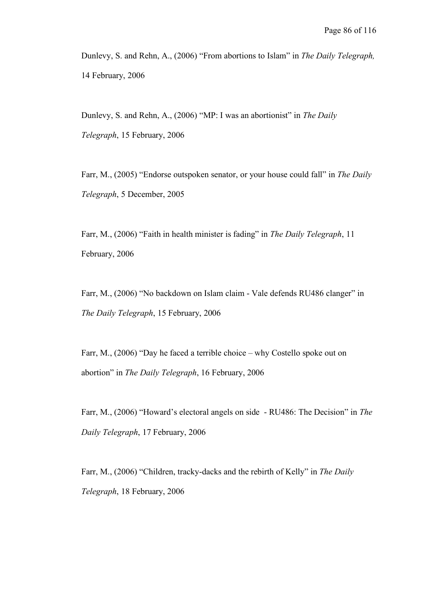Dunlevy, S. and Rehn, A., (2006) "From abortions to Islam" in *The Daily Telegraph,* 14 February, 2006

Dunlevy, S. and Rehn, A., (2006) "MP: I was an abortionist" in *The Daily Telegraph*, 15 February, 2006

Farr, M., (2005) "Endorse outspoken senator, or your house could fall" in *The Daily Telegraph*, 5 December, 2005

Farr, M., (2006) "Faith in health minister is fading" in *The Daily Telegraph*, 11 February, 2006

Farr, M., (2006) "No backdown on Islam claim - Vale defends RU486 clanger" in *The Daily Telegraph*, 15 February, 2006

Farr, M., (2006) "Day he faced a terrible choice – why Costello spoke out on abortion" in *The Daily Telegraph*, 16 February, 2006

Farr, M., (2006) "Howard's electoral angels on side - RU486: The Decision" in *The Daily Telegraph*, 17 February, 2006

Farr, M., (2006) "Children, tracky-dacks and the rebirth of Kelly" in *The Daily Telegraph*, 18 February, 2006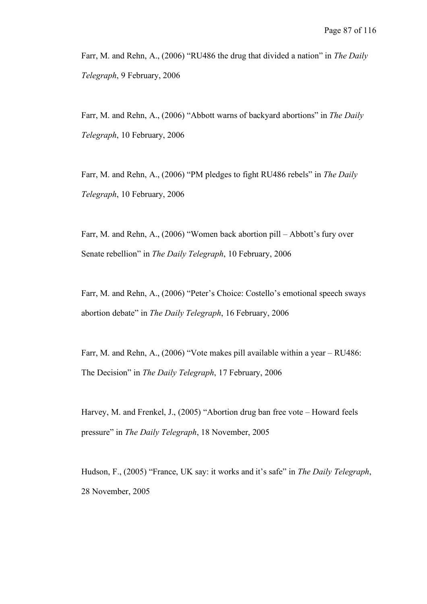Farr, M. and Rehn, A., (2006) "RU486 the drug that divided a nation" in *The Daily Telegraph*, 9 February, 2006

Farr, M. and Rehn, A., (2006) "Abbott warns of backyard abortions" in *The Daily Telegraph*, 10 February, 2006

Farr, M. and Rehn, A., (2006) "PM pledges to fight RU486 rebels" in *The Daily Telegraph*, 10 February, 2006

Farr, M. and Rehn, A., (2006) "Women back abortion pill – Abbott's fury over Senate rebellion" in *The Daily Telegraph*, 10 February, 2006

Farr, M. and Rehn, A., (2006) "Peter's Choice: Costello's emotional speech sways abortion debate" in *The Daily Telegraph*, 16 February, 2006

Farr, M. and Rehn, A., (2006) "Vote makes pill available within a year – RU486: The Decision" in *The Daily Telegraph*, 17 February, 2006

Harvey, M. and Frenkel, J., (2005) "Abortion drug ban free vote – Howard feels pressure" in *The Daily Telegraph*, 18 November, 2005

Hudson, F., (2005) "France, UK say: it works and it's safe" in *The Daily Telegraph*, 28 November, 2005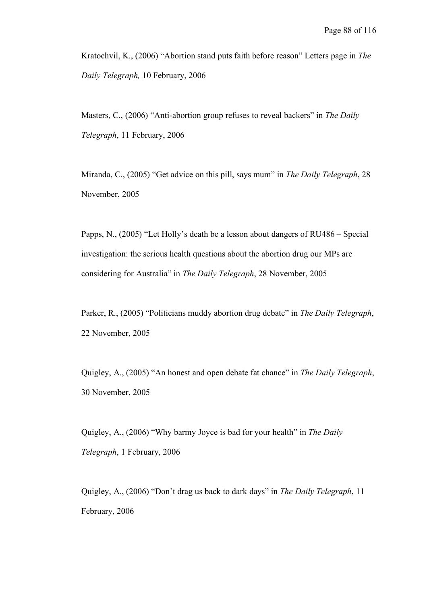Kratochvil, K., (2006) "Abortion stand puts faith before reason" Letters page in *The Daily Telegraph,* 10 February, 2006

Masters, C., (2006) "Anti-abortion group refuses to reveal backers" in *The Daily Telegraph*, 11 February, 2006

Miranda, C., (2005) "Get advice on this pill, says mum" in *The Daily Telegraph*, 28 November, 2005

Papps, N., (2005) "Let Holly's death be a lesson about dangers of RU486 – Special investigation: the serious health questions about the abortion drug our MPs are considering for Australia" in *The Daily Telegraph*, 28 November, 2005

Parker, R., (2005) "Politicians muddy abortion drug debate" in *The Daily Telegraph*, 22 November, 2005

Quigley, A., (2005) "An honest and open debate fat chance" in *The Daily Telegraph*, 30 November, 2005

Quigley, A., (2006) "Why barmy Joyce is bad for your health" in *The Daily Telegraph*, 1 February, 2006

Quigley, A., (2006) "Don't drag us back to dark days" in *The Daily Telegraph*, 11 February, 2006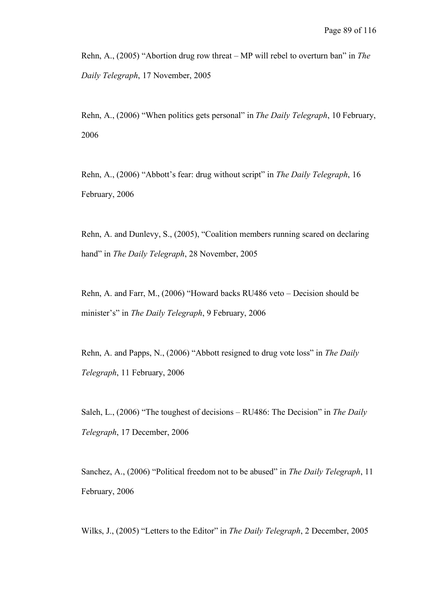Rehn, A., (2005) "Abortion drug row threat – MP will rebel to overturn ban" in *The Daily Telegraph*, 17 November, 2005

Rehn, A., (2006) "When politics gets personal" in *The Daily Telegraph*, 10 February, 2006

Rehn, A., (2006) "Abbott's fear: drug without script" in *The Daily Telegraph*, 16 February, 2006

Rehn, A. and Dunlevy, S., (2005), "Coalition members running scared on declaring hand" in *The Daily Telegraph*, 28 November, 2005

Rehn, A. and Farr, M., (2006) "Howard backs RU486 veto – Decision should be minister's" in *The Daily Telegraph*, 9 February, 2006

Rehn, A. and Papps, N., (2006) "Abbott resigned to drug vote loss" in *The Daily Telegraph*, 11 February, 2006

Saleh, L., (2006) "The toughest of decisions – RU486: The Decision" in *The Daily Telegraph*, 17 December, 2006

Sanchez, A., (2006) "Political freedom not to be abused" in *The Daily Telegraph*, 11 February, 2006

Wilks, J., (2005) "Letters to the Editor" in *The Daily Telegraph*, 2 December, 2005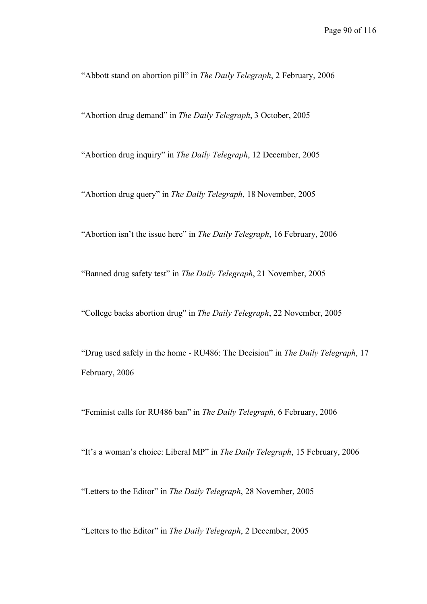"Abbott stand on abortion pill" in *The Daily Telegraph*, 2 February, 2006

"Abortion drug demand" in *The Daily Telegraph*, 3 October, 2005

"Abortion drug inquiry" in *The Daily Telegraph*, 12 December, 2005

"Abortion drug query" in *The Daily Telegraph*, 18 November, 2005

"Abortion isn't the issue here" in *The Daily Telegraph*, 16 February, 2006

"Banned drug safety test" in *The Daily Telegraph*, 21 November, 2005

"College backs abortion drug" in *The Daily Telegraph*, 22 November, 2005

"Drug used safely in the home - RU486: The Decision" in *The Daily Telegraph*, 17 February, 2006

"Feminist calls for RU486 ban" in *The Daily Telegraph*, 6 February, 2006

"It's a woman's choice: Liberal MP" in *The Daily Telegraph*, 15 February, 2006

"Letters to the Editor" in *The Daily Telegraph*, 28 November, 2005

"Letters to the Editor" in *The Daily Telegraph*, 2 December, 2005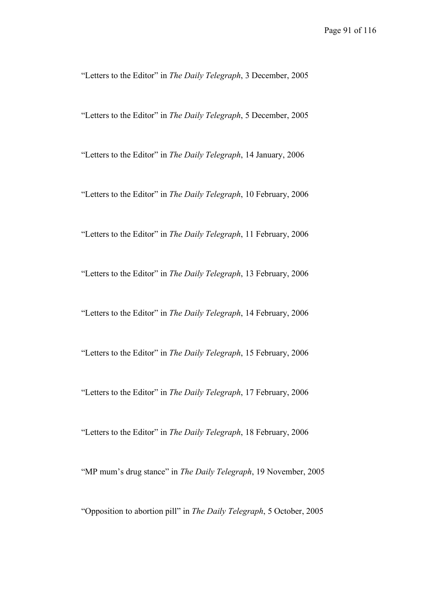"Letters to the Editor" in *The Daily Telegraph*, 3 December, 2005

"Letters to the Editor" in *The Daily Telegraph*, 5 December, 2005

"Letters to the Editor" in *The Daily Telegraph*, 14 January, 2006

"Letters to the Editor" in *The Daily Telegraph*, 10 February, 2006

"Letters to the Editor" in *The Daily Telegraph*, 11 February, 2006

"Letters to the Editor" in *The Daily Telegraph*, 13 February, 2006

"Letters to the Editor" in *The Daily Telegraph*, 14 February, 2006

"Letters to the Editor" in *The Daily Telegraph*, 15 February, 2006

"Letters to the Editor" in *The Daily Telegraph*, 17 February, 2006

"Letters to the Editor" in *The Daily Telegraph*, 18 February, 2006

"MP mum's drug stance" in *The Daily Telegraph*, 19 November, 2005

"Opposition to abortion pill" in *The Daily Telegraph*, 5 October, 2005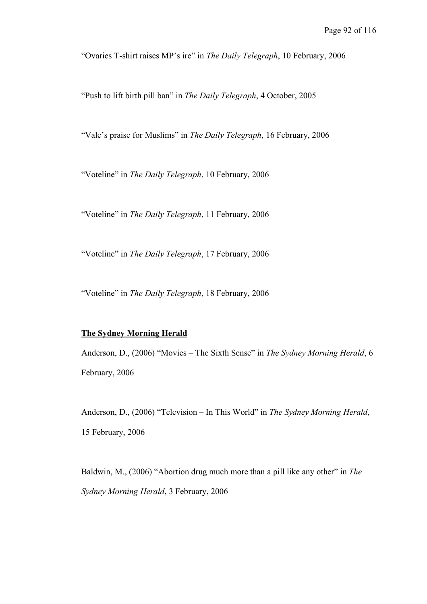"Ovaries T-shirt raises MP's ire" in *The Daily Telegraph*, 10 February, 2006

"Push to lift birth pill ban" in *The Daily Telegraph*, 4 October, 2005

"Vale's praise for Muslims" in *The Daily Telegraph*, 16 February, 2006

"Voteline" in *The Daily Telegraph*, 10 February, 2006

"Voteline" in *The Daily Telegraph*, 11 February, 2006

"Voteline" in *The Daily Telegraph*, 17 February, 2006

"Voteline" in *The Daily Telegraph*, 18 February, 2006

# **The Sydney Morning Herald**

Anderson, D., (2006) "Movies – The Sixth Sense" in *The Sydney Morning Herald*, 6 February, 2006

Anderson, D., (2006) "Television – In This World" in *The Sydney Morning Herald*, 15 February, 2006

Baldwin, M., (2006) "Abortion drug much more than a pill like any other" in *The Sydney Morning Herald*, 3 February, 2006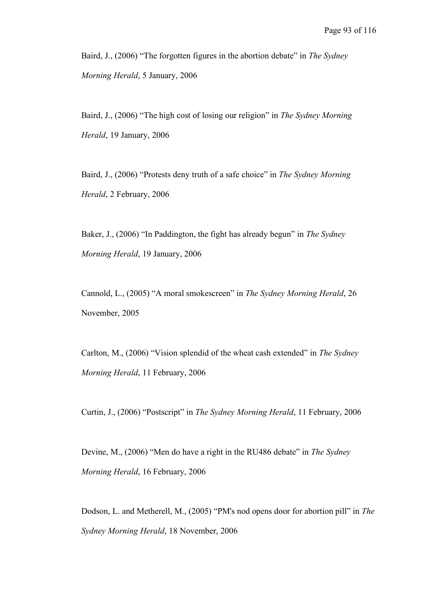Baird, J., (2006) "The forgotten figures in the abortion debate" in *The Sydney Morning Herald*, 5 January, 2006

Baird, J., (2006) "The high cost of losing our religion" in *The Sydney Morning Herald*, 19 January, 2006

Baird, J., (2006) "Protests deny truth of a safe choice" in *The Sydney Morning Herald*, 2 February, 2006

Baker, J., (2006) "In Paddington, the fight has already begun" in *The Sydney Morning Herald*, 19 January, 2006

Cannold, L., (2005) "A moral smokescreen" in *The Sydney Morning Herald*, 26 November, 2005

Carlton, M., (2006) "Vision splendid of the wheat cash extended" in *The Sydney Morning Herald*, 11 February, 2006

Curtin, J., (2006) "Postscript" in *The Sydney Morning Herald*, 11 February, 2006

Devine, M., (2006) "Men do have a right in the RU486 debate" in *The Sydney Morning Herald*, 16 February, 2006

Dodson, L. and Metherell, M., (2005) "PM's nod opens door for abortion pill" in *The Sydney Morning Herald*, 18 November, 2006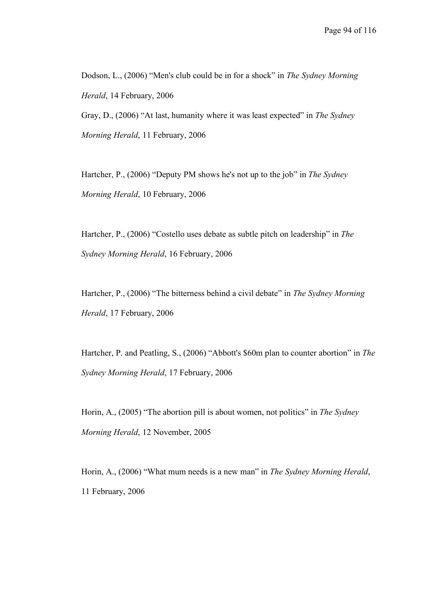Dodson, L., (2006) "Men's club could be in for a shock" in *The Sydney Morning Herald*, 14 February, 2006

Gray, D., (2006) "At last, humanity where it was least expected" in *The Sydney Morning Herald*, 11 February, 2006

Hartcher, P., (2006) "Deputy PM shows he's not up to the job" in *The Sydney Morning Herald*, 10 February, 2006

Hartcher, P., (2006) "Costello uses debate as subtle pitch on leadership" in *The Sydney Morning Herald*, 16 February, 2006

Hartcher, P., (2006) "The bitterness behind a civil debate" in *The Sydney Morning Herald*, 17 February, 2006

Hartcher, P. and Peatling, S., (2006) "Abbott's \$60m plan to counter abortion" in *The Sydney Morning Herald*, 17 February, 2006

Horin, A., (2005) "The abortion pill is about women, not politics" in *The Sydney Morning Herald*, 12 November, 2005

Horin, A., (2006) "What mum needs is a new man" in *The Sydney Morning Herald*, 11 February, 2006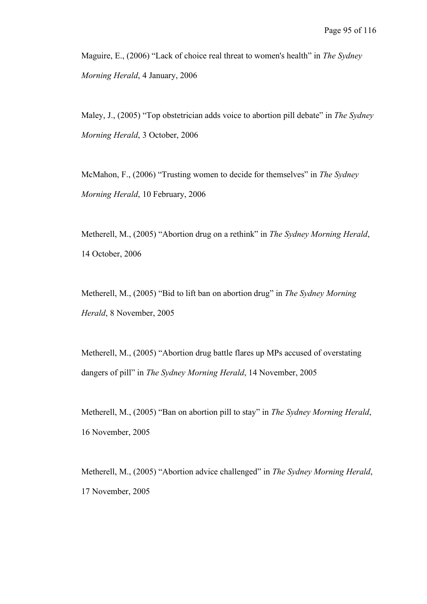Maguire, E., (2006) "Lack of choice real threat to women's health" in *The Sydney Morning Herald*, 4 January, 2006

Maley, J., (2005) "Top obstetrician adds voice to abortion pill debate" in *The Sydney Morning Herald*, 3 October, 2006

McMahon, F., (2006) "Trusting women to decide for themselves" in *The Sydney Morning Herald*, 10 February, 2006

Metherell, M., (2005) "Abortion drug on a rethink" in *The Sydney Morning Herald*, 14 October, 2006

Metherell, M., (2005) "Bid to lift ban on abortion drug" in *The Sydney Morning Herald*, 8 November, 2005

Metherell, M., (2005) "Abortion drug battle flares up MPs accused of overstating dangers of pill" in *The Sydney Morning Herald*, 14 November, 2005

Metherell, M., (2005) "Ban on abortion pill to stay" in *The Sydney Morning Herald*, 16 November, 2005

Metherell, M., (2005) "Abortion advice challenged" in *The Sydney Morning Herald*, 17 November, 2005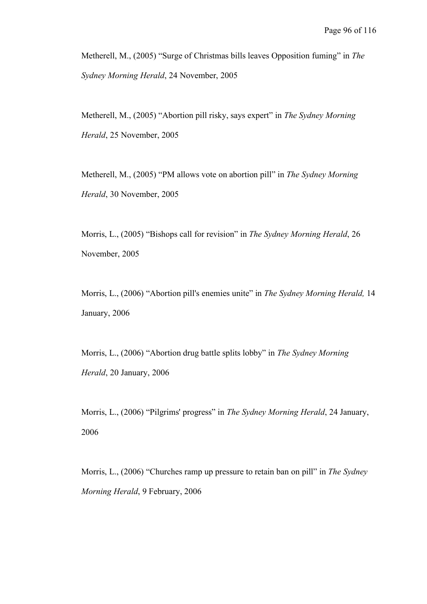Metherell, M., (2005) "Surge of Christmas bills leaves Opposition fuming" in *The Sydney Morning Herald*, 24 November, 2005

Metherell, M., (2005) "Abortion pill risky, says expert" in *The Sydney Morning Herald*, 25 November, 2005

Metherell, M., (2005) "PM allows vote on abortion pill" in *The Sydney Morning Herald*, 30 November, 2005

Morris, L., (2005) "Bishops call for revision" in *The Sydney Morning Herald*, 26 November, 2005

Morris, L., (2006) "Abortion pill's enemies unite" in *The Sydney Morning Herald,* 14 January, 2006

Morris, L., (2006) "Abortion drug battle splits lobby" in *The Sydney Morning Herald*, 20 January, 2006

Morris, L., (2006) "Pilgrims' progress" in *The Sydney Morning Herald*, 24 January, 2006

Morris, L., (2006) "Churches ramp up pressure to retain ban on pill" in *The Sydney Morning Herald*, 9 February, 2006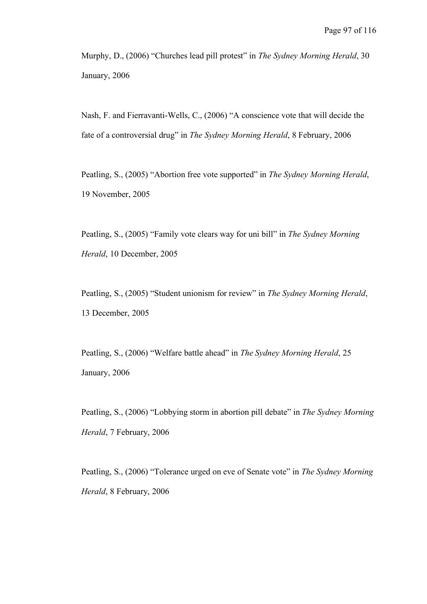Murphy, D., (2006) "Churches lead pill protest" in *The Sydney Morning Herald*, 30 January, 2006

Nash, F. and Fierravanti-Wells, C., (2006) "A conscience vote that will decide the fate of a controversial drug" in *The Sydney Morning Herald*, 8 February, 2006

Peatling, S., (2005) "Abortion free vote supported" in *The Sydney Morning Herald*, 19 November, 2005

Peatling, S., (2005) "Family vote clears way for uni bill" in *The Sydney Morning Herald*, 10 December, 2005

Peatling, S., (2005) "Student unionism for review" in *The Sydney Morning Herald*, 13 December, 2005

Peatling, S., (2006) "Welfare battle ahead" in *The Sydney Morning Herald*, 25 January, 2006

Peatling, S., (2006) "Lobbying storm in abortion pill debate" in *The Sydney Morning Herald*, 7 February, 2006

Peatling, S., (2006) "Tolerance urged on eve of Senate vote" in *The Sydney Morning Herald*, 8 February, 2006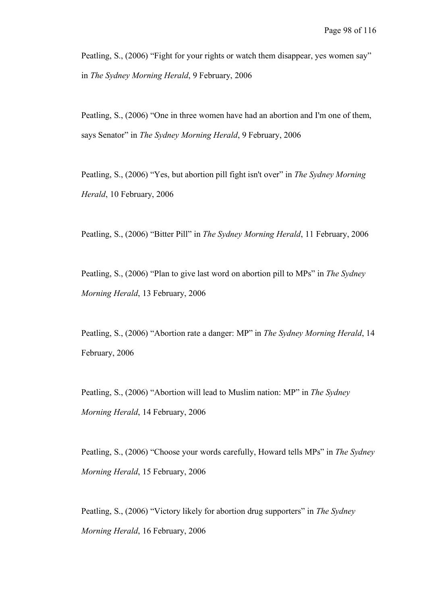Peatling, S., (2006) "Fight for your rights or watch them disappear, yes women say" in *The Sydney Morning Herald*, 9 February, 2006

Peatling, S., (2006) "One in three women have had an abortion and I'm one of them, says Senator" in *The Sydney Morning Herald*, 9 February, 2006

Peatling, S., (2006) "Yes, but abortion pill fight isn't over" in *The Sydney Morning Herald*, 10 February, 2006

Peatling, S., (2006) "Bitter Pill" in *The Sydney Morning Herald*, 11 February, 2006

Peatling, S., (2006) "Plan to give last word on abortion pill to MPs" in *The Sydney Morning Herald*, 13 February, 2006

Peatling, S., (2006) "Abortion rate a danger: MP" in *The Sydney Morning Herald*, 14 February, 2006

Peatling, S., (2006) "Abortion will lead to Muslim nation: MP" in *The Sydney Morning Herald*, 14 February, 2006

Peatling, S., (2006) "Choose your words carefully, Howard tells MPs" in *The Sydney Morning Herald*, 15 February, 2006

Peatling, S., (2006) "Victory likely for abortion drug supporters" in *The Sydney Morning Herald*, 16 February, 2006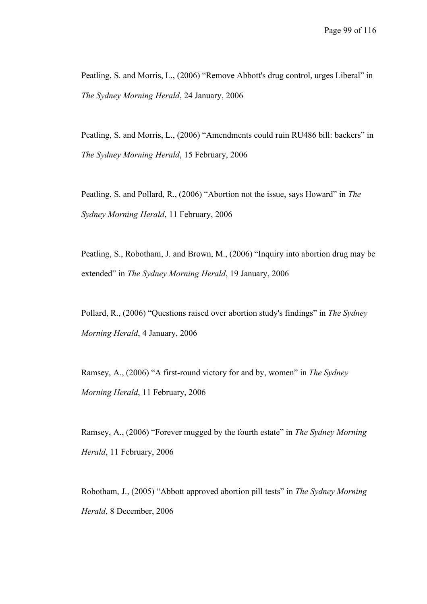Peatling, S. and Morris, L., (2006) "Remove Abbott's drug control, urges Liberal" in *The Sydney Morning Herald*, 24 January, 2006

Peatling, S. and Morris, L., (2006) "Amendments could ruin RU486 bill: backers" in *The Sydney Morning Herald*, 15 February, 2006

Peatling, S. and Pollard, R., (2006) "Abortion not the issue, says Howard" in *The Sydney Morning Herald*, 11 February, 2006

Peatling, S., Robotham, J. and Brown, M., (2006) "Inquiry into abortion drug may be extended" in *The Sydney Morning Herald*, 19 January, 2006

Pollard, R., (2006) "Questions raised over abortion study's findings" in *The Sydney Morning Herald*, 4 January, 2006

Ramsey, A., (2006) "A first-round victory for and by, women" in *The Sydney Morning Herald*, 11 February, 2006

Ramsey, A., (2006) "Forever mugged by the fourth estate" in *The Sydney Morning Herald*, 11 February, 2006

Robotham, J., (2005) "Abbott approved abortion pill tests" in *The Sydney Morning Herald*, 8 December, 2006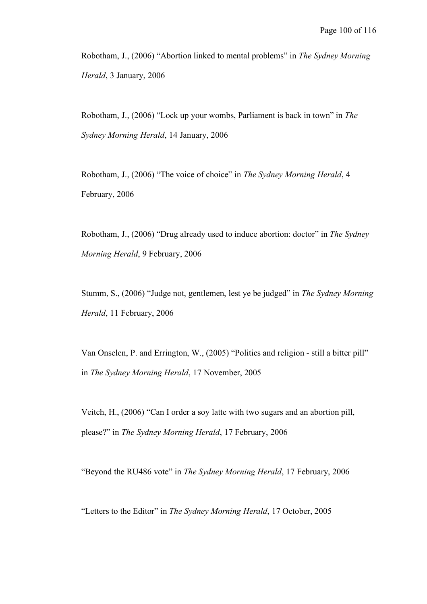Robotham, J., (2006) "Abortion linked to mental problems" in *The Sydney Morning Herald*, 3 January, 2006

Robotham, J., (2006) "Lock up your wombs, Parliament is back in town" in *The Sydney Morning Herald*, 14 January, 2006

Robotham, J., (2006) "The voice of choice" in *The Sydney Morning Herald*, 4 February, 2006

Robotham, J., (2006) "Drug already used to induce abortion: doctor" in *The Sydney Morning Herald*, 9 February, 2006

Stumm, S., (2006) "Judge not, gentlemen, lest ye be judged" in *The Sydney Morning Herald*, 11 February, 2006

Van Onselen, P. and Errington, W., (2005) "Politics and religion - still a bitter pill" in *The Sydney Morning Herald*, 17 November, 2005

Veitch, H., (2006) "Can I order a soy latte with two sugars and an abortion pill, please?" in *The Sydney Morning Herald*, 17 February, 2006

"Beyond the RU486 vote" in *The Sydney Morning Herald*, 17 February, 2006

"Letters to the Editor" in *The Sydney Morning Herald*, 17 October, 2005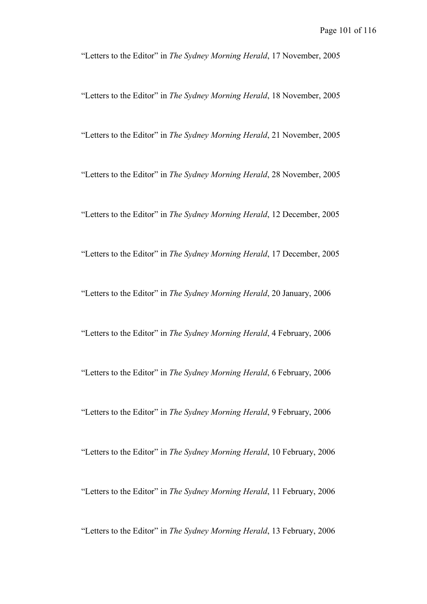"Letters to the Editor" in *The Sydney Morning Herald*, 17 November, 2005

"Letters to the Editor" in *The Sydney Morning Herald*, 18 November, 2005

"Letters to the Editor" in *The Sydney Morning Herald*, 21 November, 2005

"Letters to the Editor" in *The Sydney Morning Herald*, 28 November, 2005

"Letters to the Editor" in *The Sydney Morning Herald*, 12 December, 2005

"Letters to the Editor" in *The Sydney Morning Herald*, 17 December, 2005

"Letters to the Editor" in *The Sydney Morning Herald*, 20 January, 2006

"Letters to the Editor" in *The Sydney Morning Herald*, 4 February, 2006

"Letters to the Editor" in *The Sydney Morning Herald*, 6 February, 2006

"Letters to the Editor" in *The Sydney Morning Herald*, 9 February, 2006

"Letters to the Editor" in *The Sydney Morning Herald*, 10 February, 2006

"Letters to the Editor" in *The Sydney Morning Herald*, 11 February, 2006

"Letters to the Editor" in *The Sydney Morning Herald*, 13 February, 2006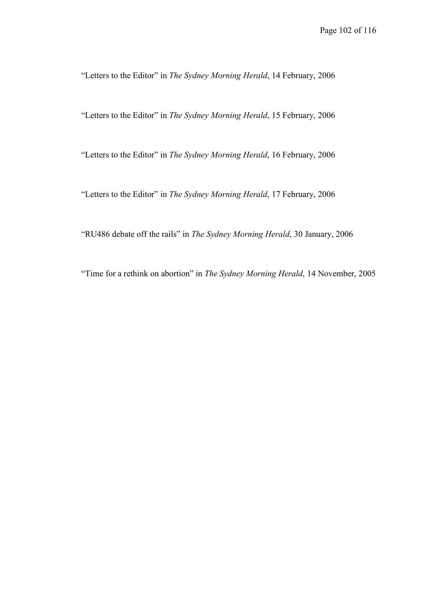"Letters to the Editor" in *The Sydney Morning Herald*, 14 February, 2006

"Letters to the Editor" in *The Sydney Morning Herald*, 15 February, 2006

"Letters to the Editor" in *The Sydney Morning Herald*, 16 February, 2006

"Letters to the Editor" in *The Sydney Morning Herald*, 17 February, 2006

"RU486 debate off the rails" in *The Sydney Morning Herald*, 30 January, 2006

"Time for a rethink on abortion" in *The Sydney Morning Herald*, 14 November, 2005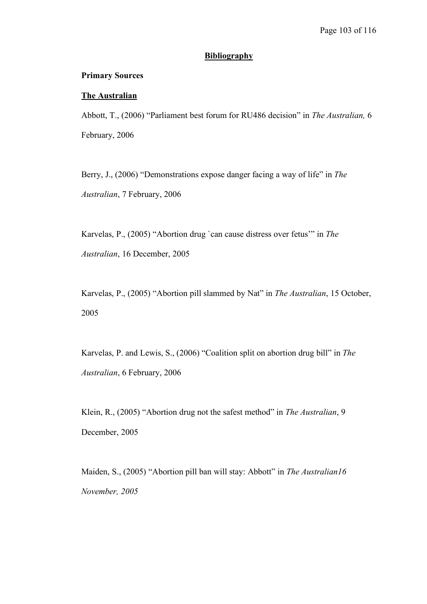#### **Bibliography**

#### **Primary Sources**

#### **The Australian**

Abbott, T., (2006) "Parliament best forum for RU486 decision" in *The Australian,* 6 February, 2006

Berry, J., (2006) "Demonstrations expose danger facing a way of life" in *The Australian*, 7 February, 2006

Karvelas, P., (2005) "Abortion drug `can cause distress over fetus'" in *The Australian*, 16 December, 2005

Karvelas, P., (2005) "Abortion pill slammed by Nat" in *The Australian*, 15 October, 2005

Karvelas, P. and Lewis, S., (2006) "Coalition split on abortion drug bill" in *The Australian*, 6 February, 2006

Klein, R., (2005) "Abortion drug not the safest method" in *The Australian*, 9 December, 2005

Maiden, S., (2005) "Abortion pill ban will stay: Abbott" in *The Australian16 November, 2005*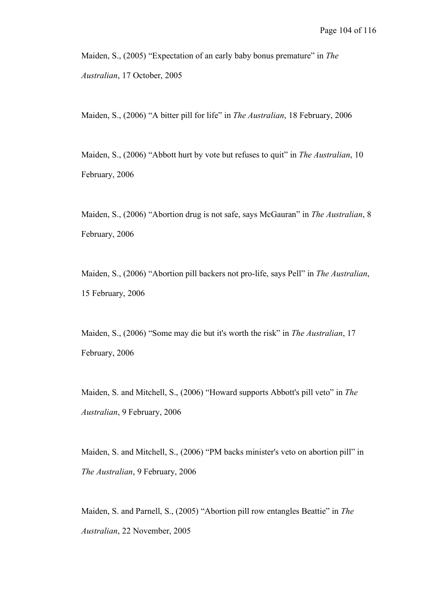Maiden, S., (2005) "Expectation of an early baby bonus premature" in *The Australian*, 17 October, 2005

Maiden, S., (2006) "A bitter pill for life" in *The Australian*, 18 February, 2006

Maiden, S., (2006) "Abbott hurt by vote but refuses to quit" in *The Australian*, 10 February, 2006

Maiden, S., (2006) "Abortion drug is not safe, says McGauran" in *The Australian*, 8 February, 2006

Maiden, S., (2006) "Abortion pill backers not pro-life, says Pell" in *The Australian*, 15 February, 2006

Maiden, S., (2006) "Some may die but it's worth the risk" in *The Australian*, 17 February, 2006

Maiden, S. and Mitchell, S., (2006) "Howard supports Abbott's pill veto" in *The Australian*, 9 February, 2006

Maiden, S. and Mitchell, S., (2006) "PM backs minister's veto on abortion pill" in *The Australian*, 9 February, 2006

Maiden, S. and Parnell, S., (2005) "Abortion pill row entangles Beattie" in *The Australian*, 22 November, 2005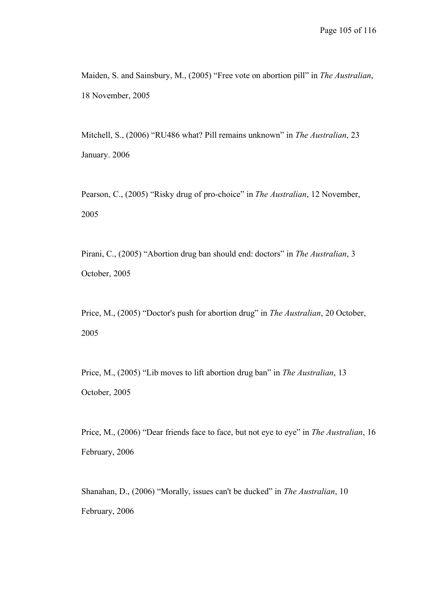Maiden, S. and Sainsbury, M., (2005) "Free vote on abortion pill" in *The Australian*, 18 November, 2005

Mitchell, S., (2006) "RU486 what? Pill remains unknown" in *The Australian*, 23 January. 2006

Pearson, C., (2005) "Risky drug of pro-choice" in *The Australian*, 12 November, 2005

Pirani, C., (2005) "Abortion drug ban should end: doctors" in *The Australian*, 3 October, 2005

Price, M., (2005) "Doctor's push for abortion drug" in *The Australian*, 20 October, 2005

Price, M., (2005) "Lib moves to lift abortion drug ban" in *The Australian*, 13 October, 2005

Price, M., (2006) "Dear friends face to face, but not eye to eye" in *The Australian*, 16 February, 2006

Shanahan, D., (2006) "Morally, issues can't be ducked" in *The Australian*, 10 February, 2006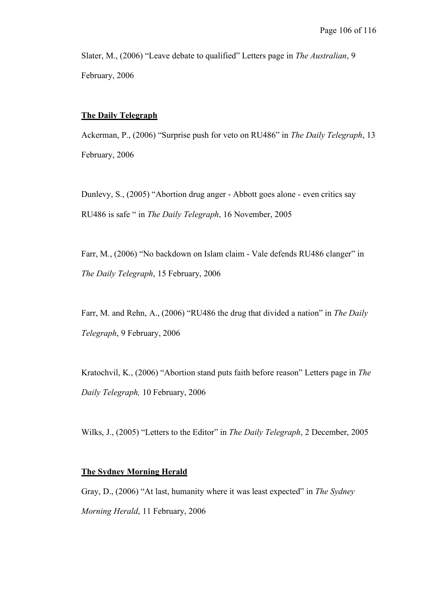Slater, M., (2006) "Leave debate to qualified" Letters page in *The Australian*, 9 February, 2006

## **The Daily Telegraph**

Ackerman, P., (2006) "Surprise push for veto on RU486" in *The Daily Telegraph*, 13 February, 2006

Dunlevy, S., (2005) "Abortion drug anger - Abbott goes alone - even critics say RU486 is safe " in *The Daily Telegraph*, 16 November, 2005

Farr, M., (2006) "No backdown on Islam claim - Vale defends RU486 clanger" in *The Daily Telegraph*, 15 February, 2006

Farr, M. and Rehn, A., (2006) "RU486 the drug that divided a nation" in *The Daily Telegraph*, 9 February, 2006

Kratochvil, K., (2006) "Abortion stand puts faith before reason" Letters page in *The Daily Telegraph,* 10 February, 2006

Wilks, J., (2005) "Letters to the Editor" in *The Daily Telegraph*, 2 December, 2005

#### **The Sydney Morning Herald**

Gray, D., (2006) "At last, humanity where it was least expected" in *The Sydney Morning Herald*, 11 February, 2006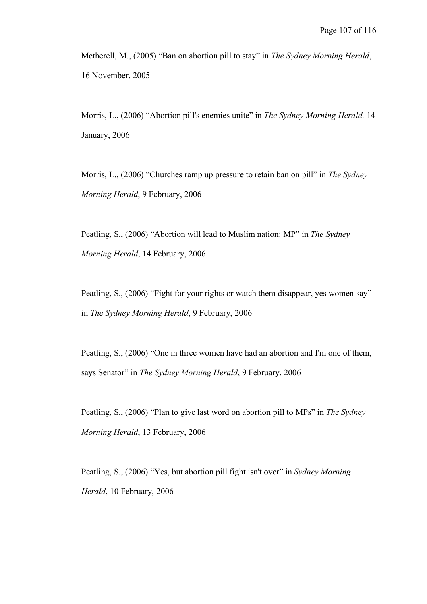Metherell, M., (2005) "Ban on abortion pill to stay" in *The Sydney Morning Herald*, 16 November, 2005

Morris, L., (2006) "Abortion pill's enemies unite" in *The Sydney Morning Herald,* 14 January, 2006

Morris, L., (2006) "Churches ramp up pressure to retain ban on pill" in *The Sydney Morning Herald*, 9 February, 2006

Peatling, S., (2006) "Abortion will lead to Muslim nation: MP" in *The Sydney Morning Herald*, 14 February, 2006

Peatling, S., (2006) "Fight for your rights or watch them disappear, yes women say" in *The Sydney Morning Herald*, 9 February, 2006

Peatling, S., (2006) "One in three women have had an abortion and I'm one of them, says Senator" in *The Sydney Morning Herald*, 9 February, 2006

Peatling, S., (2006) "Plan to give last word on abortion pill to MPs" in *The Sydney Morning Herald*, 13 February, 2006

Peatling, S., (2006) "Yes, but abortion pill fight isn't over" in *Sydney Morning Herald*, 10 February, 2006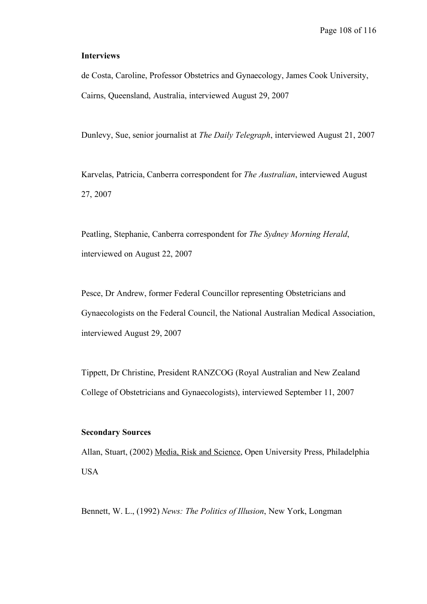#### **Interviews**

de Costa, Caroline, Professor Obstetrics and Gynaecology, James Cook University, Cairns, Queensland, Australia, interviewed August 29, 2007

Dunlevy, Sue, senior journalist at *The Daily Telegraph*, interviewed August 21, 2007

Karvelas, Patricia, Canberra correspondent for *The Australian*, interviewed August 27, 2007

Peatling, Stephanie, Canberra correspondent for *The Sydney Morning Herald*, interviewed on August 22, 2007

Pesce, Dr Andrew, former Federal Councillor representing Obstetricians and Gynaecologists on the Federal Council, the National Australian Medical Association, interviewed August 29, 2007

Tippett, Dr Christine, President RANZCOG (Royal Australian and New Zealand College of Obstetricians and Gynaecologists), interviewed September 11, 2007

## **Secondary Sources**

Allan, Stuart, (2002) Media, Risk and Science, Open University Press, Philadelphia USA

Bennett, W. L., (1992) *News: The Politics of Illusion*, New York, Longman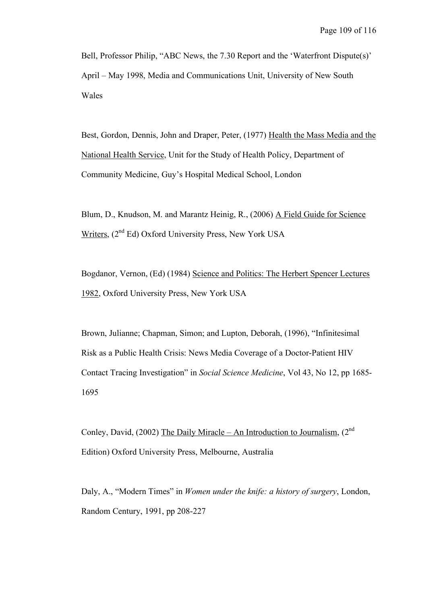Bell, Professor Philip, "ABC News, the 7.30 Report and the 'Waterfront Dispute(s)' April – May 1998, Media and Communications Unit, University of New South Wales

Best, Gordon, Dennis, John and Draper, Peter, (1977) Health the Mass Media and the National Health Service, Unit for the Study of Health Policy, Department of Community Medicine, Guy's Hospital Medical School, London

Blum, D., Knudson, M. and Marantz Heinig, R., (2006) A Field Guide for Science Writers, (2<sup>nd</sup> Ed) Oxford University Press, New York USA

Bogdanor, Vernon, (Ed) (1984) Science and Politics: The Herbert Spencer Lectures 1982, Oxford University Press, New York USA

Brown, Julianne; Chapman, Simon; and Lupton, Deborah, (1996), "Infinitesimal Risk as a Public Health Crisis: News Media Coverage of a Doctor-Patient HIV Contact Tracing Investigation" in *Social Science Medicine*, Vol 43, No 12, pp 1685- 1695

Conley, David, (2002) The Daily Miracle – An Introduction to Journalism,  $(2^{nd}$ Edition) Oxford University Press, Melbourne, Australia

Daly, A., "Modern Times" in *Women under the knife: a history of surgery*, London, Random Century, 1991, pp 208-227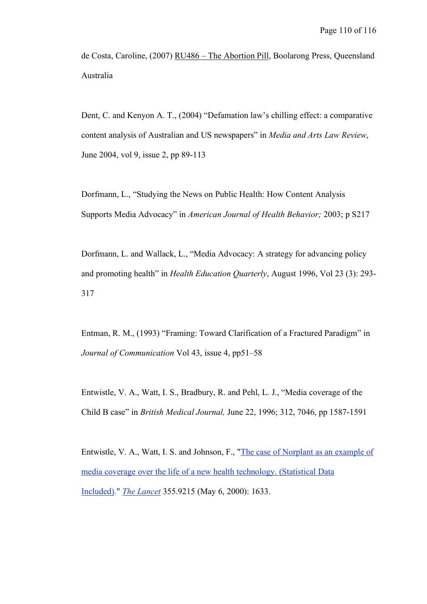de Costa, Caroline, (2007) RU486 – The Abortion Pill, Boolarong Press, Queensland Australia

Dent, C. and Kenyon A. T., (2004) "Defamation law's chilling effect: a comparative content analysis of Australian and US newspapers" in *Media and Arts Law Review*, June 2004, vol 9, issue 2, pp 89-113

Dorfmann, L., "Studying the News on Public Health: How Content Analysis Supports Media Advocacy" in *American Journal of Health Behavior;* 2003; p S217

Dorfmann, L. and Wallack, L., "Media Advocacy: A strategy for advancing policy and promoting health" in *Health Education Quarterly*, August 1996, Vol 23 (3): 293- 317

Entman, R. M., (1993) "Framing: Toward Clarification of a Fractured Paradigm" in *Journal of Communication* Vol 43, issue 4, pp51–58

Entwistle, V. A., Watt, I. S., Bradbury, R. and Pehl, L. J., "Media coverage of the Child B case" in *British Medical Journal,* June 22, 1996; 312, 7046, pp 1587-1591

Entwistle, V. A., Watt, I. S. and Johnson, F., "The case of Norplant as an example of media coverage over the life of a new health technology. (Statistical Data Included)." *The Lancet* 355.9215 (May 6, 2000): 1633.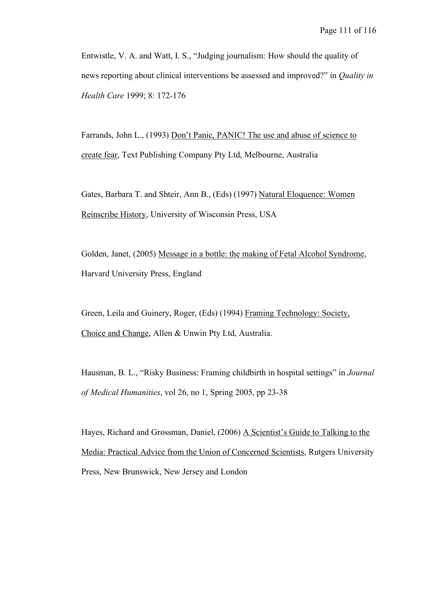Entwistle, V. A. and Watt, I. S., "Judging journalism: How should the quality of news reporting about clinical interventions be assessed and improved?" in *Quality in Health Care* 1999; 8: 172-176

Farrands, John L., (1993) Don't Panic, PANIC! The use and abuse of science to create fear, Text Publishing Company Pty Ltd, Melbourne, Australia

Gates, Barbara T. and Shteir, Ann B., (Eds) (1997) Natural Eloquence: Women Reinscribe History, University of Wisconsin Press, USA

Golden, Janet, (2005) Message in a bottle: the making of Fetal Alcohol Syndrome, Harvard University Press, England

Green, Leila and Guinery, Roger, (Eds) (1994) Framing Technology: Society, Choice and Change, Allen & Unwin Pty Ltd, Australia.

Hausman, B. L., "Risky Business: Framing childbirth in hospital settings" in *Journal of Medical Humanities*, vol 26, no 1, Spring 2005, pp 23-38

Hayes, Richard and Grossman, Daniel, (2006) A Scientist's Guide to Talking to the Media: Practical Advice from the Union of Concerned Scientists, Rutgers University Press, New Brunswick, New Jersey and London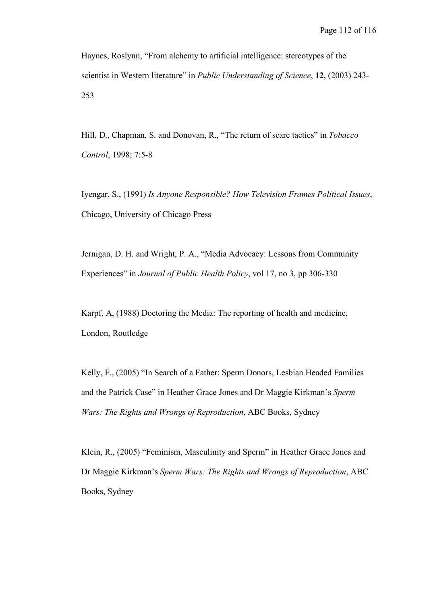Haynes, Roslynn, "From alchemy to artificial intelligence: stereotypes of the scientist in Western literature" in *Public Understanding of Science*, **12**, (2003) 243- 253

Hill, D., Chapman, S. and Donovan, R., "The return of scare tactics" in *Tobacco Control*, 1998; 7:5-8

Iyengar, S., (1991) *Is Anyone Responsible? How Television Frames Political Issues*, Chicago, University of Chicago Press

Jernigan, D. H. and Wright, P. A., "Media Advocacy: Lessons from Community Experiences" in *Journal of Public Health Policy*, vol 17, no 3, pp 306-330

Karpf, A, (1988) Doctoring the Media: The reporting of health and medicine, London, Routledge

Kelly, F., (2005) "In Search of a Father: Sperm Donors, Lesbian Headed Families and the Patrick Case" in Heather Grace Jones and Dr Maggie Kirkman's *Sperm Wars: The Rights and Wrongs of Reproduction*, ABC Books, Sydney

Klein, R., (2005) "Feminism, Masculinity and Sperm" in Heather Grace Jones and Dr Maggie Kirkman's *Sperm Wars: The Rights and Wrongs of Reproduction*, ABC Books, Sydney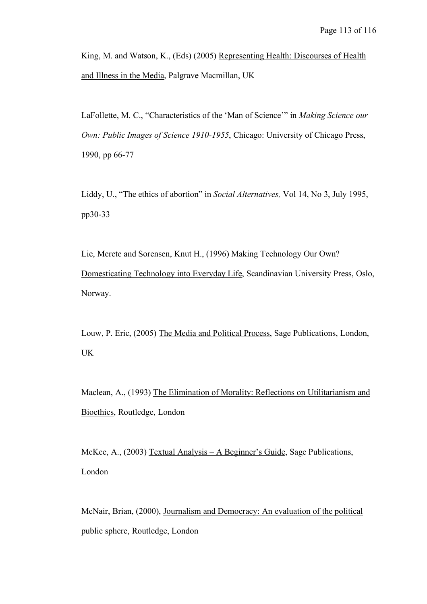King, M. and Watson, K., (Eds) (2005) Representing Health: Discourses of Health and Illness in the Media, Palgrave Macmillan, UK

LaFollette, M. C., "Characteristics of the 'Man of Science'" in *Making Science our Own: Public Images of Science 1910-1955*, Chicago: University of Chicago Press, 1990, pp 66-77

Liddy, U., "The ethics of abortion" in *Social Alternatives,* Vol 14, No 3, July 1995, pp30-33

Lie, Merete and Sorensen, Knut H., (1996) Making Technology Our Own? Domesticating Technology into Everyday Life, Scandinavian University Press, Oslo, Norway.

Louw, P. Eric, (2005) The Media and Political Process, Sage Publications, London, UK

Maclean, A., (1993) The Elimination of Morality: Reflections on Utilitarianism and Bioethics, Routledge, London

McKee, A., (2003) Textual Analysis – A Beginner's Guide, Sage Publications, London

McNair, Brian, (2000), Journalism and Democracy: An evaluation of the political public sphere, Routledge, London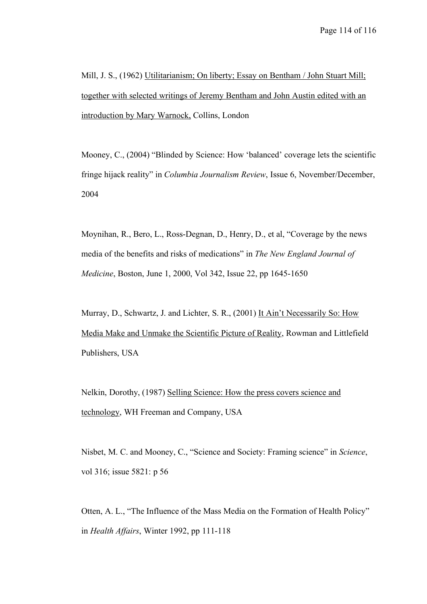Mill, J. S., (1962) Utilitarianism; On liberty; Essay on Bentham / John Stuart Mill; together with selected writings of Jeremy Bentham and John Austin edited with an introduction by Mary Warnock, Collins, London

Mooney, C., (2004) "Blinded by Science: How 'balanced' coverage lets the scientific fringe hijack reality" in *Columbia Journalism Review*, Issue 6, November/December, 2004

Moynihan, R., Bero, L., Ross-Degnan, D., Henry, D., et al, "Coverage by the news media of the benefits and risks of medications" in *The New England Journal of Medicine*, Boston, June 1, 2000, Vol 342, Issue 22, pp 1645-1650

Murray, D., Schwartz, J. and Lichter, S. R., (2001) It Ain't Necessarily So: How Media Make and Unmake the Scientific Picture of Reality, Rowman and Littlefield Publishers, USA

Nelkin, Dorothy, (1987) Selling Science: How the press covers science and technology, WH Freeman and Company, USA

Nisbet, M. C. and Mooney, C., "Science and Society: Framing science" in *Science*, vol 316; issue 5821: p 56

Otten, A. L., "The Influence of the Mass Media on the Formation of Health Policy" in *Health Affairs*, Winter 1992, pp 111-118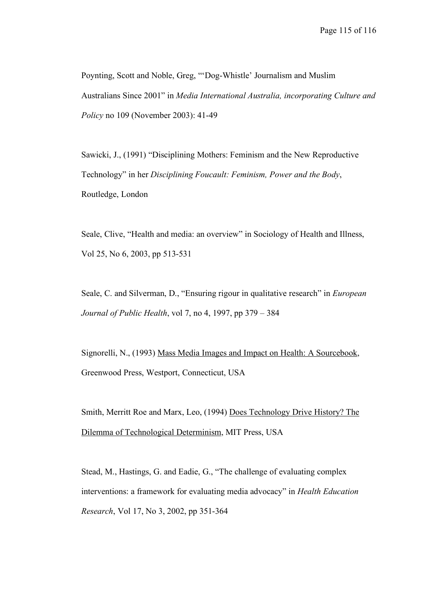Poynting, Scott and Noble, Greg, "'Dog-Whistle' Journalism and Muslim Australians Since 2001" in *Media International Australia, incorporating Culture and Policy* no 109 (November 2003): 41-49

Sawicki, J., (1991) "Disciplining Mothers: Feminism and the New Reproductive Technology" in her *Disciplining Foucault: Feminism, Power and the Body*, Routledge, London

Seale, Clive, "Health and media: an overview" in Sociology of Health and Illness, Vol 25, No 6, 2003, pp 513-531

Seale, C. and Silverman, D., "Ensuring rigour in qualitative research" in *European Journal of Public Health*, vol 7, no 4, 1997, pp 379 – 384

Signorelli, N., (1993) Mass Media Images and Impact on Health: A Sourcebook, Greenwood Press, Westport, Connecticut, USA

Smith, Merritt Roe and Marx, Leo, (1994) Does Technology Drive History? The Dilemma of Technological Determinism, MIT Press, USA

Stead, M., Hastings, G. and Eadie, G., "The challenge of evaluating complex interventions: a framework for evaluating media advocacy" in *Health Education Research*, Vol 17, No 3, 2002, pp 351-364